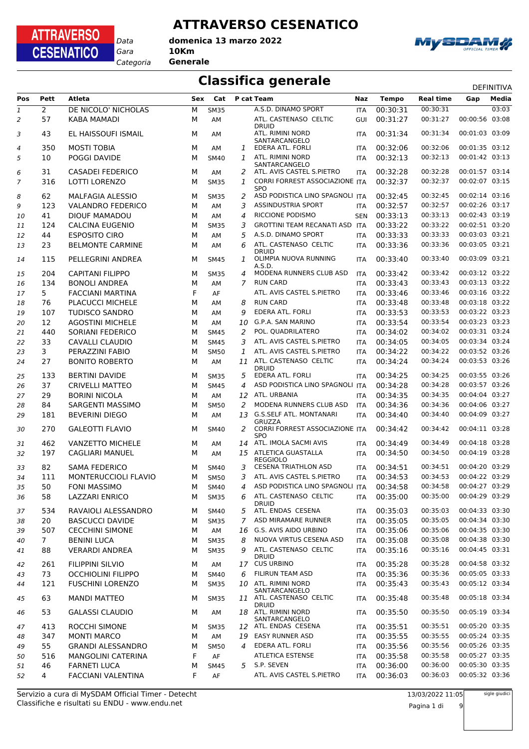#### **ATTRAVERSO CESENATICO**

*Gara* **10Km** *Categoria* **Generale domenica 13 marzo 2022**

*Data*

**ATTRAVERSO** 

**CESENATICO** 



#### **Classifica generale** Definitival DEFINITIVA

| Pos           | Pett           | Atleta                    | Sex | Cat         |                | P cat Team                                     | Naz        | <b>Tempo</b>         | <b>Real time</b>     | Gap            | Media |
|---------------|----------------|---------------------------|-----|-------------|----------------|------------------------------------------------|------------|----------------------|----------------------|----------------|-------|
| $\mathfrak 1$ | $\overline{2}$ | DE NICOLO' NICHOLAS       | M   | <b>SM35</b> |                | A.S.D. DINAMO SPORT                            | <b>ITA</b> | 00:30:31             | 00:30:31             |                | 03:03 |
| 2             | 57             | KABA MAMADI               | М   | AM          |                | ATL. CASTENASO CELTIC<br><b>DRUID</b>          | GUI        | 00:31:27             | 00:31:27             | 00:00:56 03:08 |       |
| 3             | 43             | EL HAISSOUFI ISMAIL       | м   | AM          |                | ATL. RIMINI NORD<br>SANTARCANGELO              | <b>ITA</b> | 00:31:34             | 00:31:34             | 00:01:03 03:09 |       |
| 4             | 350            | <b>MOSTI TOBIA</b>        | м   | AM          | 1              | EDERA ATL. FORLI                               | <b>ITA</b> | 00:32:06             | 00:32:06             | 00:01:35 03:12 |       |
| 5             | 10             | POGGI DAVIDE              | м   | <b>SM40</b> | 1              | ATL. RIMINI NORD                               | <b>ITA</b> | 00:32:13             | 00:32:13             | 00:01:42 03:13 |       |
|               |                |                           |     |             |                | SANTARCANGELO                                  |            |                      |                      |                |       |
| 6             | 31             | CASADEI FEDERICO          | М   | AM          | 2              | ATL. AVIS CASTEL S.PIETRO                      | <b>ITA</b> | 00:32:28             | 00:32:28             | 00:01:57 03:14 |       |
| 7             | 316            | <b>LOTTI LORENZO</b>      | м   | <b>SM35</b> | 1              | CORRI FORREST ASSOCIAZIONE ITA<br><b>SPO</b>   |            | 00:32:37             | 00:32:37             | 00:02:07 03:15 |       |
| 8             | 62             | <b>MALFAGIA ALESSIO</b>   | м   | <b>SM35</b> | 2              | ASD PODISTICA LINO SPAGNOLI ITA                |            | 00:32:45             | 00:32:45             | 00:02:14 03:16 |       |
| 9             | 123            | <b>VALANDRO FEDERICO</b>  | M   | AM          | 3              | <b>ASSINDUSTRIA SPORT</b>                      | ITA        | 00:32:57             | 00:32:57             | 00:02:26 03:17 |       |
| 10            | 41             | <b>DIOUF MAMADOU</b>      | М   | AM          | $\overline{4}$ | <b>RICCIONE PODISMO</b>                        | <b>SEN</b> | 00:33:13             | 00:33:13             | 00:02:43 03:19 |       |
| 11            | 124            | <b>CALCINA EUGENIO</b>    | M   | <b>SM35</b> | 3              | GROTTINI TEAM RECANATI ASD ITA                 |            | 00:33:22             | 00:33:22             | 00:02:51 03:20 |       |
| 12            | 44             | <b>ESPOSITO CIRO</b>      | M   | AM          | 5              | A.S.D. DINAMO SPORT                            | <b>ITA</b> | 00:33:33             | 00:33:33             | 00:03:03 03:21 |       |
| 13            | 23             | <b>BELMONTE CARMINE</b>   | м   | AM          | 6              | ATL. CASTENASO CELTIC                          | <b>ITA</b> | 00:33:36             | 00:33:36             | 00:03:05 03:21 |       |
| 14            | 115            | PELLEGRINI ANDREA         | м   | <b>SM45</b> | 1              | <b>DRUID</b><br>OLIMPIA NUOVA RUNNING          | <b>ITA</b> | 00:33:40             | 00:33:40             | 00:03:09 03:21 |       |
|               |                |                           |     |             |                | A.S.D                                          |            |                      |                      |                |       |
| 15            | 204            | <b>CAPITANI FILIPPO</b>   | м   | <b>SM35</b> | 4              | MODENA RUNNERS CLUB ASD                        | <b>ITA</b> | 00:33:42<br>00:33:43 | 00:33:42             | 00:03:12 03:22 |       |
| 16            | 134            | <b>BONOLI ANDREA</b>      | M   | AM          | $\overline{7}$ | <b>RUN CARD</b><br>ATL. AVIS CASTEL S.PIETRO   | <b>ITA</b> |                      | 00:33:43<br>00:33:46 | 00:03:13 03:22 |       |
| 17            | 5              | <b>FACCIANI MARTINA</b>   | F   | AF          |                |                                                | <b>ITA</b> | 00:33:46             |                      | 00:03:16 03:22 |       |
| 18            | 76             | <b>PLACUCCI MICHELE</b>   | M   | AМ          | 8              | <b>RUN CARD</b>                                | <b>ITA</b> | 00:33:48             | 00:33:48             | 00:03:18 03:22 |       |
| 19            | 107            | <b>TUDISCO SANDRO</b>     | M   | AM          | 9              | EDERA ATL. FORLI                               | ITA        | 00:33:53             | 00:33:53             | 00:03:22 03:23 |       |
| 20            | 12             | <b>AGOSTINI MICHELE</b>   | М   | AM          | 10             | G.P.A. SAN MARINO                              | <b>ITA</b> | 00:33:54             | 00:33:54             | 00:03:23 03:23 |       |
| 21            | 440            | SORIANI FEDERICO          | M   | <b>SM45</b> | 2              | POL. QUADRILATERO                              | <b>ITA</b> | 00:34:02             | 00:34:02             | 00:03:31 03:24 |       |
| 22            | 33             | CAVALLI CLAUDIO           | M   | <b>SM45</b> | 3              | ATL. AVIS CASTEL S.PIETRO                      | <b>ITA</b> | 00:34:05             | 00:34:05             | 00:03:34 03:24 |       |
| 23            | 3              | PERAZZINI FABIO           | M   | <b>SM50</b> | 1              | ATL. AVIS CASTEL S.PIETRO                      | <b>ITA</b> | 00:34:22             | 00:34:22             | 00:03:52 03:26 |       |
| 24            | 27             | <b>BONITO ROBERTO</b>     | М   | AM          |                | 11 ATL. CASTENASO CELTIC<br><b>DRUID</b>       | <b>ITA</b> | 00:34:24             | 00:34:24             | 00:03:53 03:26 |       |
| 25            | 133            | <b>BERTINI DAVIDE</b>     | м   | <b>SM35</b> | 5              | EDERA ATL. FORLI                               | <b>ITA</b> | 00:34:25             | 00:34:25             | 00:03:55 03:26 |       |
| 26            | 37             | <b>CRIVELLI MATTEO</b>    | M   | <b>SM45</b> | 4              | ASD PODISTICA LINO SPAGNOLI ITA                |            | 00:34:28             | 00:34:28             | 00:03:57 03:26 |       |
| 27            | 29             | <b>BORINI NICOLA</b>      | м   | AM          | 12             | ATL. URBANIA                                   | <b>ITA</b> | 00:34:35             | 00:34:35             | 00:04:04 03:27 |       |
| 28            | 84             | SARGENTI MASSIMO          | M   | <b>SM50</b> | 2              | MODENA RUNNERS CLUB ASD                        | <b>ITA</b> | 00:34:36             | 00:34:36             | 00:04:06 03:27 |       |
| 29            | 181            | <b>BEVERINI DIEGO</b>     | М   | AM          | 13             | <b>G.S.SELF ATL. MONTANARI</b><br>GRUZZA       | <b>ITA</b> | 00:34:40             | 00:34:40             | 00:04:09 03:27 |       |
| 30            | 270            | <b>GALEOTTI FLAVIO</b>    | м   | <b>SM40</b> | 2              | CORRI FORREST ASSOCIAZIONE ITA<br><b>SPO</b>   |            | 00:34:42             | 00:34:42             | 00:04:11 03:28 |       |
| 31            | 462            | VANZETTO MICHELE          | м   | AM          |                | 14 ATL. IMOLA SACMI AVIS                       | ITA        | 00:34:49             | 00:34:49             | 00:04:18 03:28 |       |
| 32            | 197            | CAGLIARI MANUEL           | М   | AM          |                | 15 ATLETICA GUASTALLA                          | <b>ITA</b> | 00:34:50             | 00:34:50             | 00:04:19 03:28 |       |
| 33            | 82             | <b>SAMA FEDERICO</b>      | м   | <b>SM40</b> | 3              | <b>REGGIOLO</b><br><b>CESENA TRIATHLON ASD</b> | <b>ITA</b> | 00:34:51             | 00:34:51             | 00:04:20 03:29 |       |
| 34            | 111            | MONTERUCCIOLI FLAVIO      | М   | SM50        | 3              | ATL. AVIS CASTEL S.PIETRO                      | <b>ITA</b> | 00:34:53             | 00:34:53             | 00:04:22 03:29 |       |
| 35            | 50             | FONI MASSIMO              | м   | SM40        | 4              | ASD PODISTICA LINO SPAGNOLI ITA                |            | 00:34:58             | 00:34:58             | 00:04:27 03:29 |       |
| 36            | 58             | <b>LAZZARI ENRICO</b>     | м   | <b>SM35</b> | 6              | ATL. CASTENASO CELTIC                          | <b>ITA</b> | 00:35:00             | 00:35:00             | 00:04:29 03:29 |       |
|               |                |                           |     |             |                | <b>DRUID</b>                                   |            |                      |                      |                |       |
| 37            | 534            | RAVAIOLI ALESSANDRO       | м   | <b>SM40</b> | 5              | ATL. ENDAS CESENA                              | <b>ITA</b> | 00:35:03             | 00:35:03             | 00:04:33 03:30 |       |
| 38            | 20             | <b>BASCUCCI DAVIDE</b>    | м   | <b>SM35</b> | $\overline{7}$ | ASD MIRAMARE RUNNER                            | ITA        | 00:35:05             | 00:35:05             | 00:04:34 03:30 |       |
| 39            | 507            | <b>CECCHINI SIMONE</b>    | м   | AM          | 16             | G.S. AVIS AIDO URBINO                          | <b>ITA</b> | 00:35:06             | 00:35:06             | 00:04:35 03:30 |       |
| 40            | $7^{\circ}$    | <b>BENINI LUCA</b>        | м   | <b>SM35</b> | 8              | NUOVA VIRTUS CESENA ASD                        | <b>ITA</b> | 00:35:08             | 00:35:08             | 00:04:38 03:30 |       |
| 41            | 88             | <b>VERARDI ANDREA</b>     | м   | <b>SM35</b> | 9              | ATL. CASTENASO CELTIC<br><b>DRUID</b>          | ITA        | 00:35:16             | 00:35:16             | 00:04:45 03:31 |       |
| 42            | 261            | FILIPPINI SILVIO          | м   | AM          |                | 17 CUS URBINO                                  | <b>ITA</b> | 00:35:28             | 00:35:28             | 00:04:58 03:32 |       |
| 43            | 73             | <b>OCCHIOLINI FILIPPO</b> | м   | <b>SM40</b> | 6              | FILIRUN TEAM ASD                               | ITA        | 00:35:36             | 00:35:36             | 00:05:05 03:33 |       |
| 44            | 121            | <b>FUSCHINI LORENZO</b>   | м   | <b>SM35</b> | 10             | ATL. RIMINI NORD<br>SANTARCANGELO              | ITA        | 00:35:43             | 00:35:43             | 00:05:12 03:34 |       |
| 45            | 63             | <b>MANDI MATTEO</b>       | м   | <b>SM35</b> |                | 11 ATL. CASTENASO CELTIC                       | <b>ITA</b> | 00:35:48             | 00:35:48             | 00:05:18 03:34 |       |
| 46            | 53             | <b>GALASSI CLAUDIO</b>    | м   | AM          | 18             | <b>DRUID</b><br>ATL. RIMINI NORD               | <b>ITA</b> | 00:35:50             | 00:35:50             | 00:05:19 03:34 |       |
| 47            | 413            | ROCCHI SIMONE             | м   | <b>SM35</b> |                | SANTARCANGELO<br>12 ATL. ENDAS CESENA          | <b>ITA</b> | 00:35:51             | 00:35:51             | 00:05:20 03:35 |       |
| 48            | 347            | <b>MONTI MARCO</b>        | м   | AM          | 19             | <b>EASY RUNNER ASD</b>                         | <b>ITA</b> | 00:35:55             | 00:35:55             | 00:05:24 03:35 |       |
| 49            | 55             | <b>GRANDI ALESSANDRO</b>  | м   | <b>SM50</b> | 4              | EDERA ATL. FORLI                               | <b>ITA</b> | 00:35:56             | 00:35:56             | 00:05:26 03:35 |       |
| 50            | 516            | <b>MANGOLINI CATERINA</b> | F   | AF          |                | <b>ATLETICA ESTENSE</b>                        | <b>ITA</b> | 00:35:58             | 00:35:58             | 00:05:27 03:35 |       |
| 51            | 46             | <b>FARNETI LUCA</b>       | М   | <b>SM45</b> | 5              | S.P. SEVEN                                     | <b>ITA</b> | 00:36:00             | 00:36:00             | 00:05:30 03:35 |       |
| 52            | 4              | FACCIANI VALENTINA        | F   | AF          |                | ATL. AVIS CASTEL S.PIETRO                      | ITA        | 00:36:03             | 00:36:03             | 00:05:32 03:36 |       |
|               |                |                           |     |             |                |                                                |            |                      |                      |                |       |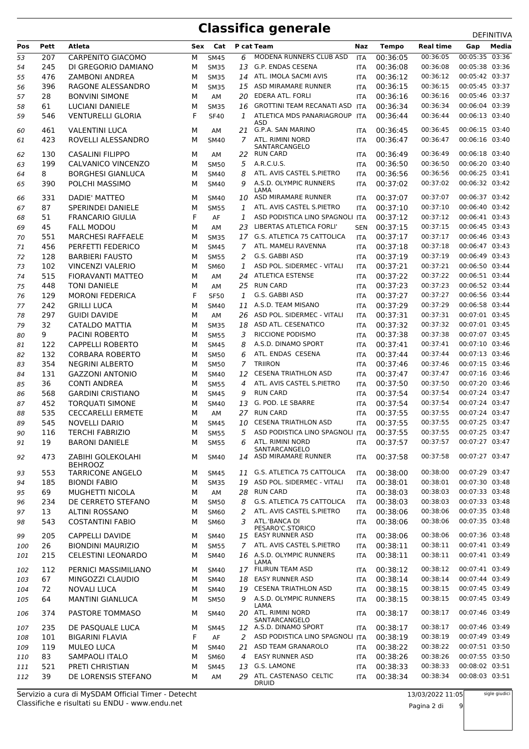| Pos | Pett      | Atleta                    | Sex    | Cat          |          | P cat Team                               | Naz        | <b>Tempo</b> | <b>Real time</b> | Gap                              | Media |
|-----|-----------|---------------------------|--------|--------------|----------|------------------------------------------|------------|--------------|------------------|----------------------------------|-------|
| 53  | 207       | CARPENITO GIACOMO         | М      | <b>SM45</b>  | 6        | MODENA RUNNERS CLUB ASD                  | <b>ITA</b> | 00:36:05     | 00:36:05         | 00:05:35 03:36                   |       |
| 54  | 245       | DI GREGORIO DAMIANO       | М      | <b>SM35</b>  | 13       | G.P. ENDAS CESENA                        | ITA        | 00:36:08     | 00:36:08         | 00:05:38 03:36                   |       |
| 55  | 476       | <b>ZAMBONI ANDREA</b>     | М      | <b>SM35</b>  | 14       | ATL. IMOLA SACMI AVIS                    | <b>ITA</b> | 00:36:12     | 00:36:12         | 00:05:42 03:37                   |       |
| 56  | 396       | RAGONE ALESSANDRO         | М      | <b>SM35</b>  | 15       | ASD MIRAMARE RUNNER                      | <b>ITA</b> | 00:36:15     | 00:36:15         | 00:05:45 03:37                   |       |
| 57  | 28        | <b>BONVINI SIMONE</b>     | М      | AM           | 20       | <b>EDERA ATL. FORLI</b>                  | ITA        | 00:36:16     | 00:36:16         | 00:05:46 03:37                   |       |
| 58  | 61        | <b>LUCIANI DANIELE</b>    | М      | <b>SM35</b>  | 16       | GROTTINI TEAM RECANATI ASD ITA           |            | 00:36:34     | 00:36:34         | 00:06:04 03:39                   |       |
| 59  | 546       | <b>VENTURELLI GLORIA</b>  | F      | <b>SF40</b>  | 1        | ATLETICA MDS PANARIAGROUP                | ITA        | 00:36:44     | 00:36:44         | 00:06:13 03:40                   |       |
|     |           |                           |        |              |          | ASD                                      |            |              | 00:36:45         |                                  |       |
| 60  | 461       | <b>VALENTINI LUCA</b>     | М      | AM           | 7        | 21 G.P.A. SAN MARINO<br>ATL. RIMINI NORD | <b>ITA</b> | 00:36:45     | 00:36:47         | 00:06:15 03:40<br>00:06:16 03:40 |       |
| 61  | 423       | ROVELLI ALESSANDRO        | М      | <b>SM40</b>  |          | SANTARCANGELO                            | ITA        | 00:36:47     |                  |                                  |       |
| 62  | 130       | <b>CASALINI FILIPPO</b>   | М      | AM           | 22       | <b>RUN CARD</b>                          | <b>ITA</b> | 00:36:49     | 00:36:49         | 00:06:18 03:40                   |       |
| 63  | 199       | CALVANICO VINCENZO        | М      | <b>SM50</b>  | 5        | A.R.C.U.S.                               | ITA        | 00:36:50     | 00:36:50         | 00:06:20 03:40                   |       |
| 64  | 8         | <b>BORGHESI GIANLUCA</b>  | М      | <b>SM40</b>  | 8        | ATL. AVIS CASTEL S.PIETRO                | ITA        | 00:36:56     | 00:36:56         | 00:06:25 03:41                   |       |
| 65  | 390       | POLCHI MASSIMO            | М      | <b>SM40</b>  | 9        | A.S.D. OLYMPIC RUNNERS                   | <b>ITA</b> | 00:37:02     | 00:37:02         | 00:06:32 03:42                   |       |
| 66  | 331       | DADIE' MATTEO             | М      | <b>SM40</b>  | 10       | LAMA<br>ASD MIRAMARE RUNNER              | <b>ITA</b> | 00:37:07     | 00:37:07         | 00:06:37 03:42                   |       |
| 67  | 87        | SPERINDEI DANIELE         | М      | <b>SM55</b>  | 1        | ATL. AVIS CASTEL S.PIETRO                | <b>ITA</b> | 00:37:10     | 00:37:10         | 00:06:40 03:42                   |       |
| 68  | 51        | <b>FRANCARIO GIULIA</b>   | F      | AF           | 1        | ASD PODISTICA LINO SPAGNOLI ITA          |            | 00:37:12     | 00:37:12         | 00:06:41 03:43                   |       |
| 69  | 45        | <b>FALL MODOU</b>         | М      | AM           | 23       | LIBERTAS ATLETICA FORLI'                 | <b>SEN</b> | 00:37:15     | 00:37:15         | 00:06:45 03:43                   |       |
| 70  | 551       | <b>MARCHESI RAFFAELE</b>  | М      | <b>SM35</b>  | 17       | G.S. ATLETICA 75 CATTOLICA               | <b>ITA</b> | 00:37:17     | 00:37:17         | 00:06:46 03:43                   |       |
| 71  | 456       | PERFETTI FEDERICO         | М      | <b>SM45</b>  | 7        | ATL. MAMELI RAVENNA                      | <b>ITA</b> | 00:37:18     | 00:37:18         | 00:06:47 03:43                   |       |
| 72  | 128       | <b>BARBIERI FAUSTO</b>    | М      | <b>SM55</b>  | 2        | G.S. GABBI ASD                           | <b>ITA</b> | 00:37:19     | 00:37:19         | 00:06:49 03:43                   |       |
| 73  | 102       | <b>VINCENZI VALERIO</b>   | М      | <b>SM60</b>  | 1        | ASD POL. SIDERMEC - VITALI               | ITA        | 00:37:21     | 00:37:21         | 00:06:50 03:44                   |       |
| 74  | 515       | <b>FIORAVANTI MATTEO</b>  | М      | AM           | 24       | <b>ATLETICA ESTENSE</b>                  | ITA        | 00:37:22     | 00:37:22         | 00:06:51 03:44                   |       |
| 75  | 448       | <b>TONI DANIELE</b>       | М      | AM           | 25       | <b>RUN CARD</b>                          | <b>ITA</b> | 00:37:23     | 00:37:23         | 00:06:52 03:44                   |       |
| 76  | 129       | <b>MORONI FEDERICA</b>    | F      | <b>SF50</b>  | 1        | G.S. GABBI ASD                           | ITA        | 00:37:27     | 00:37:27         | 00:06:56 03:44                   |       |
| 77  | 242       | <b>GRILLI LUCA</b>        | М      | <b>SM40</b>  | 11       | A.S.D. TEAM MISANO                       | <b>ITA</b> | 00:37:29     | 00:37:29         | 00:06:58 03:44                   |       |
| 78  | 297       | <b>GUIDI DAVIDE</b>       | М      | AM           | 26       | ASD POL. SIDERMEC - VITALI               | <b>ITA</b> | 00:37:31     | 00:37:31         | 00:07:01 03:45                   |       |
| 79  | 32        | <b>CATALDO MATTIA</b>     | М      | <b>SM35</b>  | 18       | ASD ATL. CESENATICO                      | <b>ITA</b> | 00:37:32     | 00:37:32         | 00:07:01 03:45                   |       |
| 80  | 9         | <b>PACINI ROBERTO</b>     | М      | <b>SM55</b>  | 3        | RICCIONE PODISMO                         | ITA        | 00:37:38     | 00:37:38         | 00:07:07 03:45                   |       |
| 81  | 122       | <b>CAPPELLI ROBERTO</b>   | М      | <b>SM45</b>  | 8        | A.S.D. DINAMO SPORT                      | <b>ITA</b> | 00:37:41     | 00:37:41         | 00:07:10 03:46                   |       |
| 82  | 132       | <b>CORBARA ROBERTO</b>    | М      | SM50         | 6        | ATL. ENDAS CESENA                        | <b>ITA</b> | 00:37:44     | 00:37:44         | 00:07:13 03:46                   |       |
| 83  | 354       | <b>NEGRINI ALBERTO</b>    | М      | <b>SM50</b>  | 7        | <b>TRIIRON</b>                           | ITA        | 00:37:46     | 00:37:46         | 00:07:15 03:46                   |       |
| 84  | 131       | <b>GAZZONI ANTONIO</b>    | М      | <b>SM40</b>  | 12       | <b>CESENA TRIATHLON ASD</b>              | <b>ITA</b> | 00:37:47     | 00:37:47         | 00:07:16 03:46                   |       |
| 85  | 36        | <b>CONTI ANDREA</b>       | М      | <b>SM55</b>  | 4        | ATL. AVIS CASTEL S.PIETRO                | <b>ITA</b> | 00:37:50     | 00:37:50         | 00:07:20 03:46                   |       |
| 86  | 568       | <b>GARDINI CRISTIANO</b>  | М      | <b>SM45</b>  | 9        | <b>RUN CARD</b>                          | ITA        | 00:37:54     | 00:37:54         | 00:07:24 03:47                   |       |
| 87  | 452       | <b>TOROUATI SIMONE</b>    | М      | <b>SM40</b>  | 13       | G. POD. LE SBARRE                        | <b>ITA</b> | 00:37:54     | 00:37:54         | 00:07:24 03:47                   |       |
| 88  | 535       | <b>CECCARELLI ERMETE</b>  | М      | AM           | 27       | <b>RUN CARD</b>                          | <b>ITA</b> | 00:37:55     | 00:37:55         | 00:07:24 03:47                   |       |
| 89  | 545       | <b>NOVELLI DARIO</b>      | М      | <b>SM45</b>  | 10       | <b>CESENA TRIATHLON ASD</b>              | <b>ITA</b> | 00:37:55     | 00:37:55         | 00:07:25 03:47                   |       |
| 90  | 116       | <b>TERCHI FABRIZIO</b>    | М      | <b>SM55</b>  | 5        | ASD PODISTICA LINO SPAGNOLI ITA          |            | 00:37:55     | 00:37:55         | 00:07:25 03:47                   |       |
| 91  | 19        | <b>BARONI DANIELE</b>     | М      | <b>SM55</b>  | 6        | ATL. RIMINI NORD<br>SANTARCANGELO        | <b>ITA</b> | 00:37:57     | 00:37:57         | 00:07:27 03:47                   |       |
| 92  | 473       | ZABIHI GOLEKOLAHI         | м      | <b>SM40</b>  |          | 14 ASD MIRAMARE RUNNER                   | ITA        | 00:37:58     | 00:37:58         | 00:07:27 03:47                   |       |
|     |           | <b>BEHROOZ</b>            |        |              |          |                                          |            |              |                  |                                  |       |
| 93  | 553       | <b>TARRICONE ANGELO</b>   | М      | <b>SM45</b>  | 11       | G.S. ATLETICA 75 CATTOLICA               | <b>ITA</b> | 00:38:00     | 00:38:00         | 00:07:29 03:47                   |       |
| 94  | 185       | <b>BIONDI FABIO</b>       | М      | <b>SM35</b>  | 19       | ASD POL. SIDERMEC - VITALI               | <b>ITA</b> | 00:38:01     | 00:38:01         | 00:07:30 03:48                   |       |
| 95  | 69        | MUGHETTI NICOLA           | М      | AM           | 28       | <b>RUN CARD</b>                          | ITA        | 00:38:03     | 00:38:03         | 00:07:33 03:48                   |       |
| 96  | 234       | DE CERRETO STEFANO        | М      | <b>SM50</b>  | 8        | G.S. ATLETICA 75 CATTOLICA               | ITA        | 00:38:03     | 00:38:03         | 00:07:33 03:48                   |       |
| 97  | 13        | <b>ALTINI ROSSANO</b>     | М      | SM60         | 2        | ATL. AVIS CASTEL S.PIETRO                | <b>ITA</b> | 00:38:06     | 00:38:06         | 00:07:35 03:48                   |       |
| 98  | 543       | <b>COSTANTINI FABIO</b>   | М      | <b>SM60</b>  | 3        | ATL.'BANCA DI<br>PESARO'C.STORICO        | ITA        | 00:38:06     | 00:38:06         | 00:07:35 03:48                   |       |
| 99  | 205       | <b>CAPPELLI DAVIDE</b>    | М      | SM40         |          | 15 EASY RUNNER ASD                       | ITA        | 00:38:06     | 00:38:06         | 00:07:36 03:48                   |       |
| 100 | 26        | <b>BIONDINI MAURIZIO</b>  | М      | <b>SM55</b>  | 7        | ATL. AVIS CASTEL S.PIETRO                | ITA        | 00:38:11     | 00:38:11         | 00:07:41 03:49                   |       |
| 101 | 215       | <b>CELESTINI LEONARDO</b> | М      | <b>SM40</b>  |          | 16 A.S.D. OLYMPIC RUNNERS                | <b>ITA</b> | 00:38:11     | 00:38:11         | 00:07:41 03:49                   |       |
|     |           | PERNICI MASSIMILIANO      |        |              |          | LAMA<br>17 FILIRUN TEAM ASD              |            | 00:38:12     | 00:38:12         | 00:07:41 03:49                   |       |
| 102 | 112<br>67 | MINGOZZI CLAUDIO          | М      | SM40         |          | <b>EASY RUNNER ASD</b>                   | ITA        | 00:38:14     | 00:38:14         | 00:07:44 03:49                   |       |
| 103 | 72        | <b>NOVALI LUCA</b>        | М<br>М | SM40<br>SM40 | 18<br>19 | <b>CESENA TRIATHLON ASD</b>              | <b>ITA</b> | 00:38:15     | 00:38:15         | 00:07:45 03:49                   |       |
| 104 | 64        | <b>MANTINI GIANLUCA</b>   | М      | <b>SM50</b>  | 9        | A.S.D. OLYMPIC RUNNERS                   | <b>ITA</b> | 00:38:15     | 00:38:15         | 00:07:45 03:49                   |       |
| 105 |           |                           |        |              |          | LAMA                                     | ITA        |              |                  |                                  |       |
| 106 | 374       | PASTORE TOMMASO           | м      | <b>SM40</b>  | 20       | ATL. RIMINI NORD                         | ITA        | 00:38:17     | 00:38:17         | 00:07:46 03:49                   |       |
| 107 | 235       | DE PASQUALE LUCA          | М      | <b>SM45</b>  |          | SANTARCANGELO<br>12 A.S.D. DINAMO SPORT  | <b>ITA</b> | 00:38:17     | 00:38:17         | 00:07:46 03:49                   |       |
| 108 | 101       | <b>BIGARINI FLAVIA</b>    | F      | AF           | 2        | ASD PODISTICA LINO SPAGNOLI ITA          |            | 00:38:19     | 00:38:19         | 00:07:49 03:49                   |       |
| 109 | 119       | <b>MULEO LUCA</b>         | М      | SM40         | 21       | ASD TEAM GRANAROLO                       | <b>ITA</b> | 00:38:22     | 00:38:22         | 00:07:51 03:50                   |       |
| 110 | 83        | SAMPAOLI ITALO            | М      | SM60         | 4        | <b>EASY RUNNER ASD</b>                   | <b>ITA</b> | 00:38:26     | 00:38:26         | 00:07:55 03:50                   |       |
| 111 | 521       | PRETI CHRISTIAN           | М      | <b>SM45</b>  | 13       | G.S. LAMONE                              | <b>ITA</b> | 00:38:33     | 00:38:33         | 00:08:02 03:51                   |       |
| 112 | 39        | DE LORENSIS STEFANO       | М      | AM           | 29       | ATL. CASTENASO CELTIC<br>DRUID           | <b>ITA</b> | 00:38:34     | 00:38:34         | 00:08:03 03:51                   |       |

Classifiche e risultati su ENDU - www.endu.net Servizio a cura di MySDAM Official Timer - Detecht sigle giudici

Pagina 2 di 9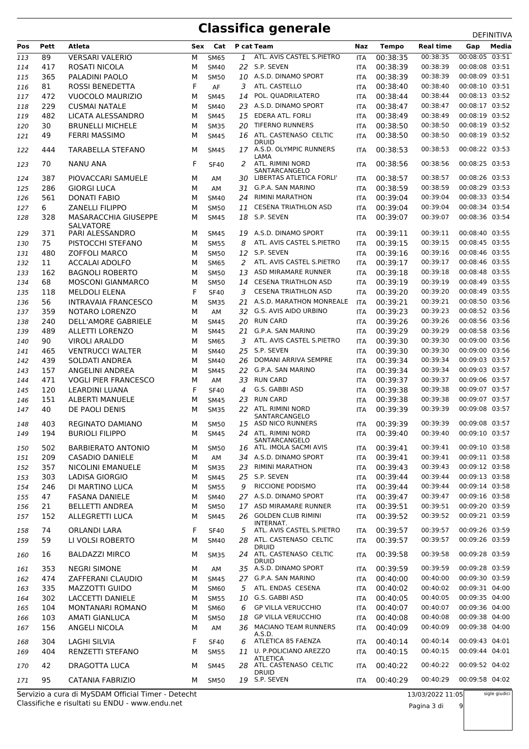| Pos | <b>Pett</b> | Atleta                                          | Sex | Cat         |     | P cat Team                                     | Naz        | <b>Tempo</b>         | <b>Real time</b>     | Gap                              | Media |
|-----|-------------|-------------------------------------------------|-----|-------------|-----|------------------------------------------------|------------|----------------------|----------------------|----------------------------------|-------|
| 113 | 89          | <b>VERSARI VALERIO</b>                          | м   | <b>SM65</b> | 1   | ATL. AVIS CASTEL S.PIETRO                      | <b>ITA</b> | 00:38:35             | 00:38:35             | 00:08:05 03:51                   |       |
| 114 | 417         | ROSATI NICOLA                                   | М   | <b>SM40</b> |     | 22 S.P. SEVEN                                  | <b>ITA</b> | 00:38:39             | 00:38:39             | 00:08:08 03:51                   |       |
| 115 | 365         | PALADINI PAOLO                                  | М   | <b>SM50</b> |     | 10 A.S.D. DINAMO SPORT                         | <b>ITA</b> | 00:38:39             | 00:38:39             | 00:08:09 03:51                   |       |
| 116 | 81          | ROSSI BENEDETTA                                 | F   | AF          | 3   | ATL. CASTELLO                                  | <b>ITA</b> | 00:38:40             | 00:38:40             | 00:08:10 03:51                   |       |
| 117 | 472         | <b>VUOCOLO MAURIZIO</b>                         | М   | <b>SM45</b> | 14  | POL. QUADRILATERO                              | <b>ITA</b> | 00:38:44             | 00:38:44             | 00:08:13 03:52                   |       |
| 118 | 229         | <b>CUSMAI NATALE</b>                            | М   | <b>SM40</b> | 23  | A.S.D. DINAMO SPORT                            | <b>ITA</b> | 00:38:47             | 00:38:47             | 00:08:17 03:52                   |       |
| 119 | 482         | LICATA ALESSANDRO                               | М   | <b>SM45</b> | 15  | <b>EDERA ATL. FORLI</b>                        | <b>ITA</b> | 00:38:49             | 00:38:49             | 00:08:19 03:52                   |       |
| 120 | 30          | <b>BRUNELLI MICHELE</b>                         | М   | <b>SM35</b> | 20  | <b>TIFERNO RUNNERS</b>                         | <b>ITA</b> | 00:38:50             | 00:38:50             | 00:08:19 03:52                   |       |
| 121 | 49          | <b>FERRI MASSIMO</b>                            | М   | <b>SM45</b> |     | 16 ATL. CASTENASO CELTIC                       | <b>ITA</b> | 00:38:50             | 00:38:50             | 00:08:19 03:52                   |       |
| 122 | 444         | <b>TARABELLA STEFANO</b>                        | м   | <b>SM45</b> |     | <b>DRUID</b><br>17 A.S.D. OLYMPIC RUNNERS      | <b>ITA</b> | 00:38:53             | 00:38:53             | 00:08:22 03:53                   |       |
| 123 | 70          | <b>NANU ANA</b>                                 | F.  | <b>SF40</b> | 2   | LAMA<br>ATL. RIMINI NORD<br>SANTARCANGELO      | <b>ITA</b> | 00:38:56             | 00:38:56             | 00:08:25 03:53                   |       |
| 124 | 387         | PIOVACCARI SAMUELE                              | м   | AM          | 30  | LIBERTAS ATLETICA FORLI'                       | ITA        | 00:38:57             | 00:38:57             | 00:08:26 03:53                   |       |
| 125 | 286         | <b>GIORGI LUCA</b>                              | М   | AM          | 31  | G.P.A. SAN MARINO                              | ITA        | 00:38:59             | 00:38:59             | 00:08:29 03:53                   |       |
| 126 | 561         | <b>DONATI FABIO</b>                             | М   | <b>SM40</b> | 24  | RIMINI MARATHON                                | <b>ITA</b> | 00:39:04             | 00:39:04             | 00:08:33 03:54                   |       |
| 127 | 6           | <b>ZANELLI FILIPPO</b>                          | М   | <b>SM50</b> | 11  | <b>CESENA TRIATHLON ASD</b>                    | <b>ITA</b> | 00:39:04             | 00:39:04             | 00:08:34 03:54                   |       |
| 128 | 328         | <b>MASARACCHIA GIUSEPPE</b><br><b>SALVATORE</b> | М   | <b>SM45</b> |     | 18 S.P. SEVEN                                  | <b>ITA</b> | 00:39:07             | 00:39:07             | 00:08:36 03:54                   |       |
| 129 | 371         | PARI ALESSANDRO                                 | м   | <b>SM45</b> | 19  | A.S.D. DINAMO SPORT                            | ITA        | 00:39:11             | 00:39:11             | 00:08:40 03:55                   |       |
| 130 | 75          | PISTOCCHI STEFANO                               | М   | <b>SM55</b> | 8   | ATL. AVIS CASTEL S.PIETRO                      | <b>ITA</b> | 00:39:15             | 00:39:15             | 00:08:45 03:55                   |       |
| 131 | 480         | <b>ZOFFOLI MARCO</b>                            | М   | <b>SM50</b> |     | 12 S.P. SEVEN                                  | ITA        | 00:39:16             | 00:39:16             | 00:08:46 03:55                   |       |
| 132 | 11          | ACCALAI ADOLFO                                  | М   | <b>SM65</b> | 2   | ATL. AVIS CASTEL S.PIETRO                      | <b>ITA</b> | 00:39:17             | 00:39:17             | 00:08:46 03:55                   |       |
| 133 | 162         | <b>BAGNOLI ROBERTO</b>                          | М   | <b>SM50</b> | 13  | ASD MIRAMARE RUNNER                            | <b>ITA</b> | 00:39:18             | 00:39:18             | 00:08:48 03:55                   |       |
| 134 | 68          | <b>MOSCONI GIANMARCO</b>                        | М   | <b>SM50</b> | 14  | <b>CESENA TRIATHLON ASD</b>                    | <b>ITA</b> | 00:39:19             | 00:39:19             | 00:08:49 03:55                   |       |
| 135 | 118         | <b>MELDOLI ELENA</b>                            | F   | <b>SF40</b> | 3   | <b>CESENA TRIATHLON ASD</b>                    | ITA        | 00:39:20             | 00:39:20             | 00:08:49 03:55                   |       |
| 136 | 56          | <b>INTRAVAIA FRANCESCO</b>                      | М   | <b>SM35</b> | 21  | A.S.D. MARATHON MONREALE                       | <b>ITA</b> | 00:39:21             | 00:39:21             | 00:08:50 03:56                   |       |
| 137 | 359         | NOTARO LORENZO                                  | м   | AM          |     | 32 G.S. AVIS AIDO URBINO                       | <b>ITA</b> | 00:39:23             | 00:39:23             | 00:08:52 03:56                   |       |
| 138 | 240         | <b>DELL'AMORE GABRIELE</b>                      | м   | <b>SM45</b> | 20  | <b>RUN CARD</b>                                | <b>ITA</b> | 00:39:26             | 00:39:26             | 00:08:56 03:56                   |       |
| 139 | 489         | <b>ALLETTI LORENZO</b>                          | М   | <b>SM45</b> |     | 21 G.P.A. SAN MARINO                           | <b>ITA</b> | 00:39:29             | 00:39:29             | 00:08:58 03:56                   |       |
| 140 | 90          | <b>VIROLI ARALDO</b>                            | М   | <b>SM65</b> | 3   | ATL. AVIS CASTEL S.PIETRO                      | <b>ITA</b> | 00:39:30             | 00:39:30             | 00:09:00 03:56                   |       |
| 141 | 465         | <b>VENTRUCCI WALTER</b>                         | М   | <b>SM40</b> | 25  | S.P. SEVEN                                     | <b>ITA</b> | 00:39:30             | 00:39:30             | 00:09:00 03:56                   |       |
| 142 | 439         | SOLDATI ANDREA                                  | М   | <b>SM40</b> | 26  | DOMANI ARRIVA SEMPRE                           | <b>ITA</b> | 00:39:34             | 00:39:34             | 00:09:03 03:57                   |       |
| 143 | 157         | ANGELINI ANDREA                                 | М   | <b>SM45</b> |     | 22 G.P.A. SAN MARINO                           | <b>ITA</b> | 00:39:34             | 00:39:34             | 00:09:03 03:57                   |       |
| 144 | 471         | <b>VOGLI PIER FRANCESCO</b>                     | М   | AM          | 33  | <b>RUN CARD</b>                                | ITA        | 00:39:37             | 00:39:37             | 00:09:06 03:57                   |       |
| 145 | 120         | LEARDINI LUANA                                  | F   | <b>SF40</b> | 4   | G.S. GABBI ASD<br><b>RUN CARD</b>              | <b>ITA</b> | 00:39:38             | 00:39:38             | 00:09:07 03:57                   |       |
| 146 | 151         | <b>ALBERTI MANUELE</b><br>DE PAOLI DENIS        | М   | <b>SM45</b> | 23  | ATL. RIMINI NORD                               | <b>ITA</b> | 00:39:38<br>00:39:39 | 00:39:38<br>00:39:39 | 00:09:07 03:57<br>00:09:08 03:57 |       |
| 147 | 40          |                                                 | М   | <b>SM35</b> | 22  | SANTARCANGELO                                  | ITA        |                      |                      |                                  |       |
| 148 | 403         | REGINATO DAMIANO                                | м   | <b>SM50</b> |     | 15 ASD NICO RUNNERS                            | <b>ITA</b> | 00:39:39             | 00:39:39             | 00:09:08 03:57                   |       |
| 149 | 194         | <b>BURIOLI FILIPPO</b>                          | М   | <b>SM45</b> |     | 24 ATL. RIMINI NORD<br>SANTARCANGELO           | ITA        | 00:39:40             | 00:39:40             | 00:09:10 03:57                   |       |
| 150 | 502         | <b>BARBIERATO ANTONIO</b>                       | м   | SM50        |     | 16 ATL. IMOLA SACMI AVIS                       | <b>ITA</b> | 00:39:41             | 00:39:41             | 00:09:10 03:58                   |       |
| 151 | 209         | <b>CASADIO DANIELE</b>                          | м   | AM          | 34  | A.S.D. DINAMO SPORT                            | ITA        | 00:39:41             | 00:39:41             | 00:09:11 03:58                   |       |
| 152 | 357         | <b>NICOLINI EMANUELE</b>                        | м   | <b>SM35</b> | 23  | <b>RIMINI MARATHON</b>                         | <b>ITA</b> | 00:39:43             | 00:39:43             | 00:09:12 03:58                   |       |
| 153 | 303         | LADISA GIORGIO                                  | м   | <b>SM45</b> |     | 25 S.P. SEVEN                                  | <b>ITA</b> | 00:39:44             | 00:39:44             | 00:09:13 03:58                   |       |
| 154 | 246         | DI MARTINO LUCA                                 | М   | <b>SM55</b> | 9   | RICCIONE PODISMO                               | <b>ITA</b> | 00:39:44             | 00:39:44             | 00:09:14 03:58                   |       |
| 155 | 47          | <b>FASANA DANIELE</b>                           | М   | <b>SM40</b> |     | 27 A.S.D. DINAMO SPORT                         | <b>ITA</b> | 00:39:47             | 00:39:47             | 00:09:16 03:58                   |       |
| 156 | 21          | <b>BELLETTI ANDREA</b>                          | м   | <b>SM50</b> |     | 17 ASD MIRAMARE RUNNER                         | <b>ITA</b> | 00:39:51             | 00:39:51             | 00:09:20 03:59                   |       |
| 157 | 152         | ALLEGRETTI LUCA                                 | м   | <b>SM45</b> |     | 26 GOLDEN CLUB RIMINI<br>INTERNAT.             | <b>ITA</b> | 00:39:52             | 00:39:52             | 00:09:21 03:59                   |       |
| 158 | 74          | ORLANDI LARA                                    | F.  | <b>SF40</b> | 5   | ATL. AVIS CASTEL S.PIETRO                      | <b>ITA</b> | 00:39:57             | 00:39:57             | 00:09:26 03:59                   |       |
| 159 | 59          | LI VOLSI ROBERTO                                | м   | <b>SM40</b> |     | 28 ATL. CASTENASO CELTIC                       | <b>ITA</b> | 00:39:57             | 00:39:57             | 00:09:26 03:59                   |       |
| 160 | 16          | <b>BALDAZZI MIRCO</b>                           | м   | <b>SM35</b> |     | druid<br>24 ATL. CASTENASO CELTIC              | <b>ITA</b> | 00:39:58             | 00:39:58             | 00:09:28 03:59                   |       |
| 161 | 353         | <b>NEGRI SIMONE</b>                             | м   | AM          |     | <b>DRUID</b><br>35 A.S.D. DINAMO SPORT         | <b>ITA</b> | 00:39:59             | 00:39:59             | 00:09:28 03:59                   |       |
| 162 | 474         | ZAFFERANI CLAUDIO                               | м   | <b>SM45</b> |     | 27 G.P.A. SAN MARINO                           | <b>ITA</b> | 00:40:00             | 00:40:00             | 00:09:30 03:59                   |       |
| 163 | 335         | MAZZOTTI GUIDO                                  | М   | SM60        | 5   | ATL. ENDAS CESENA                              | <b>ITA</b> | 00:40:02             | 00:40:02             | 00:09:31 04:00                   |       |
| 164 | 302         | LACCETTI DANIELE                                | М   | <b>SM55</b> |     | 10 G.S. GABBI ASD                              | <b>ITA</b> | 00:40:05             | 00:40:05             | 00:09:35 04:00                   |       |
| 165 | 104         | <b>MONTANARI ROMANO</b>                         | м   | <b>SM60</b> | 6   | <b>GP VILLA VERUCCHIO</b>                      | <b>ITA</b> | 00:40:07             | 00:40:07             | 00:09:36 04:00                   |       |
| 166 | 103         | AMATI GIANLUCA                                  | м   | <b>SM50</b> | 18  | <b>GP VILLA VERUCCHIO</b>                      | <b>ITA</b> | 00:40:08             | 00:40:08             | 00:09:38 04:00                   |       |
| 167 | 156         | ANGELI NICOLA                                   | м   | AM          | 36. | <b>MACIANO TEAM RUNNERS</b>                    | <b>ITA</b> | 00:40:09             | 00:40:09             | 00:09:38 04:00                   |       |
|     |             |                                                 |     |             |     | A.S.D.                                         |            |                      |                      |                                  |       |
| 168 | 304         | LAGHI SILVIA                                    | F.  | <b>SF40</b> | 6   | ATLETICA 85 FAENZA<br>11 U. P.POLICIANO AREZZO | <b>ITA</b> | 00:40:14             | 00:40:14<br>00:40:15 | 00:09:43 04:01<br>00:09:44 04:01 |       |
| 169 | 404         | RENZETTI STEFANO                                | м   | <b>SM55</b> |     | <b>ATLETICA</b>                                | <b>ITA</b> | 00:40:15             |                      |                                  |       |
| 170 | 42          | DRAGOTTA LUCA                                   | м   | <b>SM45</b> |     | 28 ATL. CASTENASO CELTIC<br><b>DRUID</b>       | <b>ITA</b> | 00:40:22             | 00:40:22             | 00:09:52 04:02                   |       |
| 171 | 95          | CATANIA FABRIZIO                                | м   | <b>SM50</b> |     | 19 S.P. SEVEN                                  | <b>ITA</b> | 00:40:29             | 00:40:29             | 00:09:58 04:02                   |       |

Classifiche e risultati su ENDU - www.endu.net Servizio a cura di MySDAM Official Timer - Detecht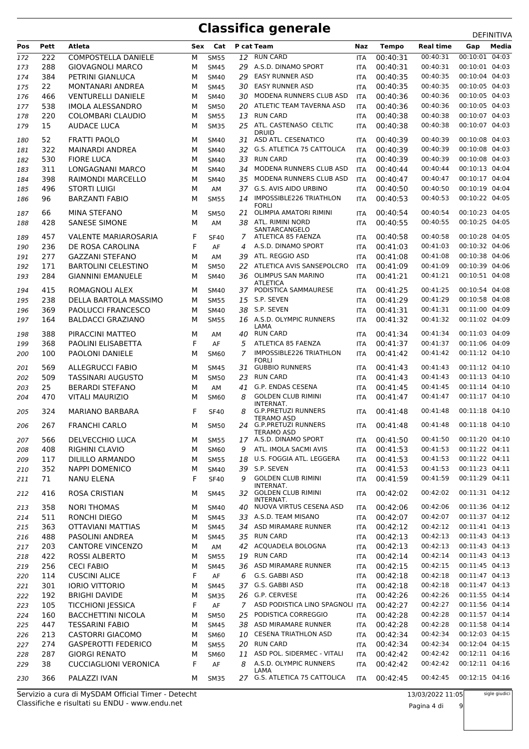| 00:10:01 04:03<br><b>RUN CARD</b><br>00:40:31<br><b>COMPOSTELLA DANIELE</b><br>00:40:31<br>222<br>12<br>172<br>М<br><b>SM55</b><br><b>ITA</b><br>288<br><b>GIOVAGNOLI MARCO</b><br>29 A.S.D. DINAMO SPORT<br>00:40:31<br>00:40:31<br>00:10:01 04:03<br>173<br>M<br><b>SM45</b><br><b>ITA</b><br>00:10:04 04:03<br><b>EASY RUNNER ASD</b><br>00:40:35<br>29<br>00:40:35<br>384<br>PETRINI GIANLUCA<br>M<br>174<br><b>SM40</b><br>ITA<br>00:10:05 04:03<br>30 EASY RUNNER ASD<br>00:40:35<br>22<br>MONTANARI ANDREA<br>00:40:35<br>175<br>M<br><b>SM45</b><br><b>ITA</b><br>00:10:05 04:03<br><b>VENTURELLI DANIELE</b><br>30 MODENA RUNNERS CLUB ASD<br>00:40:36<br>00:40:36<br>466<br><b>SM40</b><br><b>ITA</b><br>176<br>м<br>00:10:05 04:03<br>ATLETIC TEAM TAVERNA ASD<br>00:40:36<br>538<br><b>IMOLA ALESSANDRO</b><br>00:40:36<br>20<br>177<br>м<br><b>SM50</b><br>ITA<br>00:10:07 04:03<br><b>RUN CARD</b><br>00:40:38<br><b>COLOMBARI CLAUDIO</b><br>00:40:38<br>220<br>M<br><b>SM55</b><br>13<br>178<br><b>ITA</b><br>25 ATL. CASTENASO CELTIC<br>00:10:07 04:03<br>15<br><b>AUDACE LUCA</b><br>00:40:38<br>00:40:38<br>179<br><b>SM35</b><br>м<br><b>ITA</b><br><b>DRUID</b><br>ASD ATL. CESENATICO<br>00:10:08 04:03<br>52<br>00:40:39<br>FRATTI PAOLO<br>00:40:39<br>180<br>м<br><b>SM40</b><br>31<br><b>ITA</b><br>322<br><b>MAINARDI ANDREA</b><br><b>G.S. ATLETICA 75 CATTOLICA</b><br>00:40:39<br>00:40:39<br>00:10:08 04:03<br><b>SM40</b><br>32<br>181<br>м<br><b>ITA</b><br>00:10:08 04:03<br><b>RUN CARD</b><br>00:40:39<br>530<br><b>FIORE LUCA</b><br>00:40:39<br>182<br>M<br>SM40<br>33<br>ITA<br>00:10:13 04:04<br>MODENA RUNNERS CLUB ASD<br>00:40:44<br>LONGAGNANI MARCO<br>00:40:44<br>183<br>311<br>M<br><b>SM40</b><br>34<br><b>ITA</b><br>00:10:17 04:04<br>398<br>RAIMONDI MARCELLO<br>MODENA RUNNERS CLUB ASD<br>00:40:47<br>00:40:47<br>184<br>M<br>SM40<br>35<br><b>ITA</b><br>00:10:19 04:04<br>G.S. AVIS AIDO URBINO<br>00:40:50<br><b>STORTI LUIGI</b><br>00:40:50<br>185<br>496<br>37<br>м<br>AM<br>ITA<br>IMPOSSIBLE226 TRIATHLON<br>00:10:22 04:05<br><b>BARZANTI FABIO</b><br>00:40:53<br>00:40:53<br>96<br>M<br><b>SM55</b><br>14<br>186<br><b>ITA</b><br><b>FORLI</b><br>OLIMPIA AMATORI RIMINI<br>00:40:54<br>00:10:23 04:05<br>MINA STEFANO<br>00:40:54<br>66<br>187<br>м<br><b>SM50</b><br>21<br><b>ITA</b><br>00:10:25 04:05<br><b>SANESE SIMONE</b><br>ATL. RIMINI NORD<br>00:40:55<br>00:40:55<br>428<br>M<br>AM<br>38<br>188<br><b>ITA</b><br>SANTARCANGELO<br>00:40:58<br>00:10:28 04:05<br>457<br>F<br>ATLETICA 85 FAENZA<br>00:40:58<br><b>VALENTE MARIAROSARIA</b><br>189<br><b>SF40</b><br>7<br><b>ITA</b><br>F<br>00:10:32 04:06<br>DE ROSA CAROLINA<br>A.S.D. DINAMO SPORT<br>00:41:03<br>00:41:03<br>236<br>AF<br><b>ITA</b><br>190<br>4<br>00:10:38 04:06<br>277<br><b>GAZZANI STEFANO</b><br>ATL. REGGIO ASD<br>00:41:08<br>00:41:08<br>M<br>39<br>AM<br><b>ITA</b><br>191<br>ATLETICA AVIS SANSEPOLCRO<br>00:10:39 04:06<br>00:41:09<br><b>BARTOLINI CELESTINO</b><br>00:41:09<br>171<br>M<br>22<br>192<br><b>SM50</b><br>ITA<br>00:10:51 04:08<br>36 OLIMPUS SAN MARINO<br>00:41:21<br>193<br>284<br><b>GIANNINI EMANUELE</b><br>M<br><b>SM40</b><br>00:41:21<br><b>ITA</b><br>ATLETICA<br>00:41:25<br>00:10:54 04:08<br>415<br>37 PODISTICA SAMMAURESE<br>00:41:25<br>ROMAGNOLI ALEX<br>194<br>м<br><b>SM40</b><br><b>ITA</b><br>00:10:58 04:08<br>238<br>DELLA BARTOLA MASSIMO<br>15 S.P. SEVEN<br>00:41:29<br>00:41:29<br>M<br><b>SM55</b><br><b>ITA</b><br>195<br>00:11:00 04:09<br>PAOLUCCI FRANCESCO<br>38 S.P. SEVEN<br>00:41:31<br>00:41:31<br>369<br>м<br><b>SM40</b><br><b>ITA</b><br>196<br>16 A.S.D. OLYMPIC RUNNERS<br>00:41:32<br>00:11:02 04:09<br><b>BALDACCI GRAZIANO</b><br>00:41:32<br>164<br>197<br>м<br><b>SM55</b><br>ITA<br>LAMA<br>388<br>PIRACCINI MATTEO<br>40 RUN CARD<br>00:41:34<br>00:41:34<br>00:11:03 04:09<br>M<br>198<br>AM<br><b>ITA</b><br>00:11:06 04:09<br>F<br>ATLETICA 85 FAENZA<br>00:41:37<br>AF<br>5<br>00:41:37<br>368<br>PAOLINI ELISABETTA<br>199<br>ITA<br>IMPOSSIBLE226 TRIATHLON<br>00:41:42<br>00:41:42<br>00:11:12 04:10<br>100<br>PAOLONI DANIELE<br>M<br>7<br>200<br><b>SM60</b><br><b>ITA</b><br><b>FORLI</b><br><b>GUBBIO RUNNERS</b><br>00:41:43<br>00:11:12 04:10<br><b>ALLEGRUCCI FABIO</b><br>00:41:43<br>569<br>201<br>м<br><b>SM45</b><br>31<br><b>ITA</b><br>00:11:13 04:10<br>509<br><b>TASSINARI AUGUSTO</b><br><b>RUN CARD</b><br>00:41:43<br>00:41:43<br>202<br>M<br><b>SM50</b><br>23<br><b>ITA</b><br>25<br><b>BERARDI STEFANO</b><br>G.P. ENDAS CESENA<br>00:41:45<br>00:41:45<br>00:11:14 04:10<br>M<br>203<br>AM<br>41<br><b>ITA</b><br>00:11:17 04:10<br><b>GOLDEN CLUB RIMINI</b><br>00:41:47<br>00:41:47<br>470<br><b>VITALI MAURIZIO</b><br>8<br>204<br>м<br><b>SM60</b><br><b>ITA</b><br>INTERNAT.<br>G.P.PRETUZI RUNNERS<br>00:11:18 04:10<br>00:41:48<br>324<br><b>MARIANO BARBARA</b><br>F<br>00:41:48<br><b>SF40</b><br><b>ITA</b><br>205<br>8<br>TERAMO ASD<br>267<br><b>FRANCHI CARLO</b><br>24 G.P.PRETUZI RUNNERS<br>00:11:18 04:10<br>00:41:48<br>00:41:48<br>206<br>м<br><b>SM50</b><br><b>ITA</b><br>TERAMO ASD<br>00:41:50  00:11:20  04:10<br>17 A.S.D. DINAMO SPORT<br>00:41:50<br>DELVECCHIO LUCA<br>566<br>М<br><b>ITA</b><br>207<br><b>SM55</b><br>00:11:22 04:11<br>408<br>RIGHINI CLAVIO<br>ATL. IMOLA SACMI AVIS<br>00:41:53<br>00:41:53<br>208<br>М<br><b>SM60</b><br>9<br>ITA<br>00:11:22 04:11<br>U.S. FOGGIA ATL. LEGGERA<br>00:41:53<br>00:41:53<br>117<br>DILILLO ARMANDO<br><b>SM55</b><br>18<br>209<br>М<br>ITA<br>39 S.P. SEVEN<br>00:41:53<br>00:11:23 04:11<br>352<br><b>NAPPI DOMENICO</b><br>00:41:53<br>210<br>М<br><b>SM40</b><br>ITA<br><b>GOLDEN CLUB RIMINI</b><br>00:11:29 04:11<br>71<br><b>NANU ELENA</b><br>F<br><b>SF40</b><br>00:41:59<br>00:41:59<br>211<br>9<br>ITA<br>INTERNAT.<br>32 GOLDEN CLUB RIMINI<br>00:11:31 04:12<br>00:42:02<br>416<br>ROSA CRISTIAN<br>00:42:02<br>212<br><b>SM45</b><br>м<br>ITA<br>INTERNAT.<br>NUOVA VIRTUS CESENA ASD<br>00:11:36 04:12<br>358<br>00:42:06<br><b>NORI THOMAS</b><br>00:42:06<br><b>SM40</b><br>40<br>213<br>м<br>ITA<br>00:42:07<br>00:11:37 04:12<br>33 A.S.D. TEAM MISANO<br>00:42:07<br>511<br>RONCHI DIEGO<br>214<br>М<br><b>SM45</b><br>ITA<br>00:11:41 04:13<br>00:42:12<br>363<br>OTTAVIANI MATTIAS<br><b>SM45</b><br>34 ASD MIRAMARE RUNNER<br>00:42:12<br>215<br>М<br>ITA<br>00:42:13<br>00:11:43 04:13<br>35 RUN CARD<br>00:42:13<br>488<br>PASOLINI ANDREA<br>216<br>М<br><b>SM45</b><br>ITA<br>ACQUADELA BOLOGNA<br>00:42:13<br>00:11:43 04:13<br>203<br><b>CANTORE VINCENZO</b><br>42<br>00:42:13<br>217<br>М<br>AM<br>ITA<br><b>RUN CARD</b><br>00:11:43 04:13<br>422<br>ROSSI ALBERTO<br>19<br>00:42:14<br>00:42:14<br>218<br>М<br><b>SM55</b><br>ITA<br>36 ASD MIRAMARE RUNNER<br>00:11:45 04:13<br>256<br><b>CECI FABIO</b><br>00:42:15<br>00:42:15<br>219<br><b>SM45</b><br>ITA<br>м<br>00:11:47 04:13<br>F<br>G.S. GABBI ASD<br>00:42:18<br>00:42:18<br><b>CUSCINI ALICE</b><br>AF<br>220<br>114<br>6<br>ITA<br>37 G.S. GABBI ASD<br>00:42:18<br>00:42:18<br>00:11:47 04:13<br>301<br><b>IORIO VITTORIO</b><br>М<br><b>SM45</b><br>221<br>ITA<br>26 G.P. CERVESE<br>00:42:26<br>00:11:55 04:14<br>00:42:26<br>192<br><b>BRIGHI DAVIDE</b><br>222<br>М<br><b>SM35</b><br>ITA<br>00:11:56 04:14<br>F<br>ASD PODISTICA LINO SPAGNOLI ITA<br>00:42:27<br>00:42:27<br>105<br><b>TICCHIONI JESSICA</b><br>AF<br>$7^{\circ}$<br>223<br>00:11:57 04:14<br>PODISTICA CORREGGIO<br>00:42:28<br>00:42:28<br>160<br><b>BACCHETTINI NICOLA</b><br>25<br>М<br><b>SM50</b><br>224<br>ITA<br>38 ASD MIRAMARE RUNNER<br>00:42:28<br>00:11:58 04:14<br><b>TESSARINI FABIO</b><br>00:42:28<br>447<br><b>SM45</b><br>225<br>М<br>ITA<br>00:12:03 04:15<br><b>CESENA TRIATHLON ASD</b><br>00:42:34<br>00:42:34<br>213<br><b>CASTORRI GIACOMO</b><br>10<br>226<br>М<br><b>SM60</b><br>ITA<br><b>GASPEROTTI FEDERICO</b><br>20 RUN CARD<br>00:42:34<br>00:42:34<br>00:12:04 04:15<br>274<br>М<br><b>SM55</b><br>227<br>ITA<br>ASD POL. SIDERMEC - VITALI<br>00:42:42<br>00:12:11 04:16<br>287<br><b>GIORGI RENATO</b><br>00:42:42<br>SM60<br>11<br>228<br>М<br>ITA<br>00:12:11 04:16<br>F<br>A.S.D. OLYMPIC RUNNERS<br>00:42:42<br>38<br><b>CUCCIAGLIONI VERONICA</b><br>AF<br>8<br>00:42:42<br>229<br>ITA<br>LAMA<br>27 G.S. ATLETICA 75 CATTOLICA<br>00:42:45<br>00:12:15 04:16<br>PALAZZI IVAN<br>00:42:45<br>366<br><b>ITA</b><br>230<br>м<br>SM35<br>sigle giudici<br>Servizio a cura di MySDAM Official Timer - Detecht<br>13/03/2022 11:05 | Pos | Pett | Atleta | Sex | Cat | P cat Team | Naz | <b>Tempo</b> | <b>Real time</b> | Media<br>Gap |
|--------------------------------------------------------------------------------------------------------------------------------------------------------------------------------------------------------------------------------------------------------------------------------------------------------------------------------------------------------------------------------------------------------------------------------------------------------------------------------------------------------------------------------------------------------------------------------------------------------------------------------------------------------------------------------------------------------------------------------------------------------------------------------------------------------------------------------------------------------------------------------------------------------------------------------------------------------------------------------------------------------------------------------------------------------------------------------------------------------------------------------------------------------------------------------------------------------------------------------------------------------------------------------------------------------------------------------------------------------------------------------------------------------------------------------------------------------------------------------------------------------------------------------------------------------------------------------------------------------------------------------------------------------------------------------------------------------------------------------------------------------------------------------------------------------------------------------------------------------------------------------------------------------------------------------------------------------------------------------------------------------------------------------------------------------------------------------------------------------------------------------------------------------------------------------------------------------------------------------------------------------------------------------------------------------------------------------------------------------------------------------------------------------------------------------------------------------------------------------------------------------------------------------------------------------------------------------------------------------------------------------------------------------------------------------------------------------------------------------------------------------------------------------------------------------------------------------------------------------------------------------------------------------------------------------------------------------------------------------------------------------------------------------------------------------------------------------------------------------------------------------------------------------------------------------------------------------------------------------------------------------------------------------------------------------------------------------------------------------------------------------------------------------------------------------------------------------------------------------------------------------------------------------------------------------------------------------------------------------------------------------------------------------------------------------------------------------------------------------------------------------------------------------------------------------------------------------------------------------------------------------------------------------------------------------------------------------------------------------------------------------------------------------------------------------------------------------------------------------------------------------------------------------------------------------------------------------------------------------------------------------------------------------------------------------------------------------------------------------------------------------------------------------------------------------------------------------------------------------------------------------------------------------------------------------------------------------------------------------------------------------------------------------------------------------------------------------------------------------------------------------------------------------------------------------------------------------------------------------------------------------------------------------------------------------------------------------------------------------------------------------------------------------------------------------------------------------------------------------------------------------------------------------------------------------------------------------------------------------------------------------------------------------------------------------------------------------------------------------------------------------------------------------------------------------------------------------------------------------------------------------------------------------------------------------------------------------------------------------------------------------------------------------------------------------------------------------------------------------------------------------------------------------------------------------------------------------------------------------------------------------------------------------------------------------------------------------------------------------------------------------------------------------------------------------------------------------------------------------------------------------------------------------------------------------------------------------------------------------------------------------------------------------------------------------------------------------------------------------------------------------------------------------------------------------------------------------------------------------------------------------------------------------------------------------------------------------------------------------------------------------------------------------------------------------------------------------------------------------------------------------------------------------------------------------------------------------------------------------------------------------------------------------------------------------------------------------------------------------------------------------------------------------------------------------------------------------------------------------------------------------------------------------------------------------------------------------------------------------------------------------------------------------------------------------------------------------------------------------------------------------------------------------------------------------------------------------------------------------------------------------------------------------------------------------------------------------------------------------------------------------------------------------------------------------------------------------------------------------------------------------------------------------------------------------------------------------------------------------------------------------------------------------------------------------------------------------------------------------------------------------------------------------------------------------------------------------------------------------------------------------------------------------------------------------------------------------------------------------------------------------------------------------------------------------------------------------------------------------------------------------------------------------------------------------------------------------------------------------------------------------------------------------------------------------------------------------------|-----|------|--------|-----|-----|------------|-----|--------------|------------------|--------------|
|                                                                                                                                                                                                                                                                                                                                                                                                                                                                                                                                                                                                                                                                                                                                                                                                                                                                                                                                                                                                                                                                                                                                                                                                                                                                                                                                                                                                                                                                                                                                                                                                                                                                                                                                                                                                                                                                                                                                                                                                                                                                                                                                                                                                                                                                                                                                                                                                                                                                                                                                                                                                                                                                                                                                                                                                                                                                                                                                                                                                                                                                                                                                                                                                                                                                                                                                                                                                                                                                                                                                                                                                                                                                                                                                                                                                                                                                                                                                                                                                                                                                                                                                                                                                                                                                                                                                                                                                                                                                                                                                                                                                                                                                                                                                                                                                                                                                                                                                                                                                                                                                                                                                                                                                                                                                                                                                                                                                                                                                                                                                                                                                                                                                                                                                                                                                                                                                                                                                                                                                                                                                                                                                                                                                                                                                                                                                                                                                                                                                                                                                                                                                                                                                                                                                                                                                                                                                                                                                                                                                                                                                                                                                                                                                                                                                                                                                                                                                                                                                                                                                                                                                                                                                                                                                                                                                                                                                                                                                                                                                                                                                                                                                                                                                                                                                                                                                                                                                                                                                                                                                                                                      |     |      |        |     |     |            |     |              |                  |              |
|                                                                                                                                                                                                                                                                                                                                                                                                                                                                                                                                                                                                                                                                                                                                                                                                                                                                                                                                                                                                                                                                                                                                                                                                                                                                                                                                                                                                                                                                                                                                                                                                                                                                                                                                                                                                                                                                                                                                                                                                                                                                                                                                                                                                                                                                                                                                                                                                                                                                                                                                                                                                                                                                                                                                                                                                                                                                                                                                                                                                                                                                                                                                                                                                                                                                                                                                                                                                                                                                                                                                                                                                                                                                                                                                                                                                                                                                                                                                                                                                                                                                                                                                                                                                                                                                                                                                                                                                                                                                                                                                                                                                                                                                                                                                                                                                                                                                                                                                                                                                                                                                                                                                                                                                                                                                                                                                                                                                                                                                                                                                                                                                                                                                                                                                                                                                                                                                                                                                                                                                                                                                                                                                                                                                                                                                                                                                                                                                                                                                                                                                                                                                                                                                                                                                                                                                                                                                                                                                                                                                                                                                                                                                                                                                                                                                                                                                                                                                                                                                                                                                                                                                                                                                                                                                                                                                                                                                                                                                                                                                                                                                                                                                                                                                                                                                                                                                                                                                                                                                                                                                                                                      |     |      |        |     |     |            |     |              |                  |              |
|                                                                                                                                                                                                                                                                                                                                                                                                                                                                                                                                                                                                                                                                                                                                                                                                                                                                                                                                                                                                                                                                                                                                                                                                                                                                                                                                                                                                                                                                                                                                                                                                                                                                                                                                                                                                                                                                                                                                                                                                                                                                                                                                                                                                                                                                                                                                                                                                                                                                                                                                                                                                                                                                                                                                                                                                                                                                                                                                                                                                                                                                                                                                                                                                                                                                                                                                                                                                                                                                                                                                                                                                                                                                                                                                                                                                                                                                                                                                                                                                                                                                                                                                                                                                                                                                                                                                                                                                                                                                                                                                                                                                                                                                                                                                                                                                                                                                                                                                                                                                                                                                                                                                                                                                                                                                                                                                                                                                                                                                                                                                                                                                                                                                                                                                                                                                                                                                                                                                                                                                                                                                                                                                                                                                                                                                                                                                                                                                                                                                                                                                                                                                                                                                                                                                                                                                                                                                                                                                                                                                                                                                                                                                                                                                                                                                                                                                                                                                                                                                                                                                                                                                                                                                                                                                                                                                                                                                                                                                                                                                                                                                                                                                                                                                                                                                                                                                                                                                                                                                                                                                                                                      |     |      |        |     |     |            |     |              |                  |              |
|                                                                                                                                                                                                                                                                                                                                                                                                                                                                                                                                                                                                                                                                                                                                                                                                                                                                                                                                                                                                                                                                                                                                                                                                                                                                                                                                                                                                                                                                                                                                                                                                                                                                                                                                                                                                                                                                                                                                                                                                                                                                                                                                                                                                                                                                                                                                                                                                                                                                                                                                                                                                                                                                                                                                                                                                                                                                                                                                                                                                                                                                                                                                                                                                                                                                                                                                                                                                                                                                                                                                                                                                                                                                                                                                                                                                                                                                                                                                                                                                                                                                                                                                                                                                                                                                                                                                                                                                                                                                                                                                                                                                                                                                                                                                                                                                                                                                                                                                                                                                                                                                                                                                                                                                                                                                                                                                                                                                                                                                                                                                                                                                                                                                                                                                                                                                                                                                                                                                                                                                                                                                                                                                                                                                                                                                                                                                                                                                                                                                                                                                                                                                                                                                                                                                                                                                                                                                                                                                                                                                                                                                                                                                                                                                                                                                                                                                                                                                                                                                                                                                                                                                                                                                                                                                                                                                                                                                                                                                                                                                                                                                                                                                                                                                                                                                                                                                                                                                                                                                                                                                                                                      |     |      |        |     |     |            |     |              |                  |              |
|                                                                                                                                                                                                                                                                                                                                                                                                                                                                                                                                                                                                                                                                                                                                                                                                                                                                                                                                                                                                                                                                                                                                                                                                                                                                                                                                                                                                                                                                                                                                                                                                                                                                                                                                                                                                                                                                                                                                                                                                                                                                                                                                                                                                                                                                                                                                                                                                                                                                                                                                                                                                                                                                                                                                                                                                                                                                                                                                                                                                                                                                                                                                                                                                                                                                                                                                                                                                                                                                                                                                                                                                                                                                                                                                                                                                                                                                                                                                                                                                                                                                                                                                                                                                                                                                                                                                                                                                                                                                                                                                                                                                                                                                                                                                                                                                                                                                                                                                                                                                                                                                                                                                                                                                                                                                                                                                                                                                                                                                                                                                                                                                                                                                                                                                                                                                                                                                                                                                                                                                                                                                                                                                                                                                                                                                                                                                                                                                                                                                                                                                                                                                                                                                                                                                                                                                                                                                                                                                                                                                                                                                                                                                                                                                                                                                                                                                                                                                                                                                                                                                                                                                                                                                                                                                                                                                                                                                                                                                                                                                                                                                                                                                                                                                                                                                                                                                                                                                                                                                                                                                                                                      |     |      |        |     |     |            |     |              |                  |              |
|                                                                                                                                                                                                                                                                                                                                                                                                                                                                                                                                                                                                                                                                                                                                                                                                                                                                                                                                                                                                                                                                                                                                                                                                                                                                                                                                                                                                                                                                                                                                                                                                                                                                                                                                                                                                                                                                                                                                                                                                                                                                                                                                                                                                                                                                                                                                                                                                                                                                                                                                                                                                                                                                                                                                                                                                                                                                                                                                                                                                                                                                                                                                                                                                                                                                                                                                                                                                                                                                                                                                                                                                                                                                                                                                                                                                                                                                                                                                                                                                                                                                                                                                                                                                                                                                                                                                                                                                                                                                                                                                                                                                                                                                                                                                                                                                                                                                                                                                                                                                                                                                                                                                                                                                                                                                                                                                                                                                                                                                                                                                                                                                                                                                                                                                                                                                                                                                                                                                                                                                                                                                                                                                                                                                                                                                                                                                                                                                                                                                                                                                                                                                                                                                                                                                                                                                                                                                                                                                                                                                                                                                                                                                                                                                                                                                                                                                                                                                                                                                                                                                                                                                                                                                                                                                                                                                                                                                                                                                                                                                                                                                                                                                                                                                                                                                                                                                                                                                                                                                                                                                                                                      |     |      |        |     |     |            |     |              |                  |              |
|                                                                                                                                                                                                                                                                                                                                                                                                                                                                                                                                                                                                                                                                                                                                                                                                                                                                                                                                                                                                                                                                                                                                                                                                                                                                                                                                                                                                                                                                                                                                                                                                                                                                                                                                                                                                                                                                                                                                                                                                                                                                                                                                                                                                                                                                                                                                                                                                                                                                                                                                                                                                                                                                                                                                                                                                                                                                                                                                                                                                                                                                                                                                                                                                                                                                                                                                                                                                                                                                                                                                                                                                                                                                                                                                                                                                                                                                                                                                                                                                                                                                                                                                                                                                                                                                                                                                                                                                                                                                                                                                                                                                                                                                                                                                                                                                                                                                                                                                                                                                                                                                                                                                                                                                                                                                                                                                                                                                                                                                                                                                                                                                                                                                                                                                                                                                                                                                                                                                                                                                                                                                                                                                                                                                                                                                                                                                                                                                                                                                                                                                                                                                                                                                                                                                                                                                                                                                                                                                                                                                                                                                                                                                                                                                                                                                                                                                                                                                                                                                                                                                                                                                                                                                                                                                                                                                                                                                                                                                                                                                                                                                                                                                                                                                                                                                                                                                                                                                                                                                                                                                                                                      |     |      |        |     |     |            |     |              |                  |              |
|                                                                                                                                                                                                                                                                                                                                                                                                                                                                                                                                                                                                                                                                                                                                                                                                                                                                                                                                                                                                                                                                                                                                                                                                                                                                                                                                                                                                                                                                                                                                                                                                                                                                                                                                                                                                                                                                                                                                                                                                                                                                                                                                                                                                                                                                                                                                                                                                                                                                                                                                                                                                                                                                                                                                                                                                                                                                                                                                                                                                                                                                                                                                                                                                                                                                                                                                                                                                                                                                                                                                                                                                                                                                                                                                                                                                                                                                                                                                                                                                                                                                                                                                                                                                                                                                                                                                                                                                                                                                                                                                                                                                                                                                                                                                                                                                                                                                                                                                                                                                                                                                                                                                                                                                                                                                                                                                                                                                                                                                                                                                                                                                                                                                                                                                                                                                                                                                                                                                                                                                                                                                                                                                                                                                                                                                                                                                                                                                                                                                                                                                                                                                                                                                                                                                                                                                                                                                                                                                                                                                                                                                                                                                                                                                                                                                                                                                                                                                                                                                                                                                                                                                                                                                                                                                                                                                                                                                                                                                                                                                                                                                                                                                                                                                                                                                                                                                                                                                                                                                                                                                                                                      |     |      |        |     |     |            |     |              |                  |              |
|                                                                                                                                                                                                                                                                                                                                                                                                                                                                                                                                                                                                                                                                                                                                                                                                                                                                                                                                                                                                                                                                                                                                                                                                                                                                                                                                                                                                                                                                                                                                                                                                                                                                                                                                                                                                                                                                                                                                                                                                                                                                                                                                                                                                                                                                                                                                                                                                                                                                                                                                                                                                                                                                                                                                                                                                                                                                                                                                                                                                                                                                                                                                                                                                                                                                                                                                                                                                                                                                                                                                                                                                                                                                                                                                                                                                                                                                                                                                                                                                                                                                                                                                                                                                                                                                                                                                                                                                                                                                                                                                                                                                                                                                                                                                                                                                                                                                                                                                                                                                                                                                                                                                                                                                                                                                                                                                                                                                                                                                                                                                                                                                                                                                                                                                                                                                                                                                                                                                                                                                                                                                                                                                                                                                                                                                                                                                                                                                                                                                                                                                                                                                                                                                                                                                                                                                                                                                                                                                                                                                                                                                                                                                                                                                                                                                                                                                                                                                                                                                                                                                                                                                                                                                                                                                                                                                                                                                                                                                                                                                                                                                                                                                                                                                                                                                                                                                                                                                                                                                                                                                                                                      |     |      |        |     |     |            |     |              |                  |              |
|                                                                                                                                                                                                                                                                                                                                                                                                                                                                                                                                                                                                                                                                                                                                                                                                                                                                                                                                                                                                                                                                                                                                                                                                                                                                                                                                                                                                                                                                                                                                                                                                                                                                                                                                                                                                                                                                                                                                                                                                                                                                                                                                                                                                                                                                                                                                                                                                                                                                                                                                                                                                                                                                                                                                                                                                                                                                                                                                                                                                                                                                                                                                                                                                                                                                                                                                                                                                                                                                                                                                                                                                                                                                                                                                                                                                                                                                                                                                                                                                                                                                                                                                                                                                                                                                                                                                                                                                                                                                                                                                                                                                                                                                                                                                                                                                                                                                                                                                                                                                                                                                                                                                                                                                                                                                                                                                                                                                                                                                                                                                                                                                                                                                                                                                                                                                                                                                                                                                                                                                                                                                                                                                                                                                                                                                                                                                                                                                                                                                                                                                                                                                                                                                                                                                                                                                                                                                                                                                                                                                                                                                                                                                                                                                                                                                                                                                                                                                                                                                                                                                                                                                                                                                                                                                                                                                                                                                                                                                                                                                                                                                                                                                                                                                                                                                                                                                                                                                                                                                                                                                                                                      |     |      |        |     |     |            |     |              |                  |              |
|                                                                                                                                                                                                                                                                                                                                                                                                                                                                                                                                                                                                                                                                                                                                                                                                                                                                                                                                                                                                                                                                                                                                                                                                                                                                                                                                                                                                                                                                                                                                                                                                                                                                                                                                                                                                                                                                                                                                                                                                                                                                                                                                                                                                                                                                                                                                                                                                                                                                                                                                                                                                                                                                                                                                                                                                                                                                                                                                                                                                                                                                                                                                                                                                                                                                                                                                                                                                                                                                                                                                                                                                                                                                                                                                                                                                                                                                                                                                                                                                                                                                                                                                                                                                                                                                                                                                                                                                                                                                                                                                                                                                                                                                                                                                                                                                                                                                                                                                                                                                                                                                                                                                                                                                                                                                                                                                                                                                                                                                                                                                                                                                                                                                                                                                                                                                                                                                                                                                                                                                                                                                                                                                                                                                                                                                                                                                                                                                                                                                                                                                                                                                                                                                                                                                                                                                                                                                                                                                                                                                                                                                                                                                                                                                                                                                                                                                                                                                                                                                                                                                                                                                                                                                                                                                                                                                                                                                                                                                                                                                                                                                                                                                                                                                                                                                                                                                                                                                                                                                                                                                                                                      |     |      |        |     |     |            |     |              |                  |              |
|                                                                                                                                                                                                                                                                                                                                                                                                                                                                                                                                                                                                                                                                                                                                                                                                                                                                                                                                                                                                                                                                                                                                                                                                                                                                                                                                                                                                                                                                                                                                                                                                                                                                                                                                                                                                                                                                                                                                                                                                                                                                                                                                                                                                                                                                                                                                                                                                                                                                                                                                                                                                                                                                                                                                                                                                                                                                                                                                                                                                                                                                                                                                                                                                                                                                                                                                                                                                                                                                                                                                                                                                                                                                                                                                                                                                                                                                                                                                                                                                                                                                                                                                                                                                                                                                                                                                                                                                                                                                                                                                                                                                                                                                                                                                                                                                                                                                                                                                                                                                                                                                                                                                                                                                                                                                                                                                                                                                                                                                                                                                                                                                                                                                                                                                                                                                                                                                                                                                                                                                                                                                                                                                                                                                                                                                                                                                                                                                                                                                                                                                                                                                                                                                                                                                                                                                                                                                                                                                                                                                                                                                                                                                                                                                                                                                                                                                                                                                                                                                                                                                                                                                                                                                                                                                                                                                                                                                                                                                                                                                                                                                                                                                                                                                                                                                                                                                                                                                                                                                                                                                                                                      |     |      |        |     |     |            |     |              |                  |              |
|                                                                                                                                                                                                                                                                                                                                                                                                                                                                                                                                                                                                                                                                                                                                                                                                                                                                                                                                                                                                                                                                                                                                                                                                                                                                                                                                                                                                                                                                                                                                                                                                                                                                                                                                                                                                                                                                                                                                                                                                                                                                                                                                                                                                                                                                                                                                                                                                                                                                                                                                                                                                                                                                                                                                                                                                                                                                                                                                                                                                                                                                                                                                                                                                                                                                                                                                                                                                                                                                                                                                                                                                                                                                                                                                                                                                                                                                                                                                                                                                                                                                                                                                                                                                                                                                                                                                                                                                                                                                                                                                                                                                                                                                                                                                                                                                                                                                                                                                                                                                                                                                                                                                                                                                                                                                                                                                                                                                                                                                                                                                                                                                                                                                                                                                                                                                                                                                                                                                                                                                                                                                                                                                                                                                                                                                                                                                                                                                                                                                                                                                                                                                                                                                                                                                                                                                                                                                                                                                                                                                                                                                                                                                                                                                                                                                                                                                                                                                                                                                                                                                                                                                                                                                                                                                                                                                                                                                                                                                                                                                                                                                                                                                                                                                                                                                                                                                                                                                                                                                                                                                                                                      |     |      |        |     |     |            |     |              |                  |              |
|                                                                                                                                                                                                                                                                                                                                                                                                                                                                                                                                                                                                                                                                                                                                                                                                                                                                                                                                                                                                                                                                                                                                                                                                                                                                                                                                                                                                                                                                                                                                                                                                                                                                                                                                                                                                                                                                                                                                                                                                                                                                                                                                                                                                                                                                                                                                                                                                                                                                                                                                                                                                                                                                                                                                                                                                                                                                                                                                                                                                                                                                                                                                                                                                                                                                                                                                                                                                                                                                                                                                                                                                                                                                                                                                                                                                                                                                                                                                                                                                                                                                                                                                                                                                                                                                                                                                                                                                                                                                                                                                                                                                                                                                                                                                                                                                                                                                                                                                                                                                                                                                                                                                                                                                                                                                                                                                                                                                                                                                                                                                                                                                                                                                                                                                                                                                                                                                                                                                                                                                                                                                                                                                                                                                                                                                                                                                                                                                                                                                                                                                                                                                                                                                                                                                                                                                                                                                                                                                                                                                                                                                                                                                                                                                                                                                                                                                                                                                                                                                                                                                                                                                                                                                                                                                                                                                                                                                                                                                                                                                                                                                                                                                                                                                                                                                                                                                                                                                                                                                                                                                                                                      |     |      |        |     |     |            |     |              |                  |              |
|                                                                                                                                                                                                                                                                                                                                                                                                                                                                                                                                                                                                                                                                                                                                                                                                                                                                                                                                                                                                                                                                                                                                                                                                                                                                                                                                                                                                                                                                                                                                                                                                                                                                                                                                                                                                                                                                                                                                                                                                                                                                                                                                                                                                                                                                                                                                                                                                                                                                                                                                                                                                                                                                                                                                                                                                                                                                                                                                                                                                                                                                                                                                                                                                                                                                                                                                                                                                                                                                                                                                                                                                                                                                                                                                                                                                                                                                                                                                                                                                                                                                                                                                                                                                                                                                                                                                                                                                                                                                                                                                                                                                                                                                                                                                                                                                                                                                                                                                                                                                                                                                                                                                                                                                                                                                                                                                                                                                                                                                                                                                                                                                                                                                                                                                                                                                                                                                                                                                                                                                                                                                                                                                                                                                                                                                                                                                                                                                                                                                                                                                                                                                                                                                                                                                                                                                                                                                                                                                                                                                                                                                                                                                                                                                                                                                                                                                                                                                                                                                                                                                                                                                                                                                                                                                                                                                                                                                                                                                                                                                                                                                                                                                                                                                                                                                                                                                                                                                                                                                                                                                                                                      |     |      |        |     |     |            |     |              |                  |              |
|                                                                                                                                                                                                                                                                                                                                                                                                                                                                                                                                                                                                                                                                                                                                                                                                                                                                                                                                                                                                                                                                                                                                                                                                                                                                                                                                                                                                                                                                                                                                                                                                                                                                                                                                                                                                                                                                                                                                                                                                                                                                                                                                                                                                                                                                                                                                                                                                                                                                                                                                                                                                                                                                                                                                                                                                                                                                                                                                                                                                                                                                                                                                                                                                                                                                                                                                                                                                                                                                                                                                                                                                                                                                                                                                                                                                                                                                                                                                                                                                                                                                                                                                                                                                                                                                                                                                                                                                                                                                                                                                                                                                                                                                                                                                                                                                                                                                                                                                                                                                                                                                                                                                                                                                                                                                                                                                                                                                                                                                                                                                                                                                                                                                                                                                                                                                                                                                                                                                                                                                                                                                                                                                                                                                                                                                                                                                                                                                                                                                                                                                                                                                                                                                                                                                                                                                                                                                                                                                                                                                                                                                                                                                                                                                                                                                                                                                                                                                                                                                                                                                                                                                                                                                                                                                                                                                                                                                                                                                                                                                                                                                                                                                                                                                                                                                                                                                                                                                                                                                                                                                                                                      |     |      |        |     |     |            |     |              |                  |              |
|                                                                                                                                                                                                                                                                                                                                                                                                                                                                                                                                                                                                                                                                                                                                                                                                                                                                                                                                                                                                                                                                                                                                                                                                                                                                                                                                                                                                                                                                                                                                                                                                                                                                                                                                                                                                                                                                                                                                                                                                                                                                                                                                                                                                                                                                                                                                                                                                                                                                                                                                                                                                                                                                                                                                                                                                                                                                                                                                                                                                                                                                                                                                                                                                                                                                                                                                                                                                                                                                                                                                                                                                                                                                                                                                                                                                                                                                                                                                                                                                                                                                                                                                                                                                                                                                                                                                                                                                                                                                                                                                                                                                                                                                                                                                                                                                                                                                                                                                                                                                                                                                                                                                                                                                                                                                                                                                                                                                                                                                                                                                                                                                                                                                                                                                                                                                                                                                                                                                                                                                                                                                                                                                                                                                                                                                                                                                                                                                                                                                                                                                                                                                                                                                                                                                                                                                                                                                                                                                                                                                                                                                                                                                                                                                                                                                                                                                                                                                                                                                                                                                                                                                                                                                                                                                                                                                                                                                                                                                                                                                                                                                                                                                                                                                                                                                                                                                                                                                                                                                                                                                                                                      |     |      |        |     |     |            |     |              |                  |              |
|                                                                                                                                                                                                                                                                                                                                                                                                                                                                                                                                                                                                                                                                                                                                                                                                                                                                                                                                                                                                                                                                                                                                                                                                                                                                                                                                                                                                                                                                                                                                                                                                                                                                                                                                                                                                                                                                                                                                                                                                                                                                                                                                                                                                                                                                                                                                                                                                                                                                                                                                                                                                                                                                                                                                                                                                                                                                                                                                                                                                                                                                                                                                                                                                                                                                                                                                                                                                                                                                                                                                                                                                                                                                                                                                                                                                                                                                                                                                                                                                                                                                                                                                                                                                                                                                                                                                                                                                                                                                                                                                                                                                                                                                                                                                                                                                                                                                                                                                                                                                                                                                                                                                                                                                                                                                                                                                                                                                                                                                                                                                                                                                                                                                                                                                                                                                                                                                                                                                                                                                                                                                                                                                                                                                                                                                                                                                                                                                                                                                                                                                                                                                                                                                                                                                                                                                                                                                                                                                                                                                                                                                                                                                                                                                                                                                                                                                                                                                                                                                                                                                                                                                                                                                                                                                                                                                                                                                                                                                                                                                                                                                                                                                                                                                                                                                                                                                                                                                                                                                                                                                                                                      |     |      |        |     |     |            |     |              |                  |              |
|                                                                                                                                                                                                                                                                                                                                                                                                                                                                                                                                                                                                                                                                                                                                                                                                                                                                                                                                                                                                                                                                                                                                                                                                                                                                                                                                                                                                                                                                                                                                                                                                                                                                                                                                                                                                                                                                                                                                                                                                                                                                                                                                                                                                                                                                                                                                                                                                                                                                                                                                                                                                                                                                                                                                                                                                                                                                                                                                                                                                                                                                                                                                                                                                                                                                                                                                                                                                                                                                                                                                                                                                                                                                                                                                                                                                                                                                                                                                                                                                                                                                                                                                                                                                                                                                                                                                                                                                                                                                                                                                                                                                                                                                                                                                                                                                                                                                                                                                                                                                                                                                                                                                                                                                                                                                                                                                                                                                                                                                                                                                                                                                                                                                                                                                                                                                                                                                                                                                                                                                                                                                                                                                                                                                                                                                                                                                                                                                                                                                                                                                                                                                                                                                                                                                                                                                                                                                                                                                                                                                                                                                                                                                                                                                                                                                                                                                                                                                                                                                                                                                                                                                                                                                                                                                                                                                                                                                                                                                                                                                                                                                                                                                                                                                                                                                                                                                                                                                                                                                                                                                                                                      |     |      |        |     |     |            |     |              |                  |              |
|                                                                                                                                                                                                                                                                                                                                                                                                                                                                                                                                                                                                                                                                                                                                                                                                                                                                                                                                                                                                                                                                                                                                                                                                                                                                                                                                                                                                                                                                                                                                                                                                                                                                                                                                                                                                                                                                                                                                                                                                                                                                                                                                                                                                                                                                                                                                                                                                                                                                                                                                                                                                                                                                                                                                                                                                                                                                                                                                                                                                                                                                                                                                                                                                                                                                                                                                                                                                                                                                                                                                                                                                                                                                                                                                                                                                                                                                                                                                                                                                                                                                                                                                                                                                                                                                                                                                                                                                                                                                                                                                                                                                                                                                                                                                                                                                                                                                                                                                                                                                                                                                                                                                                                                                                                                                                                                                                                                                                                                                                                                                                                                                                                                                                                                                                                                                                                                                                                                                                                                                                                                                                                                                                                                                                                                                                                                                                                                                                                                                                                                                                                                                                                                                                                                                                                                                                                                                                                                                                                                                                                                                                                                                                                                                                                                                                                                                                                                                                                                                                                                                                                                                                                                                                                                                                                                                                                                                                                                                                                                                                                                                                                                                                                                                                                                                                                                                                                                                                                                                                                                                                                                      |     |      |        |     |     |            |     |              |                  |              |
|                                                                                                                                                                                                                                                                                                                                                                                                                                                                                                                                                                                                                                                                                                                                                                                                                                                                                                                                                                                                                                                                                                                                                                                                                                                                                                                                                                                                                                                                                                                                                                                                                                                                                                                                                                                                                                                                                                                                                                                                                                                                                                                                                                                                                                                                                                                                                                                                                                                                                                                                                                                                                                                                                                                                                                                                                                                                                                                                                                                                                                                                                                                                                                                                                                                                                                                                                                                                                                                                                                                                                                                                                                                                                                                                                                                                                                                                                                                                                                                                                                                                                                                                                                                                                                                                                                                                                                                                                                                                                                                                                                                                                                                                                                                                                                                                                                                                                                                                                                                                                                                                                                                                                                                                                                                                                                                                                                                                                                                                                                                                                                                                                                                                                                                                                                                                                                                                                                                                                                                                                                                                                                                                                                                                                                                                                                                                                                                                                                                                                                                                                                                                                                                                                                                                                                                                                                                                                                                                                                                                                                                                                                                                                                                                                                                                                                                                                                                                                                                                                                                                                                                                                                                                                                                                                                                                                                                                                                                                                                                                                                                                                                                                                                                                                                                                                                                                                                                                                                                                                                                                                                                      |     |      |        |     |     |            |     |              |                  |              |
|                                                                                                                                                                                                                                                                                                                                                                                                                                                                                                                                                                                                                                                                                                                                                                                                                                                                                                                                                                                                                                                                                                                                                                                                                                                                                                                                                                                                                                                                                                                                                                                                                                                                                                                                                                                                                                                                                                                                                                                                                                                                                                                                                                                                                                                                                                                                                                                                                                                                                                                                                                                                                                                                                                                                                                                                                                                                                                                                                                                                                                                                                                                                                                                                                                                                                                                                                                                                                                                                                                                                                                                                                                                                                                                                                                                                                                                                                                                                                                                                                                                                                                                                                                                                                                                                                                                                                                                                                                                                                                                                                                                                                                                                                                                                                                                                                                                                                                                                                                                                                                                                                                                                                                                                                                                                                                                                                                                                                                                                                                                                                                                                                                                                                                                                                                                                                                                                                                                                                                                                                                                                                                                                                                                                                                                                                                                                                                                                                                                                                                                                                                                                                                                                                                                                                                                                                                                                                                                                                                                                                                                                                                                                                                                                                                                                                                                                                                                                                                                                                                                                                                                                                                                                                                                                                                                                                                                                                                                                                                                                                                                                                                                                                                                                                                                                                                                                                                                                                                                                                                                                                                                      |     |      |        |     |     |            |     |              |                  |              |
|                                                                                                                                                                                                                                                                                                                                                                                                                                                                                                                                                                                                                                                                                                                                                                                                                                                                                                                                                                                                                                                                                                                                                                                                                                                                                                                                                                                                                                                                                                                                                                                                                                                                                                                                                                                                                                                                                                                                                                                                                                                                                                                                                                                                                                                                                                                                                                                                                                                                                                                                                                                                                                                                                                                                                                                                                                                                                                                                                                                                                                                                                                                                                                                                                                                                                                                                                                                                                                                                                                                                                                                                                                                                                                                                                                                                                                                                                                                                                                                                                                                                                                                                                                                                                                                                                                                                                                                                                                                                                                                                                                                                                                                                                                                                                                                                                                                                                                                                                                                                                                                                                                                                                                                                                                                                                                                                                                                                                                                                                                                                                                                                                                                                                                                                                                                                                                                                                                                                                                                                                                                                                                                                                                                                                                                                                                                                                                                                                                                                                                                                                                                                                                                                                                                                                                                                                                                                                                                                                                                                                                                                                                                                                                                                                                                                                                                                                                                                                                                                                                                                                                                                                                                                                                                                                                                                                                                                                                                                                                                                                                                                                                                                                                                                                                                                                                                                                                                                                                                                                                                                                                                      |     |      |        |     |     |            |     |              |                  |              |
|                                                                                                                                                                                                                                                                                                                                                                                                                                                                                                                                                                                                                                                                                                                                                                                                                                                                                                                                                                                                                                                                                                                                                                                                                                                                                                                                                                                                                                                                                                                                                                                                                                                                                                                                                                                                                                                                                                                                                                                                                                                                                                                                                                                                                                                                                                                                                                                                                                                                                                                                                                                                                                                                                                                                                                                                                                                                                                                                                                                                                                                                                                                                                                                                                                                                                                                                                                                                                                                                                                                                                                                                                                                                                                                                                                                                                                                                                                                                                                                                                                                                                                                                                                                                                                                                                                                                                                                                                                                                                                                                                                                                                                                                                                                                                                                                                                                                                                                                                                                                                                                                                                                                                                                                                                                                                                                                                                                                                                                                                                                                                                                                                                                                                                                                                                                                                                                                                                                                                                                                                                                                                                                                                                                                                                                                                                                                                                                                                                                                                                                                                                                                                                                                                                                                                                                                                                                                                                                                                                                                                                                                                                                                                                                                                                                                                                                                                                                                                                                                                                                                                                                                                                                                                                                                                                                                                                                                                                                                                                                                                                                                                                                                                                                                                                                                                                                                                                                                                                                                                                                                                                                      |     |      |        |     |     |            |     |              |                  |              |
|                                                                                                                                                                                                                                                                                                                                                                                                                                                                                                                                                                                                                                                                                                                                                                                                                                                                                                                                                                                                                                                                                                                                                                                                                                                                                                                                                                                                                                                                                                                                                                                                                                                                                                                                                                                                                                                                                                                                                                                                                                                                                                                                                                                                                                                                                                                                                                                                                                                                                                                                                                                                                                                                                                                                                                                                                                                                                                                                                                                                                                                                                                                                                                                                                                                                                                                                                                                                                                                                                                                                                                                                                                                                                                                                                                                                                                                                                                                                                                                                                                                                                                                                                                                                                                                                                                                                                                                                                                                                                                                                                                                                                                                                                                                                                                                                                                                                                                                                                                                                                                                                                                                                                                                                                                                                                                                                                                                                                                                                                                                                                                                                                                                                                                                                                                                                                                                                                                                                                                                                                                                                                                                                                                                                                                                                                                                                                                                                                                                                                                                                                                                                                                                                                                                                                                                                                                                                                                                                                                                                                                                                                                                                                                                                                                                                                                                                                                                                                                                                                                                                                                                                                                                                                                                                                                                                                                                                                                                                                                                                                                                                                                                                                                                                                                                                                                                                                                                                                                                                                                                                                                                      |     |      |        |     |     |            |     |              |                  |              |
|                                                                                                                                                                                                                                                                                                                                                                                                                                                                                                                                                                                                                                                                                                                                                                                                                                                                                                                                                                                                                                                                                                                                                                                                                                                                                                                                                                                                                                                                                                                                                                                                                                                                                                                                                                                                                                                                                                                                                                                                                                                                                                                                                                                                                                                                                                                                                                                                                                                                                                                                                                                                                                                                                                                                                                                                                                                                                                                                                                                                                                                                                                                                                                                                                                                                                                                                                                                                                                                                                                                                                                                                                                                                                                                                                                                                                                                                                                                                                                                                                                                                                                                                                                                                                                                                                                                                                                                                                                                                                                                                                                                                                                                                                                                                                                                                                                                                                                                                                                                                                                                                                                                                                                                                                                                                                                                                                                                                                                                                                                                                                                                                                                                                                                                                                                                                                                                                                                                                                                                                                                                                                                                                                                                                                                                                                                                                                                                                                                                                                                                                                                                                                                                                                                                                                                                                                                                                                                                                                                                                                                                                                                                                                                                                                                                                                                                                                                                                                                                                                                                                                                                                                                                                                                                                                                                                                                                                                                                                                                                                                                                                                                                                                                                                                                                                                                                                                                                                                                                                                                                                                                                      |     |      |        |     |     |            |     |              |                  |              |
|                                                                                                                                                                                                                                                                                                                                                                                                                                                                                                                                                                                                                                                                                                                                                                                                                                                                                                                                                                                                                                                                                                                                                                                                                                                                                                                                                                                                                                                                                                                                                                                                                                                                                                                                                                                                                                                                                                                                                                                                                                                                                                                                                                                                                                                                                                                                                                                                                                                                                                                                                                                                                                                                                                                                                                                                                                                                                                                                                                                                                                                                                                                                                                                                                                                                                                                                                                                                                                                                                                                                                                                                                                                                                                                                                                                                                                                                                                                                                                                                                                                                                                                                                                                                                                                                                                                                                                                                                                                                                                                                                                                                                                                                                                                                                                                                                                                                                                                                                                                                                                                                                                                                                                                                                                                                                                                                                                                                                                                                                                                                                                                                                                                                                                                                                                                                                                                                                                                                                                                                                                                                                                                                                                                                                                                                                                                                                                                                                                                                                                                                                                                                                                                                                                                                                                                                                                                                                                                                                                                                                                                                                                                                                                                                                                                                                                                                                                                                                                                                                                                                                                                                                                                                                                                                                                                                                                                                                                                                                                                                                                                                                                                                                                                                                                                                                                                                                                                                                                                                                                                                                                                      |     |      |        |     |     |            |     |              |                  |              |
|                                                                                                                                                                                                                                                                                                                                                                                                                                                                                                                                                                                                                                                                                                                                                                                                                                                                                                                                                                                                                                                                                                                                                                                                                                                                                                                                                                                                                                                                                                                                                                                                                                                                                                                                                                                                                                                                                                                                                                                                                                                                                                                                                                                                                                                                                                                                                                                                                                                                                                                                                                                                                                                                                                                                                                                                                                                                                                                                                                                                                                                                                                                                                                                                                                                                                                                                                                                                                                                                                                                                                                                                                                                                                                                                                                                                                                                                                                                                                                                                                                                                                                                                                                                                                                                                                                                                                                                                                                                                                                                                                                                                                                                                                                                                                                                                                                                                                                                                                                                                                                                                                                                                                                                                                                                                                                                                                                                                                                                                                                                                                                                                                                                                                                                                                                                                                                                                                                                                                                                                                                                                                                                                                                                                                                                                                                                                                                                                                                                                                                                                                                                                                                                                                                                                                                                                                                                                                                                                                                                                                                                                                                                                                                                                                                                                                                                                                                                                                                                                                                                                                                                                                                                                                                                                                                                                                                                                                                                                                                                                                                                                                                                                                                                                                                                                                                                                                                                                                                                                                                                                                                                      |     |      |        |     |     |            |     |              |                  |              |
|                                                                                                                                                                                                                                                                                                                                                                                                                                                                                                                                                                                                                                                                                                                                                                                                                                                                                                                                                                                                                                                                                                                                                                                                                                                                                                                                                                                                                                                                                                                                                                                                                                                                                                                                                                                                                                                                                                                                                                                                                                                                                                                                                                                                                                                                                                                                                                                                                                                                                                                                                                                                                                                                                                                                                                                                                                                                                                                                                                                                                                                                                                                                                                                                                                                                                                                                                                                                                                                                                                                                                                                                                                                                                                                                                                                                                                                                                                                                                                                                                                                                                                                                                                                                                                                                                                                                                                                                                                                                                                                                                                                                                                                                                                                                                                                                                                                                                                                                                                                                                                                                                                                                                                                                                                                                                                                                                                                                                                                                                                                                                                                                                                                                                                                                                                                                                                                                                                                                                                                                                                                                                                                                                                                                                                                                                                                                                                                                                                                                                                                                                                                                                                                                                                                                                                                                                                                                                                                                                                                                                                                                                                                                                                                                                                                                                                                                                                                                                                                                                                                                                                                                                                                                                                                                                                                                                                                                                                                                                                                                                                                                                                                                                                                                                                                                                                                                                                                                                                                                                                                                                                                      |     |      |        |     |     |            |     |              |                  |              |
|                                                                                                                                                                                                                                                                                                                                                                                                                                                                                                                                                                                                                                                                                                                                                                                                                                                                                                                                                                                                                                                                                                                                                                                                                                                                                                                                                                                                                                                                                                                                                                                                                                                                                                                                                                                                                                                                                                                                                                                                                                                                                                                                                                                                                                                                                                                                                                                                                                                                                                                                                                                                                                                                                                                                                                                                                                                                                                                                                                                                                                                                                                                                                                                                                                                                                                                                                                                                                                                                                                                                                                                                                                                                                                                                                                                                                                                                                                                                                                                                                                                                                                                                                                                                                                                                                                                                                                                                                                                                                                                                                                                                                                                                                                                                                                                                                                                                                                                                                                                                                                                                                                                                                                                                                                                                                                                                                                                                                                                                                                                                                                                                                                                                                                                                                                                                                                                                                                                                                                                                                                                                                                                                                                                                                                                                                                                                                                                                                                                                                                                                                                                                                                                                                                                                                                                                                                                                                                                                                                                                                                                                                                                                                                                                                                                                                                                                                                                                                                                                                                                                                                                                                                                                                                                                                                                                                                                                                                                                                                                                                                                                                                                                                                                                                                                                                                                                                                                                                                                                                                                                                                                      |     |      |        |     |     |            |     |              |                  |              |
|                                                                                                                                                                                                                                                                                                                                                                                                                                                                                                                                                                                                                                                                                                                                                                                                                                                                                                                                                                                                                                                                                                                                                                                                                                                                                                                                                                                                                                                                                                                                                                                                                                                                                                                                                                                                                                                                                                                                                                                                                                                                                                                                                                                                                                                                                                                                                                                                                                                                                                                                                                                                                                                                                                                                                                                                                                                                                                                                                                                                                                                                                                                                                                                                                                                                                                                                                                                                                                                                                                                                                                                                                                                                                                                                                                                                                                                                                                                                                                                                                                                                                                                                                                                                                                                                                                                                                                                                                                                                                                                                                                                                                                                                                                                                                                                                                                                                                                                                                                                                                                                                                                                                                                                                                                                                                                                                                                                                                                                                                                                                                                                                                                                                                                                                                                                                                                                                                                                                                                                                                                                                                                                                                                                                                                                                                                                                                                                                                                                                                                                                                                                                                                                                                                                                                                                                                                                                                                                                                                                                                                                                                                                                                                                                                                                                                                                                                                                                                                                                                                                                                                                                                                                                                                                                                                                                                                                                                                                                                                                                                                                                                                                                                                                                                                                                                                                                                                                                                                                                                                                                                                                      |     |      |        |     |     |            |     |              |                  |              |
|                                                                                                                                                                                                                                                                                                                                                                                                                                                                                                                                                                                                                                                                                                                                                                                                                                                                                                                                                                                                                                                                                                                                                                                                                                                                                                                                                                                                                                                                                                                                                                                                                                                                                                                                                                                                                                                                                                                                                                                                                                                                                                                                                                                                                                                                                                                                                                                                                                                                                                                                                                                                                                                                                                                                                                                                                                                                                                                                                                                                                                                                                                                                                                                                                                                                                                                                                                                                                                                                                                                                                                                                                                                                                                                                                                                                                                                                                                                                                                                                                                                                                                                                                                                                                                                                                                                                                                                                                                                                                                                                                                                                                                                                                                                                                                                                                                                                                                                                                                                                                                                                                                                                                                                                                                                                                                                                                                                                                                                                                                                                                                                                                                                                                                                                                                                                                                                                                                                                                                                                                                                                                                                                                                                                                                                                                                                                                                                                                                                                                                                                                                                                                                                                                                                                                                                                                                                                                                                                                                                                                                                                                                                                                                                                                                                                                                                                                                                                                                                                                                                                                                                                                                                                                                                                                                                                                                                                                                                                                                                                                                                                                                                                                                                                                                                                                                                                                                                                                                                                                                                                                                                      |     |      |        |     |     |            |     |              |                  |              |
|                                                                                                                                                                                                                                                                                                                                                                                                                                                                                                                                                                                                                                                                                                                                                                                                                                                                                                                                                                                                                                                                                                                                                                                                                                                                                                                                                                                                                                                                                                                                                                                                                                                                                                                                                                                                                                                                                                                                                                                                                                                                                                                                                                                                                                                                                                                                                                                                                                                                                                                                                                                                                                                                                                                                                                                                                                                                                                                                                                                                                                                                                                                                                                                                                                                                                                                                                                                                                                                                                                                                                                                                                                                                                                                                                                                                                                                                                                                                                                                                                                                                                                                                                                                                                                                                                                                                                                                                                                                                                                                                                                                                                                                                                                                                                                                                                                                                                                                                                                                                                                                                                                                                                                                                                                                                                                                                                                                                                                                                                                                                                                                                                                                                                                                                                                                                                                                                                                                                                                                                                                                                                                                                                                                                                                                                                                                                                                                                                                                                                                                                                                                                                                                                                                                                                                                                                                                                                                                                                                                                                                                                                                                                                                                                                                                                                                                                                                                                                                                                                                                                                                                                                                                                                                                                                                                                                                                                                                                                                                                                                                                                                                                                                                                                                                                                                                                                                                                                                                                                                                                                                                                      |     |      |        |     |     |            |     |              |                  |              |
|                                                                                                                                                                                                                                                                                                                                                                                                                                                                                                                                                                                                                                                                                                                                                                                                                                                                                                                                                                                                                                                                                                                                                                                                                                                                                                                                                                                                                                                                                                                                                                                                                                                                                                                                                                                                                                                                                                                                                                                                                                                                                                                                                                                                                                                                                                                                                                                                                                                                                                                                                                                                                                                                                                                                                                                                                                                                                                                                                                                                                                                                                                                                                                                                                                                                                                                                                                                                                                                                                                                                                                                                                                                                                                                                                                                                                                                                                                                                                                                                                                                                                                                                                                                                                                                                                                                                                                                                                                                                                                                                                                                                                                                                                                                                                                                                                                                                                                                                                                                                                                                                                                                                                                                                                                                                                                                                                                                                                                                                                                                                                                                                                                                                                                                                                                                                                                                                                                                                                                                                                                                                                                                                                                                                                                                                                                                                                                                                                                                                                                                                                                                                                                                                                                                                                                                                                                                                                                                                                                                                                                                                                                                                                                                                                                                                                                                                                                                                                                                                                                                                                                                                                                                                                                                                                                                                                                                                                                                                                                                                                                                                                                                                                                                                                                                                                                                                                                                                                                                                                                                                                                                      |     |      |        |     |     |            |     |              |                  |              |
|                                                                                                                                                                                                                                                                                                                                                                                                                                                                                                                                                                                                                                                                                                                                                                                                                                                                                                                                                                                                                                                                                                                                                                                                                                                                                                                                                                                                                                                                                                                                                                                                                                                                                                                                                                                                                                                                                                                                                                                                                                                                                                                                                                                                                                                                                                                                                                                                                                                                                                                                                                                                                                                                                                                                                                                                                                                                                                                                                                                                                                                                                                                                                                                                                                                                                                                                                                                                                                                                                                                                                                                                                                                                                                                                                                                                                                                                                                                                                                                                                                                                                                                                                                                                                                                                                                                                                                                                                                                                                                                                                                                                                                                                                                                                                                                                                                                                                                                                                                                                                                                                                                                                                                                                                                                                                                                                                                                                                                                                                                                                                                                                                                                                                                                                                                                                                                                                                                                                                                                                                                                                                                                                                                                                                                                                                                                                                                                                                                                                                                                                                                                                                                                                                                                                                                                                                                                                                                                                                                                                                                                                                                                                                                                                                                                                                                                                                                                                                                                                                                                                                                                                                                                                                                                                                                                                                                                                                                                                                                                                                                                                                                                                                                                                                                                                                                                                                                                                                                                                                                                                                                                      |     |      |        |     |     |            |     |              |                  |              |
|                                                                                                                                                                                                                                                                                                                                                                                                                                                                                                                                                                                                                                                                                                                                                                                                                                                                                                                                                                                                                                                                                                                                                                                                                                                                                                                                                                                                                                                                                                                                                                                                                                                                                                                                                                                                                                                                                                                                                                                                                                                                                                                                                                                                                                                                                                                                                                                                                                                                                                                                                                                                                                                                                                                                                                                                                                                                                                                                                                                                                                                                                                                                                                                                                                                                                                                                                                                                                                                                                                                                                                                                                                                                                                                                                                                                                                                                                                                                                                                                                                                                                                                                                                                                                                                                                                                                                                                                                                                                                                                                                                                                                                                                                                                                                                                                                                                                                                                                                                                                                                                                                                                                                                                                                                                                                                                                                                                                                                                                                                                                                                                                                                                                                                                                                                                                                                                                                                                                                                                                                                                                                                                                                                                                                                                                                                                                                                                                                                                                                                                                                                                                                                                                                                                                                                                                                                                                                                                                                                                                                                                                                                                                                                                                                                                                                                                                                                                                                                                                                                                                                                                                                                                                                                                                                                                                                                                                                                                                                                                                                                                                                                                                                                                                                                                                                                                                                                                                                                                                                                                                                                                      |     |      |        |     |     |            |     |              |                  |              |
|                                                                                                                                                                                                                                                                                                                                                                                                                                                                                                                                                                                                                                                                                                                                                                                                                                                                                                                                                                                                                                                                                                                                                                                                                                                                                                                                                                                                                                                                                                                                                                                                                                                                                                                                                                                                                                                                                                                                                                                                                                                                                                                                                                                                                                                                                                                                                                                                                                                                                                                                                                                                                                                                                                                                                                                                                                                                                                                                                                                                                                                                                                                                                                                                                                                                                                                                                                                                                                                                                                                                                                                                                                                                                                                                                                                                                                                                                                                                                                                                                                                                                                                                                                                                                                                                                                                                                                                                                                                                                                                                                                                                                                                                                                                                                                                                                                                                                                                                                                                                                                                                                                                                                                                                                                                                                                                                                                                                                                                                                                                                                                                                                                                                                                                                                                                                                                                                                                                                                                                                                                                                                                                                                                                                                                                                                                                                                                                                                                                                                                                                                                                                                                                                                                                                                                                                                                                                                                                                                                                                                                                                                                                                                                                                                                                                                                                                                                                                                                                                                                                                                                                                                                                                                                                                                                                                                                                                                                                                                                                                                                                                                                                                                                                                                                                                                                                                                                                                                                                                                                                                                                                      |     |      |        |     |     |            |     |              |                  |              |
|                                                                                                                                                                                                                                                                                                                                                                                                                                                                                                                                                                                                                                                                                                                                                                                                                                                                                                                                                                                                                                                                                                                                                                                                                                                                                                                                                                                                                                                                                                                                                                                                                                                                                                                                                                                                                                                                                                                                                                                                                                                                                                                                                                                                                                                                                                                                                                                                                                                                                                                                                                                                                                                                                                                                                                                                                                                                                                                                                                                                                                                                                                                                                                                                                                                                                                                                                                                                                                                                                                                                                                                                                                                                                                                                                                                                                                                                                                                                                                                                                                                                                                                                                                                                                                                                                                                                                                                                                                                                                                                                                                                                                                                                                                                                                                                                                                                                                                                                                                                                                                                                                                                                                                                                                                                                                                                                                                                                                                                                                                                                                                                                                                                                                                                                                                                                                                                                                                                                                                                                                                                                                                                                                                                                                                                                                                                                                                                                                                                                                                                                                                                                                                                                                                                                                                                                                                                                                                                                                                                                                                                                                                                                                                                                                                                                                                                                                                                                                                                                                                                                                                                                                                                                                                                                                                                                                                                                                                                                                                                                                                                                                                                                                                                                                                                                                                                                                                                                                                                                                                                                                                                      |     |      |        |     |     |            |     |              |                  |              |
|                                                                                                                                                                                                                                                                                                                                                                                                                                                                                                                                                                                                                                                                                                                                                                                                                                                                                                                                                                                                                                                                                                                                                                                                                                                                                                                                                                                                                                                                                                                                                                                                                                                                                                                                                                                                                                                                                                                                                                                                                                                                                                                                                                                                                                                                                                                                                                                                                                                                                                                                                                                                                                                                                                                                                                                                                                                                                                                                                                                                                                                                                                                                                                                                                                                                                                                                                                                                                                                                                                                                                                                                                                                                                                                                                                                                                                                                                                                                                                                                                                                                                                                                                                                                                                                                                                                                                                                                                                                                                                                                                                                                                                                                                                                                                                                                                                                                                                                                                                                                                                                                                                                                                                                                                                                                                                                                                                                                                                                                                                                                                                                                                                                                                                                                                                                                                                                                                                                                                                                                                                                                                                                                                                                                                                                                                                                                                                                                                                                                                                                                                                                                                                                                                                                                                                                                                                                                                                                                                                                                                                                                                                                                                                                                                                                                                                                                                                                                                                                                                                                                                                                                                                                                                                                                                                                                                                                                                                                                                                                                                                                                                                                                                                                                                                                                                                                                                                                                                                                                                                                                                                                      |     |      |        |     |     |            |     |              |                  |              |
|                                                                                                                                                                                                                                                                                                                                                                                                                                                                                                                                                                                                                                                                                                                                                                                                                                                                                                                                                                                                                                                                                                                                                                                                                                                                                                                                                                                                                                                                                                                                                                                                                                                                                                                                                                                                                                                                                                                                                                                                                                                                                                                                                                                                                                                                                                                                                                                                                                                                                                                                                                                                                                                                                                                                                                                                                                                                                                                                                                                                                                                                                                                                                                                                                                                                                                                                                                                                                                                                                                                                                                                                                                                                                                                                                                                                                                                                                                                                                                                                                                                                                                                                                                                                                                                                                                                                                                                                                                                                                                                                                                                                                                                                                                                                                                                                                                                                                                                                                                                                                                                                                                                                                                                                                                                                                                                                                                                                                                                                                                                                                                                                                                                                                                                                                                                                                                                                                                                                                                                                                                                                                                                                                                                                                                                                                                                                                                                                                                                                                                                                                                                                                                                                                                                                                                                                                                                                                                                                                                                                                                                                                                                                                                                                                                                                                                                                                                                                                                                                                                                                                                                                                                                                                                                                                                                                                                                                                                                                                                                                                                                                                                                                                                                                                                                                                                                                                                                                                                                                                                                                                                                      |     |      |        |     |     |            |     |              |                  |              |
|                                                                                                                                                                                                                                                                                                                                                                                                                                                                                                                                                                                                                                                                                                                                                                                                                                                                                                                                                                                                                                                                                                                                                                                                                                                                                                                                                                                                                                                                                                                                                                                                                                                                                                                                                                                                                                                                                                                                                                                                                                                                                                                                                                                                                                                                                                                                                                                                                                                                                                                                                                                                                                                                                                                                                                                                                                                                                                                                                                                                                                                                                                                                                                                                                                                                                                                                                                                                                                                                                                                                                                                                                                                                                                                                                                                                                                                                                                                                                                                                                                                                                                                                                                                                                                                                                                                                                                                                                                                                                                                                                                                                                                                                                                                                                                                                                                                                                                                                                                                                                                                                                                                                                                                                                                                                                                                                                                                                                                                                                                                                                                                                                                                                                                                                                                                                                                                                                                                                                                                                                                                                                                                                                                                                                                                                                                                                                                                                                                                                                                                                                                                                                                                                                                                                                                                                                                                                                                                                                                                                                                                                                                                                                                                                                                                                                                                                                                                                                                                                                                                                                                                                                                                                                                                                                                                                                                                                                                                                                                                                                                                                                                                                                                                                                                                                                                                                                                                                                                                                                                                                                                                      |     |      |        |     |     |            |     |              |                  |              |
|                                                                                                                                                                                                                                                                                                                                                                                                                                                                                                                                                                                                                                                                                                                                                                                                                                                                                                                                                                                                                                                                                                                                                                                                                                                                                                                                                                                                                                                                                                                                                                                                                                                                                                                                                                                                                                                                                                                                                                                                                                                                                                                                                                                                                                                                                                                                                                                                                                                                                                                                                                                                                                                                                                                                                                                                                                                                                                                                                                                                                                                                                                                                                                                                                                                                                                                                                                                                                                                                                                                                                                                                                                                                                                                                                                                                                                                                                                                                                                                                                                                                                                                                                                                                                                                                                                                                                                                                                                                                                                                                                                                                                                                                                                                                                                                                                                                                                                                                                                                                                                                                                                                                                                                                                                                                                                                                                                                                                                                                                                                                                                                                                                                                                                                                                                                                                                                                                                                                                                                                                                                                                                                                                                                                                                                                                                                                                                                                                                                                                                                                                                                                                                                                                                                                                                                                                                                                                                                                                                                                                                                                                                                                                                                                                                                                                                                                                                                                                                                                                                                                                                                                                                                                                                                                                                                                                                                                                                                                                                                                                                                                                                                                                                                                                                                                                                                                                                                                                                                                                                                                                                                      |     |      |        |     |     |            |     |              |                  |              |
|                                                                                                                                                                                                                                                                                                                                                                                                                                                                                                                                                                                                                                                                                                                                                                                                                                                                                                                                                                                                                                                                                                                                                                                                                                                                                                                                                                                                                                                                                                                                                                                                                                                                                                                                                                                                                                                                                                                                                                                                                                                                                                                                                                                                                                                                                                                                                                                                                                                                                                                                                                                                                                                                                                                                                                                                                                                                                                                                                                                                                                                                                                                                                                                                                                                                                                                                                                                                                                                                                                                                                                                                                                                                                                                                                                                                                                                                                                                                                                                                                                                                                                                                                                                                                                                                                                                                                                                                                                                                                                                                                                                                                                                                                                                                                                                                                                                                                                                                                                                                                                                                                                                                                                                                                                                                                                                                                                                                                                                                                                                                                                                                                                                                                                                                                                                                                                                                                                                                                                                                                                                                                                                                                                                                                                                                                                                                                                                                                                                                                                                                                                                                                                                                                                                                                                                                                                                                                                                                                                                                                                                                                                                                                                                                                                                                                                                                                                                                                                                                                                                                                                                                                                                                                                                                                                                                                                                                                                                                                                                                                                                                                                                                                                                                                                                                                                                                                                                                                                                                                                                                                                                      |     |      |        |     |     |            |     |              |                  |              |
|                                                                                                                                                                                                                                                                                                                                                                                                                                                                                                                                                                                                                                                                                                                                                                                                                                                                                                                                                                                                                                                                                                                                                                                                                                                                                                                                                                                                                                                                                                                                                                                                                                                                                                                                                                                                                                                                                                                                                                                                                                                                                                                                                                                                                                                                                                                                                                                                                                                                                                                                                                                                                                                                                                                                                                                                                                                                                                                                                                                                                                                                                                                                                                                                                                                                                                                                                                                                                                                                                                                                                                                                                                                                                                                                                                                                                                                                                                                                                                                                                                                                                                                                                                                                                                                                                                                                                                                                                                                                                                                                                                                                                                                                                                                                                                                                                                                                                                                                                                                                                                                                                                                                                                                                                                                                                                                                                                                                                                                                                                                                                                                                                                                                                                                                                                                                                                                                                                                                                                                                                                                                                                                                                                                                                                                                                                                                                                                                                                                                                                                                                                                                                                                                                                                                                                                                                                                                                                                                                                                                                                                                                                                                                                                                                                                                                                                                                                                                                                                                                                                                                                                                                                                                                                                                                                                                                                                                                                                                                                                                                                                                                                                                                                                                                                                                                                                                                                                                                                                                                                                                                                                      |     |      |        |     |     |            |     |              |                  |              |
|                                                                                                                                                                                                                                                                                                                                                                                                                                                                                                                                                                                                                                                                                                                                                                                                                                                                                                                                                                                                                                                                                                                                                                                                                                                                                                                                                                                                                                                                                                                                                                                                                                                                                                                                                                                                                                                                                                                                                                                                                                                                                                                                                                                                                                                                                                                                                                                                                                                                                                                                                                                                                                                                                                                                                                                                                                                                                                                                                                                                                                                                                                                                                                                                                                                                                                                                                                                                                                                                                                                                                                                                                                                                                                                                                                                                                                                                                                                                                                                                                                                                                                                                                                                                                                                                                                                                                                                                                                                                                                                                                                                                                                                                                                                                                                                                                                                                                                                                                                                                                                                                                                                                                                                                                                                                                                                                                                                                                                                                                                                                                                                                                                                                                                                                                                                                                                                                                                                                                                                                                                                                                                                                                                                                                                                                                                                                                                                                                                                                                                                                                                                                                                                                                                                                                                                                                                                                                                                                                                                                                                                                                                                                                                                                                                                                                                                                                                                                                                                                                                                                                                                                                                                                                                                                                                                                                                                                                                                                                                                                                                                                                                                                                                                                                                                                                                                                                                                                                                                                                                                                                                                      |     |      |        |     |     |            |     |              |                  |              |
|                                                                                                                                                                                                                                                                                                                                                                                                                                                                                                                                                                                                                                                                                                                                                                                                                                                                                                                                                                                                                                                                                                                                                                                                                                                                                                                                                                                                                                                                                                                                                                                                                                                                                                                                                                                                                                                                                                                                                                                                                                                                                                                                                                                                                                                                                                                                                                                                                                                                                                                                                                                                                                                                                                                                                                                                                                                                                                                                                                                                                                                                                                                                                                                                                                                                                                                                                                                                                                                                                                                                                                                                                                                                                                                                                                                                                                                                                                                                                                                                                                                                                                                                                                                                                                                                                                                                                                                                                                                                                                                                                                                                                                                                                                                                                                                                                                                                                                                                                                                                                                                                                                                                                                                                                                                                                                                                                                                                                                                                                                                                                                                                                                                                                                                                                                                                                                                                                                                                                                                                                                                                                                                                                                                                                                                                                                                                                                                                                                                                                                                                                                                                                                                                                                                                                                                                                                                                                                                                                                                                                                                                                                                                                                                                                                                                                                                                                                                                                                                                                                                                                                                                                                                                                                                                                                                                                                                                                                                                                                                                                                                                                                                                                                                                                                                                                                                                                                                                                                                                                                                                                                                      |     |      |        |     |     |            |     |              |                  |              |
|                                                                                                                                                                                                                                                                                                                                                                                                                                                                                                                                                                                                                                                                                                                                                                                                                                                                                                                                                                                                                                                                                                                                                                                                                                                                                                                                                                                                                                                                                                                                                                                                                                                                                                                                                                                                                                                                                                                                                                                                                                                                                                                                                                                                                                                                                                                                                                                                                                                                                                                                                                                                                                                                                                                                                                                                                                                                                                                                                                                                                                                                                                                                                                                                                                                                                                                                                                                                                                                                                                                                                                                                                                                                                                                                                                                                                                                                                                                                                                                                                                                                                                                                                                                                                                                                                                                                                                                                                                                                                                                                                                                                                                                                                                                                                                                                                                                                                                                                                                                                                                                                                                                                                                                                                                                                                                                                                                                                                                                                                                                                                                                                                                                                                                                                                                                                                                                                                                                                                                                                                                                                                                                                                                                                                                                                                                                                                                                                                                                                                                                                                                                                                                                                                                                                                                                                                                                                                                                                                                                                                                                                                                                                                                                                                                                                                                                                                                                                                                                                                                                                                                                                                                                                                                                                                                                                                                                                                                                                                                                                                                                                                                                                                                                                                                                                                                                                                                                                                                                                                                                                                                                      |     |      |        |     |     |            |     |              |                  |              |
|                                                                                                                                                                                                                                                                                                                                                                                                                                                                                                                                                                                                                                                                                                                                                                                                                                                                                                                                                                                                                                                                                                                                                                                                                                                                                                                                                                                                                                                                                                                                                                                                                                                                                                                                                                                                                                                                                                                                                                                                                                                                                                                                                                                                                                                                                                                                                                                                                                                                                                                                                                                                                                                                                                                                                                                                                                                                                                                                                                                                                                                                                                                                                                                                                                                                                                                                                                                                                                                                                                                                                                                                                                                                                                                                                                                                                                                                                                                                                                                                                                                                                                                                                                                                                                                                                                                                                                                                                                                                                                                                                                                                                                                                                                                                                                                                                                                                                                                                                                                                                                                                                                                                                                                                                                                                                                                                                                                                                                                                                                                                                                                                                                                                                                                                                                                                                                                                                                                                                                                                                                                                                                                                                                                                                                                                                                                                                                                                                                                                                                                                                                                                                                                                                                                                                                                                                                                                                                                                                                                                                                                                                                                                                                                                                                                                                                                                                                                                                                                                                                                                                                                                                                                                                                                                                                                                                                                                                                                                                                                                                                                                                                                                                                                                                                                                                                                                                                                                                                                                                                                                                                                      |     |      |        |     |     |            |     |              |                  |              |
|                                                                                                                                                                                                                                                                                                                                                                                                                                                                                                                                                                                                                                                                                                                                                                                                                                                                                                                                                                                                                                                                                                                                                                                                                                                                                                                                                                                                                                                                                                                                                                                                                                                                                                                                                                                                                                                                                                                                                                                                                                                                                                                                                                                                                                                                                                                                                                                                                                                                                                                                                                                                                                                                                                                                                                                                                                                                                                                                                                                                                                                                                                                                                                                                                                                                                                                                                                                                                                                                                                                                                                                                                                                                                                                                                                                                                                                                                                                                                                                                                                                                                                                                                                                                                                                                                                                                                                                                                                                                                                                                                                                                                                                                                                                                                                                                                                                                                                                                                                                                                                                                                                                                                                                                                                                                                                                                                                                                                                                                                                                                                                                                                                                                                                                                                                                                                                                                                                                                                                                                                                                                                                                                                                                                                                                                                                                                                                                                                                                                                                                                                                                                                                                                                                                                                                                                                                                                                                                                                                                                                                                                                                                                                                                                                                                                                                                                                                                                                                                                                                                                                                                                                                                                                                                                                                                                                                                                                                                                                                                                                                                                                                                                                                                                                                                                                                                                                                                                                                                                                                                                                                                      |     |      |        |     |     |            |     |              |                  |              |
|                                                                                                                                                                                                                                                                                                                                                                                                                                                                                                                                                                                                                                                                                                                                                                                                                                                                                                                                                                                                                                                                                                                                                                                                                                                                                                                                                                                                                                                                                                                                                                                                                                                                                                                                                                                                                                                                                                                                                                                                                                                                                                                                                                                                                                                                                                                                                                                                                                                                                                                                                                                                                                                                                                                                                                                                                                                                                                                                                                                                                                                                                                                                                                                                                                                                                                                                                                                                                                                                                                                                                                                                                                                                                                                                                                                                                                                                                                                                                                                                                                                                                                                                                                                                                                                                                                                                                                                                                                                                                                                                                                                                                                                                                                                                                                                                                                                                                                                                                                                                                                                                                                                                                                                                                                                                                                                                                                                                                                                                                                                                                                                                                                                                                                                                                                                                                                                                                                                                                                                                                                                                                                                                                                                                                                                                                                                                                                                                                                                                                                                                                                                                                                                                                                                                                                                                                                                                                                                                                                                                                                                                                                                                                                                                                                                                                                                                                                                                                                                                                                                                                                                                                                                                                                                                                                                                                                                                                                                                                                                                                                                                                                                                                                                                                                                                                                                                                                                                                                                                                                                                                                                      |     |      |        |     |     |            |     |              |                  |              |
|                                                                                                                                                                                                                                                                                                                                                                                                                                                                                                                                                                                                                                                                                                                                                                                                                                                                                                                                                                                                                                                                                                                                                                                                                                                                                                                                                                                                                                                                                                                                                                                                                                                                                                                                                                                                                                                                                                                                                                                                                                                                                                                                                                                                                                                                                                                                                                                                                                                                                                                                                                                                                                                                                                                                                                                                                                                                                                                                                                                                                                                                                                                                                                                                                                                                                                                                                                                                                                                                                                                                                                                                                                                                                                                                                                                                                                                                                                                                                                                                                                                                                                                                                                                                                                                                                                                                                                                                                                                                                                                                                                                                                                                                                                                                                                                                                                                                                                                                                                                                                                                                                                                                                                                                                                                                                                                                                                                                                                                                                                                                                                                                                                                                                                                                                                                                                                                                                                                                                                                                                                                                                                                                                                                                                                                                                                                                                                                                                                                                                                                                                                                                                                                                                                                                                                                                                                                                                                                                                                                                                                                                                                                                                                                                                                                                                                                                                                                                                                                                                                                                                                                                                                                                                                                                                                                                                                                                                                                                                                                                                                                                                                                                                                                                                                                                                                                                                                                                                                                                                                                                                                                      |     |      |        |     |     |            |     |              |                  |              |
|                                                                                                                                                                                                                                                                                                                                                                                                                                                                                                                                                                                                                                                                                                                                                                                                                                                                                                                                                                                                                                                                                                                                                                                                                                                                                                                                                                                                                                                                                                                                                                                                                                                                                                                                                                                                                                                                                                                                                                                                                                                                                                                                                                                                                                                                                                                                                                                                                                                                                                                                                                                                                                                                                                                                                                                                                                                                                                                                                                                                                                                                                                                                                                                                                                                                                                                                                                                                                                                                                                                                                                                                                                                                                                                                                                                                                                                                                                                                                                                                                                                                                                                                                                                                                                                                                                                                                                                                                                                                                                                                                                                                                                                                                                                                                                                                                                                                                                                                                                                                                                                                                                                                                                                                                                                                                                                                                                                                                                                                                                                                                                                                                                                                                                                                                                                                                                                                                                                                                                                                                                                                                                                                                                                                                                                                                                                                                                                                                                                                                                                                                                                                                                                                                                                                                                                                                                                                                                                                                                                                                                                                                                                                                                                                                                                                                                                                                                                                                                                                                                                                                                                                                                                                                                                                                                                                                                                                                                                                                                                                                                                                                                                                                                                                                                                                                                                                                                                                                                                                                                                                                                                      |     |      |        |     |     |            |     |              |                  |              |
|                                                                                                                                                                                                                                                                                                                                                                                                                                                                                                                                                                                                                                                                                                                                                                                                                                                                                                                                                                                                                                                                                                                                                                                                                                                                                                                                                                                                                                                                                                                                                                                                                                                                                                                                                                                                                                                                                                                                                                                                                                                                                                                                                                                                                                                                                                                                                                                                                                                                                                                                                                                                                                                                                                                                                                                                                                                                                                                                                                                                                                                                                                                                                                                                                                                                                                                                                                                                                                                                                                                                                                                                                                                                                                                                                                                                                                                                                                                                                                                                                                                                                                                                                                                                                                                                                                                                                                                                                                                                                                                                                                                                                                                                                                                                                                                                                                                                                                                                                                                                                                                                                                                                                                                                                                                                                                                                                                                                                                                                                                                                                                                                                                                                                                                                                                                                                                                                                                                                                                                                                                                                                                                                                                                                                                                                                                                                                                                                                                                                                                                                                                                                                                                                                                                                                                                                                                                                                                                                                                                                                                                                                                                                                                                                                                                                                                                                                                                                                                                                                                                                                                                                                                                                                                                                                                                                                                                                                                                                                                                                                                                                                                                                                                                                                                                                                                                                                                                                                                                                                                                                                                                      |     |      |        |     |     |            |     |              |                  |              |
|                                                                                                                                                                                                                                                                                                                                                                                                                                                                                                                                                                                                                                                                                                                                                                                                                                                                                                                                                                                                                                                                                                                                                                                                                                                                                                                                                                                                                                                                                                                                                                                                                                                                                                                                                                                                                                                                                                                                                                                                                                                                                                                                                                                                                                                                                                                                                                                                                                                                                                                                                                                                                                                                                                                                                                                                                                                                                                                                                                                                                                                                                                                                                                                                                                                                                                                                                                                                                                                                                                                                                                                                                                                                                                                                                                                                                                                                                                                                                                                                                                                                                                                                                                                                                                                                                                                                                                                                                                                                                                                                                                                                                                                                                                                                                                                                                                                                                                                                                                                                                                                                                                                                                                                                                                                                                                                                                                                                                                                                                                                                                                                                                                                                                                                                                                                                                                                                                                                                                                                                                                                                                                                                                                                                                                                                                                                                                                                                                                                                                                                                                                                                                                                                                                                                                                                                                                                                                                                                                                                                                                                                                                                                                                                                                                                                                                                                                                                                                                                                                                                                                                                                                                                                                                                                                                                                                                                                                                                                                                                                                                                                                                                                                                                                                                                                                                                                                                                                                                                                                                                                                                                      |     |      |        |     |     |            |     |              |                  |              |
|                                                                                                                                                                                                                                                                                                                                                                                                                                                                                                                                                                                                                                                                                                                                                                                                                                                                                                                                                                                                                                                                                                                                                                                                                                                                                                                                                                                                                                                                                                                                                                                                                                                                                                                                                                                                                                                                                                                                                                                                                                                                                                                                                                                                                                                                                                                                                                                                                                                                                                                                                                                                                                                                                                                                                                                                                                                                                                                                                                                                                                                                                                                                                                                                                                                                                                                                                                                                                                                                                                                                                                                                                                                                                                                                                                                                                                                                                                                                                                                                                                                                                                                                                                                                                                                                                                                                                                                                                                                                                                                                                                                                                                                                                                                                                                                                                                                                                                                                                                                                                                                                                                                                                                                                                                                                                                                                                                                                                                                                                                                                                                                                                                                                                                                                                                                                                                                                                                                                                                                                                                                                                                                                                                                                                                                                                                                                                                                                                                                                                                                                                                                                                                                                                                                                                                                                                                                                                                                                                                                                                                                                                                                                                                                                                                                                                                                                                                                                                                                                                                                                                                                                                                                                                                                                                                                                                                                                                                                                                                                                                                                                                                                                                                                                                                                                                                                                                                                                                                                                                                                                                                                      |     |      |        |     |     |            |     |              |                  |              |
|                                                                                                                                                                                                                                                                                                                                                                                                                                                                                                                                                                                                                                                                                                                                                                                                                                                                                                                                                                                                                                                                                                                                                                                                                                                                                                                                                                                                                                                                                                                                                                                                                                                                                                                                                                                                                                                                                                                                                                                                                                                                                                                                                                                                                                                                                                                                                                                                                                                                                                                                                                                                                                                                                                                                                                                                                                                                                                                                                                                                                                                                                                                                                                                                                                                                                                                                                                                                                                                                                                                                                                                                                                                                                                                                                                                                                                                                                                                                                                                                                                                                                                                                                                                                                                                                                                                                                                                                                                                                                                                                                                                                                                                                                                                                                                                                                                                                                                                                                                                                                                                                                                                                                                                                                                                                                                                                                                                                                                                                                                                                                                                                                                                                                                                                                                                                                                                                                                                                                                                                                                                                                                                                                                                                                                                                                                                                                                                                                                                                                                                                                                                                                                                                                                                                                                                                                                                                                                                                                                                                                                                                                                                                                                                                                                                                                                                                                                                                                                                                                                                                                                                                                                                                                                                                                                                                                                                                                                                                                                                                                                                                                                                                                                                                                                                                                                                                                                                                                                                                                                                                                                                      |     |      |        |     |     |            |     |              |                  |              |
|                                                                                                                                                                                                                                                                                                                                                                                                                                                                                                                                                                                                                                                                                                                                                                                                                                                                                                                                                                                                                                                                                                                                                                                                                                                                                                                                                                                                                                                                                                                                                                                                                                                                                                                                                                                                                                                                                                                                                                                                                                                                                                                                                                                                                                                                                                                                                                                                                                                                                                                                                                                                                                                                                                                                                                                                                                                                                                                                                                                                                                                                                                                                                                                                                                                                                                                                                                                                                                                                                                                                                                                                                                                                                                                                                                                                                                                                                                                                                                                                                                                                                                                                                                                                                                                                                                                                                                                                                                                                                                                                                                                                                                                                                                                                                                                                                                                                                                                                                                                                                                                                                                                                                                                                                                                                                                                                                                                                                                                                                                                                                                                                                                                                                                                                                                                                                                                                                                                                                                                                                                                                                                                                                                                                                                                                                                                                                                                                                                                                                                                                                                                                                                                                                                                                                                                                                                                                                                                                                                                                                                                                                                                                                                                                                                                                                                                                                                                                                                                                                                                                                                                                                                                                                                                                                                                                                                                                                                                                                                                                                                                                                                                                                                                                                                                                                                                                                                                                                                                                                                                                                                                      |     |      |        |     |     |            |     |              |                  |              |
|                                                                                                                                                                                                                                                                                                                                                                                                                                                                                                                                                                                                                                                                                                                                                                                                                                                                                                                                                                                                                                                                                                                                                                                                                                                                                                                                                                                                                                                                                                                                                                                                                                                                                                                                                                                                                                                                                                                                                                                                                                                                                                                                                                                                                                                                                                                                                                                                                                                                                                                                                                                                                                                                                                                                                                                                                                                                                                                                                                                                                                                                                                                                                                                                                                                                                                                                                                                                                                                                                                                                                                                                                                                                                                                                                                                                                                                                                                                                                                                                                                                                                                                                                                                                                                                                                                                                                                                                                                                                                                                                                                                                                                                                                                                                                                                                                                                                                                                                                                                                                                                                                                                                                                                                                                                                                                                                                                                                                                                                                                                                                                                                                                                                                                                                                                                                                                                                                                                                                                                                                                                                                                                                                                                                                                                                                                                                                                                                                                                                                                                                                                                                                                                                                                                                                                                                                                                                                                                                                                                                                                                                                                                                                                                                                                                                                                                                                                                                                                                                                                                                                                                                                                                                                                                                                                                                                                                                                                                                                                                                                                                                                                                                                                                                                                                                                                                                                                                                                                                                                                                                                                                      |     |      |        |     |     |            |     |              |                  |              |
|                                                                                                                                                                                                                                                                                                                                                                                                                                                                                                                                                                                                                                                                                                                                                                                                                                                                                                                                                                                                                                                                                                                                                                                                                                                                                                                                                                                                                                                                                                                                                                                                                                                                                                                                                                                                                                                                                                                                                                                                                                                                                                                                                                                                                                                                                                                                                                                                                                                                                                                                                                                                                                                                                                                                                                                                                                                                                                                                                                                                                                                                                                                                                                                                                                                                                                                                                                                                                                                                                                                                                                                                                                                                                                                                                                                                                                                                                                                                                                                                                                                                                                                                                                                                                                                                                                                                                                                                                                                                                                                                                                                                                                                                                                                                                                                                                                                                                                                                                                                                                                                                                                                                                                                                                                                                                                                                                                                                                                                                                                                                                                                                                                                                                                                                                                                                                                                                                                                                                                                                                                                                                                                                                                                                                                                                                                                                                                                                                                                                                                                                                                                                                                                                                                                                                                                                                                                                                                                                                                                                                                                                                                                                                                                                                                                                                                                                                                                                                                                                                                                                                                                                                                                                                                                                                                                                                                                                                                                                                                                                                                                                                                                                                                                                                                                                                                                                                                                                                                                                                                                                                                                      |     |      |        |     |     |            |     |              |                  |              |
|                                                                                                                                                                                                                                                                                                                                                                                                                                                                                                                                                                                                                                                                                                                                                                                                                                                                                                                                                                                                                                                                                                                                                                                                                                                                                                                                                                                                                                                                                                                                                                                                                                                                                                                                                                                                                                                                                                                                                                                                                                                                                                                                                                                                                                                                                                                                                                                                                                                                                                                                                                                                                                                                                                                                                                                                                                                                                                                                                                                                                                                                                                                                                                                                                                                                                                                                                                                                                                                                                                                                                                                                                                                                                                                                                                                                                                                                                                                                                                                                                                                                                                                                                                                                                                                                                                                                                                                                                                                                                                                                                                                                                                                                                                                                                                                                                                                                                                                                                                                                                                                                                                                                                                                                                                                                                                                                                                                                                                                                                                                                                                                                                                                                                                                                                                                                                                                                                                                                                                                                                                                                                                                                                                                                                                                                                                                                                                                                                                                                                                                                                                                                                                                                                                                                                                                                                                                                                                                                                                                                                                                                                                                                                                                                                                                                                                                                                                                                                                                                                                                                                                                                                                                                                                                                                                                                                                                                                                                                                                                                                                                                                                                                                                                                                                                                                                                                                                                                                                                                                                                                                                                      |     |      |        |     |     |            |     |              |                  |              |
|                                                                                                                                                                                                                                                                                                                                                                                                                                                                                                                                                                                                                                                                                                                                                                                                                                                                                                                                                                                                                                                                                                                                                                                                                                                                                                                                                                                                                                                                                                                                                                                                                                                                                                                                                                                                                                                                                                                                                                                                                                                                                                                                                                                                                                                                                                                                                                                                                                                                                                                                                                                                                                                                                                                                                                                                                                                                                                                                                                                                                                                                                                                                                                                                                                                                                                                                                                                                                                                                                                                                                                                                                                                                                                                                                                                                                                                                                                                                                                                                                                                                                                                                                                                                                                                                                                                                                                                                                                                                                                                                                                                                                                                                                                                                                                                                                                                                                                                                                                                                                                                                                                                                                                                                                                                                                                                                                                                                                                                                                                                                                                                                                                                                                                                                                                                                                                                                                                                                                                                                                                                                                                                                                                                                                                                                                                                                                                                                                                                                                                                                                                                                                                                                                                                                                                                                                                                                                                                                                                                                                                                                                                                                                                                                                                                                                                                                                                                                                                                                                                                                                                                                                                                                                                                                                                                                                                                                                                                                                                                                                                                                                                                                                                                                                                                                                                                                                                                                                                                                                                                                                                                      |     |      |        |     |     |            |     |              |                  |              |
|                                                                                                                                                                                                                                                                                                                                                                                                                                                                                                                                                                                                                                                                                                                                                                                                                                                                                                                                                                                                                                                                                                                                                                                                                                                                                                                                                                                                                                                                                                                                                                                                                                                                                                                                                                                                                                                                                                                                                                                                                                                                                                                                                                                                                                                                                                                                                                                                                                                                                                                                                                                                                                                                                                                                                                                                                                                                                                                                                                                                                                                                                                                                                                                                                                                                                                                                                                                                                                                                                                                                                                                                                                                                                                                                                                                                                                                                                                                                                                                                                                                                                                                                                                                                                                                                                                                                                                                                                                                                                                                                                                                                                                                                                                                                                                                                                                                                                                                                                                                                                                                                                                                                                                                                                                                                                                                                                                                                                                                                                                                                                                                                                                                                                                                                                                                                                                                                                                                                                                                                                                                                                                                                                                                                                                                                                                                                                                                                                                                                                                                                                                                                                                                                                                                                                                                                                                                                                                                                                                                                                                                                                                                                                                                                                                                                                                                                                                                                                                                                                                                                                                                                                                                                                                                                                                                                                                                                                                                                                                                                                                                                                                                                                                                                                                                                                                                                                                                                                                                                                                                                                                                      |     |      |        |     |     |            |     |              |                  |              |
|                                                                                                                                                                                                                                                                                                                                                                                                                                                                                                                                                                                                                                                                                                                                                                                                                                                                                                                                                                                                                                                                                                                                                                                                                                                                                                                                                                                                                                                                                                                                                                                                                                                                                                                                                                                                                                                                                                                                                                                                                                                                                                                                                                                                                                                                                                                                                                                                                                                                                                                                                                                                                                                                                                                                                                                                                                                                                                                                                                                                                                                                                                                                                                                                                                                                                                                                                                                                                                                                                                                                                                                                                                                                                                                                                                                                                                                                                                                                                                                                                                                                                                                                                                                                                                                                                                                                                                                                                                                                                                                                                                                                                                                                                                                                                                                                                                                                                                                                                                                                                                                                                                                                                                                                                                                                                                                                                                                                                                                                                                                                                                                                                                                                                                                                                                                                                                                                                                                                                                                                                                                                                                                                                                                                                                                                                                                                                                                                                                                                                                                                                                                                                                                                                                                                                                                                                                                                                                                                                                                                                                                                                                                                                                                                                                                                                                                                                                                                                                                                                                                                                                                                                                                                                                                                                                                                                                                                                                                                                                                                                                                                                                                                                                                                                                                                                                                                                                                                                                                                                                                                                                                      |     |      |        |     |     |            |     |              |                  |              |
|                                                                                                                                                                                                                                                                                                                                                                                                                                                                                                                                                                                                                                                                                                                                                                                                                                                                                                                                                                                                                                                                                                                                                                                                                                                                                                                                                                                                                                                                                                                                                                                                                                                                                                                                                                                                                                                                                                                                                                                                                                                                                                                                                                                                                                                                                                                                                                                                                                                                                                                                                                                                                                                                                                                                                                                                                                                                                                                                                                                                                                                                                                                                                                                                                                                                                                                                                                                                                                                                                                                                                                                                                                                                                                                                                                                                                                                                                                                                                                                                                                                                                                                                                                                                                                                                                                                                                                                                                                                                                                                                                                                                                                                                                                                                                                                                                                                                                                                                                                                                                                                                                                                                                                                                                                                                                                                                                                                                                                                                                                                                                                                                                                                                                                                                                                                                                                                                                                                                                                                                                                                                                                                                                                                                                                                                                                                                                                                                                                                                                                                                                                                                                                                                                                                                                                                                                                                                                                                                                                                                                                                                                                                                                                                                                                                                                                                                                                                                                                                                                                                                                                                                                                                                                                                                                                                                                                                                                                                                                                                                                                                                                                                                                                                                                                                                                                                                                                                                                                                                                                                                                                                      |     |      |        |     |     |            |     |              |                  |              |
|                                                                                                                                                                                                                                                                                                                                                                                                                                                                                                                                                                                                                                                                                                                                                                                                                                                                                                                                                                                                                                                                                                                                                                                                                                                                                                                                                                                                                                                                                                                                                                                                                                                                                                                                                                                                                                                                                                                                                                                                                                                                                                                                                                                                                                                                                                                                                                                                                                                                                                                                                                                                                                                                                                                                                                                                                                                                                                                                                                                                                                                                                                                                                                                                                                                                                                                                                                                                                                                                                                                                                                                                                                                                                                                                                                                                                                                                                                                                                                                                                                                                                                                                                                                                                                                                                                                                                                                                                                                                                                                                                                                                                                                                                                                                                                                                                                                                                                                                                                                                                                                                                                                                                                                                                                                                                                                                                                                                                                                                                                                                                                                                                                                                                                                                                                                                                                                                                                                                                                                                                                                                                                                                                                                                                                                                                                                                                                                                                                                                                                                                                                                                                                                                                                                                                                                                                                                                                                                                                                                                                                                                                                                                                                                                                                                                                                                                                                                                                                                                                                                                                                                                                                                                                                                                                                                                                                                                                                                                                                                                                                                                                                                                                                                                                                                                                                                                                                                                                                                                                                                                                                                      |     |      |        |     |     |            |     |              |                  |              |

Classifiche e risultati su ENDU - www.endu.net Servizio a cura di MySDAM Official Timer - Detecht

Pagina 4 di 9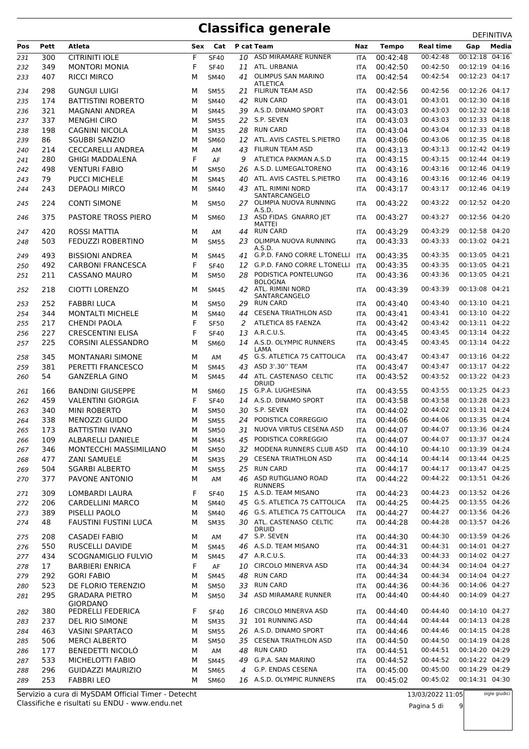| 00:42:48<br>00:12:18<br>04:16<br>ASD MIRAMARE RUNNER<br><b>CITRINITI IOLE</b><br>F<br>00:42:48<br>300<br><b>SF40</b><br>10<br>231<br><b>ITA</b><br>F<br>349<br><b>MONTORI MONIA</b><br>ATL. URBANIA<br>00:42:50<br>00:42:50<br>00:12:19 04:16<br>232<br><b>SF40</b><br>11<br><b>ITA</b><br>00:12:23 04:17<br>OLIMPUS SAN MARINO<br>00:42:54<br>407<br><b>RICCI MIRCO</b><br>00:42:54<br>41<br>233<br>M<br><b>SM40</b><br><b>ITA</b><br><b>ATLETICA</b><br>00:42:56<br>00:12:26 04:17<br>298<br><b>GUNGUI LUIGI</b><br><b>FILIRUN TEAM ASD</b><br>00:42:56<br>234<br>M<br><b>SM55</b><br><b>ITA</b><br>21<br><b>RUN CARD</b><br>00:12:30 04:18<br>174<br>00:43:01<br>00:43:01<br><b>BATTISTINI ROBERTO</b><br>42<br>235<br>М<br><b>SM40</b><br><b>ITA</b><br>39 A.S.D. DINAMO SPORT<br>00:43:03<br>00:12:32 04:18<br>321<br>00:43:03<br>MAGNANI ANDREA<br>M<br><b>SM45</b><br>236<br><b>ITA</b><br>337<br>22 S.P. SEVEN<br>00:43:03<br>00:43:03<br>00:12:33 04:18<br>237<br><b>MENGHI CIRO</b><br>M<br><b>SM55</b><br><b>ITA</b><br><b>RUN CARD</b><br>00:43:04<br>00:12:33 04:18<br>00:43:04<br>198<br>CAGNINI NICOLA<br>28<br>238<br>М<br><b>SM35</b><br><b>ITA</b><br>00:43:06<br>00:12:35 04:18<br>86<br>ATL. AVIS CASTEL S.PIETRO<br>00:43:06<br>239<br><b>SGUBBI SANZIO</b><br>M<br>12<br><b>SM60</b><br><b>ITA</b><br>00:43:13<br>00:12:42 04:19<br>214<br><b>CECCARELLI ANDREA</b><br>M<br>43<br>FILIRUN TEAM ASD<br>00:43:13<br>240<br>AM<br><b>ITA</b><br>F<br>ATLETICA PAKMAN A.S.D<br>00:43:15<br>00:12:44 04:19<br>280<br>AF<br>00:43:15<br><b>GHIGI MADDALENA</b><br>9<br>241<br><b>ITA</b><br>00:12:46 04:19<br>A.S.D. LUMEGALTORENO<br>00:43:16<br>00:43:16<br>498<br><b>VENTURI FABIO</b><br>М<br><b>SM50</b><br>26<br>242<br><b>ITA</b><br>79<br><b>PUCCI MICHELE</b><br>ATL. AVIS CASTEL S.PIETRO<br>00:43:16<br>00:43:16<br>00:12:46 04:19<br>243<br>M<br><b>SM45</b><br>40<br><b>ITA</b><br>ATL. RIMINI NORD<br>00:43:17<br>00:12:46 04:19<br>00:43:17<br>243<br><b>DEPAOLI MIRCO</b><br>244<br>M<br><b>SM40</b><br>43<br><b>ITA</b><br>SANTARCANGELO<br>00:12:52 04:20<br>224<br><b>CONTI SIMONE</b><br>27 OLIMPIA NUOVA RUNNING<br>00:43:22<br>00:43:22<br>M<br>245<br><b>SM50</b><br><b>ITA</b><br>A.S.D.<br>375<br><b>PASTORE TROSS PIERO</b><br>ASD FIDAS GNARRO JET<br>00:43:27<br>00:43:27<br>00:12:56 04:20<br>246<br>M<br><b>SM60</b><br>13<br><b>ITA</b><br><b>MATTEI</b><br>00:43:29<br>00:12:58 04:20<br><b>RUN CARD</b><br>420<br>ROSSI MATTIA<br>00:43:29<br>247<br>M<br>AM<br>44<br><b>ITA</b><br>OLIMPIA NUOVA RUNNING<br>00:43:33<br>00:43:33<br>00:13:02 04:21<br>503<br>FEDUZZI ROBERTINO<br>M<br>23<br>248<br><b>SM55</b><br><b>ITA</b><br>A.S.D.<br>00:13:05 04:21<br>G.P.D. FANO CORRE L.TONELLI<br>00:43:35<br>493<br><b>BISSIONI ANDREA</b><br>00:43:35<br>249<br>М<br><b>SM45</b><br>41<br>ITA<br>F<br><b>CARBONI FRANCESCA</b><br>G.P.D. FANO CORRE L.TONELLI<br>00:43:35<br>00:43:35<br>00:13:05 04:21<br>492<br><b>SF40</b><br>250<br>12<br><b>ITA</b><br>PODISTICA PONTELUNGO<br>00:13:05 04:21<br>211<br>CASSANO MAURO<br>28<br>00:43:36<br>00:43:36<br>M<br>251<br><b>SM50</b><br><b>ITA</b><br><b>BOLOGNA</b><br>00:13:08 04:21<br>218<br>CIOTTI LORENZO<br>42 ATL. RIMINI NORD<br>00:43:39<br>00:43:39<br>252<br>M<br><b>SM45</b><br><b>ITA</b><br>SANTARCANGELO<br>00:13:10 04:21<br>252<br><b>RUN CARD</b><br>00:43:40<br><b>FABBRI LUCA</b><br>00:43:40<br>253<br>M<br><b>SM50</b><br>29<br><b>ITA</b><br>344<br><b>CESENA TRIATHLON ASD</b><br>00:43:41<br>00:13:10 04:22<br><b>MONTALTI MICHELE</b><br>M<br>00:43:41<br>254<br><b>SM40</b><br>44<br><b>ITA</b><br>F<br>ATLETICA 85 FAENZA<br>00:43:42<br>00:43:42<br>00:13:11 04:22<br>217<br><b>CHENDI PAOLA</b><br>255<br><b>SF50</b><br>2<br><b>ITA</b><br>A.R.C.U.S.<br>00:43:45<br>00:13:14 04:22<br>F<br>00:43:45<br>227<br><b>CRESCENTINI ELISA</b><br><b>SF40</b><br>256<br>13<br><b>ITA</b><br>225<br>14 A.S.D. OLYMPIC RUNNERS<br>00:43:45<br>00:13:14 04:22<br>257<br>CORSINI ALESSANDRO<br>M<br><b>SM60</b><br>00:43:45<br><b>ITA</b><br>LAMA<br>45 G.S. ATLETICA 75 CATTOLICA<br>00:13:16 04:22<br>00:43:47<br>345<br><b>MONTANARI SIMONE</b><br>00:43:47<br>258<br>М<br>AM<br><b>ITA</b><br>381<br>PERETTI FRANCESCO<br>ASD 3'.30" TEAM<br>00:43:47<br>00:13:17 04:22<br>M<br>43<br>00:43:47<br>259<br><b>SM45</b><br><b>ITA</b><br>54<br><b>GANZERLA GINO</b><br>ATL. CASTENASO CELTIC<br>00:43:52<br>00:43:52<br>00:13:22 04:23<br>M<br>44<br>260<br><b>SM45</b><br><b>ITA</b><br><b>DRUID</b><br>00:13:25 04:23<br>166<br><b>BANDINI GIUSEPPE</b><br>G.P.A. LUGHESINA<br>00:43:55<br>00:43:55<br>261<br>M<br><b>SM60</b><br><b>ITA</b><br>15<br>00:13:28 04:23<br>459<br><b>VALENTINI GIORGIA</b><br>F<br>A.S.D. DINAMO SPORT<br>00:43:58<br>00:43:58<br>14<br>262<br><b>SF40</b><br><b>ITA</b><br>30 S.P. SEVEN<br>00:13:31 04:24<br>00:44:02<br>00:44:02<br>340<br><b>MINI ROBERTO</b><br>263<br>M<br><b>SM50</b><br><b>ITA</b><br>PODISTICA CORREGGIO<br>00:13:35 04:24<br>338<br><b>MENOZZI GUIDO</b><br><b>SM55</b><br>00:44:06<br>00:44:06<br>264<br>м<br>24<br><b>ITA</b><br>NUOVA VIRTUS CESENA ASD<br>00:13:36 04:24<br>00:44:07<br>173<br><b>BATTISTINI IVANO</b><br>31<br>00:44:07<br>265<br>М<br><b>SM50</b><br><b>ITA</b><br>ALBARELLI DANIELE<br>PODISTICA CORREGGIO<br>00:44:07<br>00:44:07<br>00:13:37 04:24<br>109<br><b>SM45</b><br>266<br>М<br>45<br>ITA<br>MODENA RUNNERS CLUB ASD<br>00:13:39 04:24<br>346<br>MONTECCHI MASSIMILIANO<br><b>SM50</b><br>00:44:10<br>00:44:10<br>267<br>М<br>32<br><b>ITA</b><br>00:13:44 04:25<br><b>CESENA TRIATHLON ASD</b><br>00:44:14<br>00:44:14<br>477<br><b>ZANI SAMUELE</b><br><b>SM35</b><br>29<br>М<br><b>ITA</b><br>268<br><b>RUN CARD</b><br>00:13:47 04:25<br>25<br>00:44:17<br>504<br><b>SGARBI ALBERTO</b><br><b>SM55</b><br>00:44:17<br>269<br>М<br><b>ITA</b><br>46 ASD RUTIGLIANO ROAD<br>00:13:51 04:26<br>377<br>PAVONE ANTONIO<br>00:44:22<br>00:44:22<br>М<br>AM<br><b>ITA</b><br>270<br><b>RUNNERS</b><br>15 A.S.D. TEAM MISANO<br>00:13:52 04:26<br>00:44:23<br>309<br>LOMBARDI LAURA<br>F<br>00:44:23<br><b>SF40</b><br><b>ITA</b><br>271<br>00:13:55 04:26<br>45 G.S. ATLETICA 75 CATTOLICA<br>00:44:25<br>206<br>CARDELLINI MARCO<br>М<br><b>SM40</b><br>00:44:25<br>272<br><b>ITA</b><br>00:13:56 04:26<br><b>G.S. ATLETICA 75 CATTOLICA</b><br>00:44:27<br>389<br>00:44:27<br>PISELLI PAOLO<br>46<br>273<br>М<br><b>SM40</b><br>ITA<br>30 ATL. CASTENASO CELTIC<br>00:13:57 04:26<br>00:44:28<br>48<br>FAUSTINI FUSTINI LUCA<br>00:44:28<br>274<br>М<br><b>SM35</b><br><b>ITA</b><br><b>DRUID</b><br>47 S.P. SEVEN<br>00:13:59 04:26<br>00:44:30<br>208<br><b>CASADEI FABIO</b><br>00:44:30<br>М<br>275<br>AM<br>ITA<br>46 A.S.D. TEAM MISANO<br>00:44:31<br>00:14:01 04:27<br>550<br>RUSCELLI DAVIDE<br>00:44:31<br>276<br>М<br><b>SM45</b><br>ITA<br>00:14:02 04:27<br>434<br>SCOGNAMIGLIO FULVIO<br>47 A.R.C.U.S.<br>00:44:33<br>00:44:33<br>277<br>М<br><b>SM45</b><br>ITA<br>00:14:04 04:27<br><b>CIRCOLO MINERVA ASD</b><br>00:44:34<br>F<br>00:44:34<br>17<br><b>BARBIERI ENRICA</b><br>AF<br>10<br>278<br>ITA<br>00:14:04 04:27<br>48 RUN CARD<br>00:44:34<br>292<br><b>GORI FABIO</b><br>00:44:34<br>279<br>М<br><b>SM45</b><br><b>ITA</b><br>33 RUN CARD<br>00:14:06 04:27<br>523<br>DE FLORIO TERENZIO<br>00:44:36<br>00:44:36<br>М<br><b>SM50</b><br><b>ITA</b><br>280<br>00:14:09 04:27<br>295<br><b>GRADARA PIETRO</b><br>ASD MIRAMARE RUNNER<br>00:44:40<br>34<br>00:44:40<br>М<br><b>SM50</b><br>281<br>ITA<br><b>GIORDANO</b><br><b>CIRCOLO MINERVA ASD</b><br>00:14:10 04:27<br>00:44:40<br>380<br>PEDRELLI FEDERICA<br>F<br>00:44:40<br><b>SF40</b><br>16<br>282<br><b>ITA</b><br>00:14:13 04:28<br>31 101 RUNNING ASD<br>00:44:44<br>00:44:44<br>237<br>DEL RIO SIMONE<br><b>SM35</b><br>283<br>М<br>ITA<br>26 A.S.D. DINAMO SPORT<br>00:14:15 04:28<br>463<br><b>VASINI SPARTACO</b><br>00:44:46<br>00:44:46<br>М<br><b>SM55</b><br>284<br><b>ITA</b><br>35 CESENA TRIATHLON ASD<br>00:14:19 04:28<br>00:44:50<br>00:44:50<br>506<br><b>MERCI ALBERTO</b><br>285<br>М<br><b>SM50</b><br>ITA<br>00:14:20 04:29<br>BENEDETTI NICOLÒ<br>48 RUN CARD<br>177<br>00:44:51<br>00:44:51<br>М<br>AM<br>ITA<br>286<br>00:14:22 04:29<br>533<br>MICHELOTTI FABIO<br>G.P.A. SAN MARINO<br>00:44:52<br>00:44:52<br>М<br><b>SM45</b><br>49<br>287<br><b>ITA</b><br>00:14:29 04:29<br>G.P. ENDAS CESENA<br>00:45:00<br>296<br><b>GUIDAZZI MAURIZIO</b><br>00:45:00<br>М<br><b>SM65</b><br>4<br>288<br>ITA<br>00:14:31 04:30<br>16 A.S.D. OLYMPIC RUNNERS | Pos | Pett | Atleta            | Sex | Cat         | P cat Team | Naz | <b>Tempo</b> | <b>Real time</b> | Gap | Media |
|----------------------------------------------------------------------------------------------------------------------------------------------------------------------------------------------------------------------------------------------------------------------------------------------------------------------------------------------------------------------------------------------------------------------------------------------------------------------------------------------------------------------------------------------------------------------------------------------------------------------------------------------------------------------------------------------------------------------------------------------------------------------------------------------------------------------------------------------------------------------------------------------------------------------------------------------------------------------------------------------------------------------------------------------------------------------------------------------------------------------------------------------------------------------------------------------------------------------------------------------------------------------------------------------------------------------------------------------------------------------------------------------------------------------------------------------------------------------------------------------------------------------------------------------------------------------------------------------------------------------------------------------------------------------------------------------------------------------------------------------------------------------------------------------------------------------------------------------------------------------------------------------------------------------------------------------------------------------------------------------------------------------------------------------------------------------------------------------------------------------------------------------------------------------------------------------------------------------------------------------------------------------------------------------------------------------------------------------------------------------------------------------------------------------------------------------------------------------------------------------------------------------------------------------------------------------------------------------------------------------------------------------------------------------------------------------------------------------------------------------------------------------------------------------------------------------------------------------------------------------------------------------------------------------------------------------------------------------------------------------------------------------------------------------------------------------------------------------------------------------------------------------------------------------------------------------------------------------------------------------------------------------------------------------------------------------------------------------------------------------------------------------------------------------------------------------------------------------------------------------------------------------------------------------------------------------------------------------------------------------------------------------------------------------------------------------------------------------------------------------------------------------------------------------------------------------------------------------------------------------------------------------------------------------------------------------------------------------------------------------------------------------------------------------------------------------------------------------------------------------------------------------------------------------------------------------------------------------------------------------------------------------------------------------------------------------------------------------------------------------------------------------------------------------------------------------------------------------------------------------------------------------------------------------------------------------------------------------------------------------------------------------------------------------------------------------------------------------------------------------------------------------------------------------------------------------------------------------------------------------------------------------------------------------------------------------------------------------------------------------------------------------------------------------------------------------------------------------------------------------------------------------------------------------------------------------------------------------------------------------------------------------------------------------------------------------------------------------------------------------------------------------------------------------------------------------------------------------------------------------------------------------------------------------------------------------------------------------------------------------------------------------------------------------------------------------------------------------------------------------------------------------------------------------------------------------------------------------------------------------------------------------------------------------------------------------------------------------------------------------------------------------------------------------------------------------------------------------------------------------------------------------------------------------------------------------------------------------------------------------------------------------------------------------------------------------------------------------------------------------------------------------------------------------------------------------------------------------------------------------------------------------------------------------------------------------------------------------------------------------------------------------------------------------------------------------------------------------------------------------------------------------------------------------------------------------------------------------------------------------------------------------------------------------------------------------------------------------------------------------------------------------------------------------------------------------------------------------------------------------------------------------------------------------------------------------------------------------------------------------------------------------------------------------------------------------------------------------------------------------------------------------------------------------------------------------------------------------------------------------------------------------------------------------------------------------------------------------------------------------------------------------------------------------------------------------------------------------------------------------------------------------------------------------------------------------------------------------------------------------------------------------------------------------------------------------------------------------------------------------------------------------------------------------------------------------------------------------------------------------------------------------------------------------------------------------------------------------------------------------------------------------------------------------------------------------------------------------------------------------------------------------------------------------------------------------------------------------------------------------------------------------------------------------------------------------------|-----|------|-------------------|-----|-------------|------------|-----|--------------|------------------|-----|-------|
|                                                                                                                                                                                                                                                                                                                                                                                                                                                                                                                                                                                                                                                                                                                                                                                                                                                                                                                                                                                                                                                                                                                                                                                                                                                                                                                                                                                                                                                                                                                                                                                                                                                                                                                                                                                                                                                                                                                                                                                                                                                                                                                                                                                                                                                                                                                                                                                                                                                                                                                                                                                                                                                                                                                                                                                                                                                                                                                                                                                                                                                                                                                                                                                                                                                                                                                                                                                                                                                                                                                                                                                                                                                                                                                                                                                                                                                                                                                                                                                                                                                                                                                                                                                                                                                                                                                                                                                                                                                                                                                                                                                                                                                                                                                                                                                                                                                                                                                                                                                                                                                                                                                                                                                                                                                                                                                                                                                                                                                                                                                                                                                                                                                                                                                                                                                                                                                                                                                                                                                                                                                                                                                                                                                                                                                                                                                                                                                                                                                                                                                                                                                                                                                                                                                                                                                                                                                                                                                                                                                                                                                                                                                                                                                                                                                                                                                                                                                                                                                                                                                                                                                                                                                                                                                                                                                                                                                                                                                                                                                                                                                                                                                                                                                                                                                                                                                                                                                                                                                                                                                                                                            |     |      |                   |     |             |            |     |              |                  |     |       |
|                                                                                                                                                                                                                                                                                                                                                                                                                                                                                                                                                                                                                                                                                                                                                                                                                                                                                                                                                                                                                                                                                                                                                                                                                                                                                                                                                                                                                                                                                                                                                                                                                                                                                                                                                                                                                                                                                                                                                                                                                                                                                                                                                                                                                                                                                                                                                                                                                                                                                                                                                                                                                                                                                                                                                                                                                                                                                                                                                                                                                                                                                                                                                                                                                                                                                                                                                                                                                                                                                                                                                                                                                                                                                                                                                                                                                                                                                                                                                                                                                                                                                                                                                                                                                                                                                                                                                                                                                                                                                                                                                                                                                                                                                                                                                                                                                                                                                                                                                                                                                                                                                                                                                                                                                                                                                                                                                                                                                                                                                                                                                                                                                                                                                                                                                                                                                                                                                                                                                                                                                                                                                                                                                                                                                                                                                                                                                                                                                                                                                                                                                                                                                                                                                                                                                                                                                                                                                                                                                                                                                                                                                                                                                                                                                                                                                                                                                                                                                                                                                                                                                                                                                                                                                                                                                                                                                                                                                                                                                                                                                                                                                                                                                                                                                                                                                                                                                                                                                                                                                                                                                                            |     |      |                   |     |             |            |     |              |                  |     |       |
|                                                                                                                                                                                                                                                                                                                                                                                                                                                                                                                                                                                                                                                                                                                                                                                                                                                                                                                                                                                                                                                                                                                                                                                                                                                                                                                                                                                                                                                                                                                                                                                                                                                                                                                                                                                                                                                                                                                                                                                                                                                                                                                                                                                                                                                                                                                                                                                                                                                                                                                                                                                                                                                                                                                                                                                                                                                                                                                                                                                                                                                                                                                                                                                                                                                                                                                                                                                                                                                                                                                                                                                                                                                                                                                                                                                                                                                                                                                                                                                                                                                                                                                                                                                                                                                                                                                                                                                                                                                                                                                                                                                                                                                                                                                                                                                                                                                                                                                                                                                                                                                                                                                                                                                                                                                                                                                                                                                                                                                                                                                                                                                                                                                                                                                                                                                                                                                                                                                                                                                                                                                                                                                                                                                                                                                                                                                                                                                                                                                                                                                                                                                                                                                                                                                                                                                                                                                                                                                                                                                                                                                                                                                                                                                                                                                                                                                                                                                                                                                                                                                                                                                                                                                                                                                                                                                                                                                                                                                                                                                                                                                                                                                                                                                                                                                                                                                                                                                                                                                                                                                                                                            |     |      |                   |     |             |            |     |              |                  |     |       |
|                                                                                                                                                                                                                                                                                                                                                                                                                                                                                                                                                                                                                                                                                                                                                                                                                                                                                                                                                                                                                                                                                                                                                                                                                                                                                                                                                                                                                                                                                                                                                                                                                                                                                                                                                                                                                                                                                                                                                                                                                                                                                                                                                                                                                                                                                                                                                                                                                                                                                                                                                                                                                                                                                                                                                                                                                                                                                                                                                                                                                                                                                                                                                                                                                                                                                                                                                                                                                                                                                                                                                                                                                                                                                                                                                                                                                                                                                                                                                                                                                                                                                                                                                                                                                                                                                                                                                                                                                                                                                                                                                                                                                                                                                                                                                                                                                                                                                                                                                                                                                                                                                                                                                                                                                                                                                                                                                                                                                                                                                                                                                                                                                                                                                                                                                                                                                                                                                                                                                                                                                                                                                                                                                                                                                                                                                                                                                                                                                                                                                                                                                                                                                                                                                                                                                                                                                                                                                                                                                                                                                                                                                                                                                                                                                                                                                                                                                                                                                                                                                                                                                                                                                                                                                                                                                                                                                                                                                                                                                                                                                                                                                                                                                                                                                                                                                                                                                                                                                                                                                                                                                                            |     |      |                   |     |             |            |     |              |                  |     |       |
|                                                                                                                                                                                                                                                                                                                                                                                                                                                                                                                                                                                                                                                                                                                                                                                                                                                                                                                                                                                                                                                                                                                                                                                                                                                                                                                                                                                                                                                                                                                                                                                                                                                                                                                                                                                                                                                                                                                                                                                                                                                                                                                                                                                                                                                                                                                                                                                                                                                                                                                                                                                                                                                                                                                                                                                                                                                                                                                                                                                                                                                                                                                                                                                                                                                                                                                                                                                                                                                                                                                                                                                                                                                                                                                                                                                                                                                                                                                                                                                                                                                                                                                                                                                                                                                                                                                                                                                                                                                                                                                                                                                                                                                                                                                                                                                                                                                                                                                                                                                                                                                                                                                                                                                                                                                                                                                                                                                                                                                                                                                                                                                                                                                                                                                                                                                                                                                                                                                                                                                                                                                                                                                                                                                                                                                                                                                                                                                                                                                                                                                                                                                                                                                                                                                                                                                                                                                                                                                                                                                                                                                                                                                                                                                                                                                                                                                                                                                                                                                                                                                                                                                                                                                                                                                                                                                                                                                                                                                                                                                                                                                                                                                                                                                                                                                                                                                                                                                                                                                                                                                                                                            |     |      |                   |     |             |            |     |              |                  |     |       |
|                                                                                                                                                                                                                                                                                                                                                                                                                                                                                                                                                                                                                                                                                                                                                                                                                                                                                                                                                                                                                                                                                                                                                                                                                                                                                                                                                                                                                                                                                                                                                                                                                                                                                                                                                                                                                                                                                                                                                                                                                                                                                                                                                                                                                                                                                                                                                                                                                                                                                                                                                                                                                                                                                                                                                                                                                                                                                                                                                                                                                                                                                                                                                                                                                                                                                                                                                                                                                                                                                                                                                                                                                                                                                                                                                                                                                                                                                                                                                                                                                                                                                                                                                                                                                                                                                                                                                                                                                                                                                                                                                                                                                                                                                                                                                                                                                                                                                                                                                                                                                                                                                                                                                                                                                                                                                                                                                                                                                                                                                                                                                                                                                                                                                                                                                                                                                                                                                                                                                                                                                                                                                                                                                                                                                                                                                                                                                                                                                                                                                                                                                                                                                                                                                                                                                                                                                                                                                                                                                                                                                                                                                                                                                                                                                                                                                                                                                                                                                                                                                                                                                                                                                                                                                                                                                                                                                                                                                                                                                                                                                                                                                                                                                                                                                                                                                                                                                                                                                                                                                                                                                                            |     |      |                   |     |             |            |     |              |                  |     |       |
|                                                                                                                                                                                                                                                                                                                                                                                                                                                                                                                                                                                                                                                                                                                                                                                                                                                                                                                                                                                                                                                                                                                                                                                                                                                                                                                                                                                                                                                                                                                                                                                                                                                                                                                                                                                                                                                                                                                                                                                                                                                                                                                                                                                                                                                                                                                                                                                                                                                                                                                                                                                                                                                                                                                                                                                                                                                                                                                                                                                                                                                                                                                                                                                                                                                                                                                                                                                                                                                                                                                                                                                                                                                                                                                                                                                                                                                                                                                                                                                                                                                                                                                                                                                                                                                                                                                                                                                                                                                                                                                                                                                                                                                                                                                                                                                                                                                                                                                                                                                                                                                                                                                                                                                                                                                                                                                                                                                                                                                                                                                                                                                                                                                                                                                                                                                                                                                                                                                                                                                                                                                                                                                                                                                                                                                                                                                                                                                                                                                                                                                                                                                                                                                                                                                                                                                                                                                                                                                                                                                                                                                                                                                                                                                                                                                                                                                                                                                                                                                                                                                                                                                                                                                                                                                                                                                                                                                                                                                                                                                                                                                                                                                                                                                                                                                                                                                                                                                                                                                                                                                                                                            |     |      |                   |     |             |            |     |              |                  |     |       |
|                                                                                                                                                                                                                                                                                                                                                                                                                                                                                                                                                                                                                                                                                                                                                                                                                                                                                                                                                                                                                                                                                                                                                                                                                                                                                                                                                                                                                                                                                                                                                                                                                                                                                                                                                                                                                                                                                                                                                                                                                                                                                                                                                                                                                                                                                                                                                                                                                                                                                                                                                                                                                                                                                                                                                                                                                                                                                                                                                                                                                                                                                                                                                                                                                                                                                                                                                                                                                                                                                                                                                                                                                                                                                                                                                                                                                                                                                                                                                                                                                                                                                                                                                                                                                                                                                                                                                                                                                                                                                                                                                                                                                                                                                                                                                                                                                                                                                                                                                                                                                                                                                                                                                                                                                                                                                                                                                                                                                                                                                                                                                                                                                                                                                                                                                                                                                                                                                                                                                                                                                                                                                                                                                                                                                                                                                                                                                                                                                                                                                                                                                                                                                                                                                                                                                                                                                                                                                                                                                                                                                                                                                                                                                                                                                                                                                                                                                                                                                                                                                                                                                                                                                                                                                                                                                                                                                                                                                                                                                                                                                                                                                                                                                                                                                                                                                                                                                                                                                                                                                                                                                                            |     |      |                   |     |             |            |     |              |                  |     |       |
|                                                                                                                                                                                                                                                                                                                                                                                                                                                                                                                                                                                                                                                                                                                                                                                                                                                                                                                                                                                                                                                                                                                                                                                                                                                                                                                                                                                                                                                                                                                                                                                                                                                                                                                                                                                                                                                                                                                                                                                                                                                                                                                                                                                                                                                                                                                                                                                                                                                                                                                                                                                                                                                                                                                                                                                                                                                                                                                                                                                                                                                                                                                                                                                                                                                                                                                                                                                                                                                                                                                                                                                                                                                                                                                                                                                                                                                                                                                                                                                                                                                                                                                                                                                                                                                                                                                                                                                                                                                                                                                                                                                                                                                                                                                                                                                                                                                                                                                                                                                                                                                                                                                                                                                                                                                                                                                                                                                                                                                                                                                                                                                                                                                                                                                                                                                                                                                                                                                                                                                                                                                                                                                                                                                                                                                                                                                                                                                                                                                                                                                                                                                                                                                                                                                                                                                                                                                                                                                                                                                                                                                                                                                                                                                                                                                                                                                                                                                                                                                                                                                                                                                                                                                                                                                                                                                                                                                                                                                                                                                                                                                                                                                                                                                                                                                                                                                                                                                                                                                                                                                                                                            |     |      |                   |     |             |            |     |              |                  |     |       |
|                                                                                                                                                                                                                                                                                                                                                                                                                                                                                                                                                                                                                                                                                                                                                                                                                                                                                                                                                                                                                                                                                                                                                                                                                                                                                                                                                                                                                                                                                                                                                                                                                                                                                                                                                                                                                                                                                                                                                                                                                                                                                                                                                                                                                                                                                                                                                                                                                                                                                                                                                                                                                                                                                                                                                                                                                                                                                                                                                                                                                                                                                                                                                                                                                                                                                                                                                                                                                                                                                                                                                                                                                                                                                                                                                                                                                                                                                                                                                                                                                                                                                                                                                                                                                                                                                                                                                                                                                                                                                                                                                                                                                                                                                                                                                                                                                                                                                                                                                                                                                                                                                                                                                                                                                                                                                                                                                                                                                                                                                                                                                                                                                                                                                                                                                                                                                                                                                                                                                                                                                                                                                                                                                                                                                                                                                                                                                                                                                                                                                                                                                                                                                                                                                                                                                                                                                                                                                                                                                                                                                                                                                                                                                                                                                                                                                                                                                                                                                                                                                                                                                                                                                                                                                                                                                                                                                                                                                                                                                                                                                                                                                                                                                                                                                                                                                                                                                                                                                                                                                                                                                                            |     |      |                   |     |             |            |     |              |                  |     |       |
|                                                                                                                                                                                                                                                                                                                                                                                                                                                                                                                                                                                                                                                                                                                                                                                                                                                                                                                                                                                                                                                                                                                                                                                                                                                                                                                                                                                                                                                                                                                                                                                                                                                                                                                                                                                                                                                                                                                                                                                                                                                                                                                                                                                                                                                                                                                                                                                                                                                                                                                                                                                                                                                                                                                                                                                                                                                                                                                                                                                                                                                                                                                                                                                                                                                                                                                                                                                                                                                                                                                                                                                                                                                                                                                                                                                                                                                                                                                                                                                                                                                                                                                                                                                                                                                                                                                                                                                                                                                                                                                                                                                                                                                                                                                                                                                                                                                                                                                                                                                                                                                                                                                                                                                                                                                                                                                                                                                                                                                                                                                                                                                                                                                                                                                                                                                                                                                                                                                                                                                                                                                                                                                                                                                                                                                                                                                                                                                                                                                                                                                                                                                                                                                                                                                                                                                                                                                                                                                                                                                                                                                                                                                                                                                                                                                                                                                                                                                                                                                                                                                                                                                                                                                                                                                                                                                                                                                                                                                                                                                                                                                                                                                                                                                                                                                                                                                                                                                                                                                                                                                                                                            |     |      |                   |     |             |            |     |              |                  |     |       |
|                                                                                                                                                                                                                                                                                                                                                                                                                                                                                                                                                                                                                                                                                                                                                                                                                                                                                                                                                                                                                                                                                                                                                                                                                                                                                                                                                                                                                                                                                                                                                                                                                                                                                                                                                                                                                                                                                                                                                                                                                                                                                                                                                                                                                                                                                                                                                                                                                                                                                                                                                                                                                                                                                                                                                                                                                                                                                                                                                                                                                                                                                                                                                                                                                                                                                                                                                                                                                                                                                                                                                                                                                                                                                                                                                                                                                                                                                                                                                                                                                                                                                                                                                                                                                                                                                                                                                                                                                                                                                                                                                                                                                                                                                                                                                                                                                                                                                                                                                                                                                                                                                                                                                                                                                                                                                                                                                                                                                                                                                                                                                                                                                                                                                                                                                                                                                                                                                                                                                                                                                                                                                                                                                                                                                                                                                                                                                                                                                                                                                                                                                                                                                                                                                                                                                                                                                                                                                                                                                                                                                                                                                                                                                                                                                                                                                                                                                                                                                                                                                                                                                                                                                                                                                                                                                                                                                                                                                                                                                                                                                                                                                                                                                                                                                                                                                                                                                                                                                                                                                                                                                                            |     |      |                   |     |             |            |     |              |                  |     |       |
|                                                                                                                                                                                                                                                                                                                                                                                                                                                                                                                                                                                                                                                                                                                                                                                                                                                                                                                                                                                                                                                                                                                                                                                                                                                                                                                                                                                                                                                                                                                                                                                                                                                                                                                                                                                                                                                                                                                                                                                                                                                                                                                                                                                                                                                                                                                                                                                                                                                                                                                                                                                                                                                                                                                                                                                                                                                                                                                                                                                                                                                                                                                                                                                                                                                                                                                                                                                                                                                                                                                                                                                                                                                                                                                                                                                                                                                                                                                                                                                                                                                                                                                                                                                                                                                                                                                                                                                                                                                                                                                                                                                                                                                                                                                                                                                                                                                                                                                                                                                                                                                                                                                                                                                                                                                                                                                                                                                                                                                                                                                                                                                                                                                                                                                                                                                                                                                                                                                                                                                                                                                                                                                                                                                                                                                                                                                                                                                                                                                                                                                                                                                                                                                                                                                                                                                                                                                                                                                                                                                                                                                                                                                                                                                                                                                                                                                                                                                                                                                                                                                                                                                                                                                                                                                                                                                                                                                                                                                                                                                                                                                                                                                                                                                                                                                                                                                                                                                                                                                                                                                                                                            |     |      |                   |     |             |            |     |              |                  |     |       |
|                                                                                                                                                                                                                                                                                                                                                                                                                                                                                                                                                                                                                                                                                                                                                                                                                                                                                                                                                                                                                                                                                                                                                                                                                                                                                                                                                                                                                                                                                                                                                                                                                                                                                                                                                                                                                                                                                                                                                                                                                                                                                                                                                                                                                                                                                                                                                                                                                                                                                                                                                                                                                                                                                                                                                                                                                                                                                                                                                                                                                                                                                                                                                                                                                                                                                                                                                                                                                                                                                                                                                                                                                                                                                                                                                                                                                                                                                                                                                                                                                                                                                                                                                                                                                                                                                                                                                                                                                                                                                                                                                                                                                                                                                                                                                                                                                                                                                                                                                                                                                                                                                                                                                                                                                                                                                                                                                                                                                                                                                                                                                                                                                                                                                                                                                                                                                                                                                                                                                                                                                                                                                                                                                                                                                                                                                                                                                                                                                                                                                                                                                                                                                                                                                                                                                                                                                                                                                                                                                                                                                                                                                                                                                                                                                                                                                                                                                                                                                                                                                                                                                                                                                                                                                                                                                                                                                                                                                                                                                                                                                                                                                                                                                                                                                                                                                                                                                                                                                                                                                                                                                                            |     |      |                   |     |             |            |     |              |                  |     |       |
|                                                                                                                                                                                                                                                                                                                                                                                                                                                                                                                                                                                                                                                                                                                                                                                                                                                                                                                                                                                                                                                                                                                                                                                                                                                                                                                                                                                                                                                                                                                                                                                                                                                                                                                                                                                                                                                                                                                                                                                                                                                                                                                                                                                                                                                                                                                                                                                                                                                                                                                                                                                                                                                                                                                                                                                                                                                                                                                                                                                                                                                                                                                                                                                                                                                                                                                                                                                                                                                                                                                                                                                                                                                                                                                                                                                                                                                                                                                                                                                                                                                                                                                                                                                                                                                                                                                                                                                                                                                                                                                                                                                                                                                                                                                                                                                                                                                                                                                                                                                                                                                                                                                                                                                                                                                                                                                                                                                                                                                                                                                                                                                                                                                                                                                                                                                                                                                                                                                                                                                                                                                                                                                                                                                                                                                                                                                                                                                                                                                                                                                                                                                                                                                                                                                                                                                                                                                                                                                                                                                                                                                                                                                                                                                                                                                                                                                                                                                                                                                                                                                                                                                                                                                                                                                                                                                                                                                                                                                                                                                                                                                                                                                                                                                                                                                                                                                                                                                                                                                                                                                                                                            |     |      |                   |     |             |            |     |              |                  |     |       |
|                                                                                                                                                                                                                                                                                                                                                                                                                                                                                                                                                                                                                                                                                                                                                                                                                                                                                                                                                                                                                                                                                                                                                                                                                                                                                                                                                                                                                                                                                                                                                                                                                                                                                                                                                                                                                                                                                                                                                                                                                                                                                                                                                                                                                                                                                                                                                                                                                                                                                                                                                                                                                                                                                                                                                                                                                                                                                                                                                                                                                                                                                                                                                                                                                                                                                                                                                                                                                                                                                                                                                                                                                                                                                                                                                                                                                                                                                                                                                                                                                                                                                                                                                                                                                                                                                                                                                                                                                                                                                                                                                                                                                                                                                                                                                                                                                                                                                                                                                                                                                                                                                                                                                                                                                                                                                                                                                                                                                                                                                                                                                                                                                                                                                                                                                                                                                                                                                                                                                                                                                                                                                                                                                                                                                                                                                                                                                                                                                                                                                                                                                                                                                                                                                                                                                                                                                                                                                                                                                                                                                                                                                                                                                                                                                                                                                                                                                                                                                                                                                                                                                                                                                                                                                                                                                                                                                                                                                                                                                                                                                                                                                                                                                                                                                                                                                                                                                                                                                                                                                                                                                                            |     |      |                   |     |             |            |     |              |                  |     |       |
|                                                                                                                                                                                                                                                                                                                                                                                                                                                                                                                                                                                                                                                                                                                                                                                                                                                                                                                                                                                                                                                                                                                                                                                                                                                                                                                                                                                                                                                                                                                                                                                                                                                                                                                                                                                                                                                                                                                                                                                                                                                                                                                                                                                                                                                                                                                                                                                                                                                                                                                                                                                                                                                                                                                                                                                                                                                                                                                                                                                                                                                                                                                                                                                                                                                                                                                                                                                                                                                                                                                                                                                                                                                                                                                                                                                                                                                                                                                                                                                                                                                                                                                                                                                                                                                                                                                                                                                                                                                                                                                                                                                                                                                                                                                                                                                                                                                                                                                                                                                                                                                                                                                                                                                                                                                                                                                                                                                                                                                                                                                                                                                                                                                                                                                                                                                                                                                                                                                                                                                                                                                                                                                                                                                                                                                                                                                                                                                                                                                                                                                                                                                                                                                                                                                                                                                                                                                                                                                                                                                                                                                                                                                                                                                                                                                                                                                                                                                                                                                                                                                                                                                                                                                                                                                                                                                                                                                                                                                                                                                                                                                                                                                                                                                                                                                                                                                                                                                                                                                                                                                                                                            |     |      |                   |     |             |            |     |              |                  |     |       |
|                                                                                                                                                                                                                                                                                                                                                                                                                                                                                                                                                                                                                                                                                                                                                                                                                                                                                                                                                                                                                                                                                                                                                                                                                                                                                                                                                                                                                                                                                                                                                                                                                                                                                                                                                                                                                                                                                                                                                                                                                                                                                                                                                                                                                                                                                                                                                                                                                                                                                                                                                                                                                                                                                                                                                                                                                                                                                                                                                                                                                                                                                                                                                                                                                                                                                                                                                                                                                                                                                                                                                                                                                                                                                                                                                                                                                                                                                                                                                                                                                                                                                                                                                                                                                                                                                                                                                                                                                                                                                                                                                                                                                                                                                                                                                                                                                                                                                                                                                                                                                                                                                                                                                                                                                                                                                                                                                                                                                                                                                                                                                                                                                                                                                                                                                                                                                                                                                                                                                                                                                                                                                                                                                                                                                                                                                                                                                                                                                                                                                                                                                                                                                                                                                                                                                                                                                                                                                                                                                                                                                                                                                                                                                                                                                                                                                                                                                                                                                                                                                                                                                                                                                                                                                                                                                                                                                                                                                                                                                                                                                                                                                                                                                                                                                                                                                                                                                                                                                                                                                                                                                                            |     |      |                   |     |             |            |     |              |                  |     |       |
|                                                                                                                                                                                                                                                                                                                                                                                                                                                                                                                                                                                                                                                                                                                                                                                                                                                                                                                                                                                                                                                                                                                                                                                                                                                                                                                                                                                                                                                                                                                                                                                                                                                                                                                                                                                                                                                                                                                                                                                                                                                                                                                                                                                                                                                                                                                                                                                                                                                                                                                                                                                                                                                                                                                                                                                                                                                                                                                                                                                                                                                                                                                                                                                                                                                                                                                                                                                                                                                                                                                                                                                                                                                                                                                                                                                                                                                                                                                                                                                                                                                                                                                                                                                                                                                                                                                                                                                                                                                                                                                                                                                                                                                                                                                                                                                                                                                                                                                                                                                                                                                                                                                                                                                                                                                                                                                                                                                                                                                                                                                                                                                                                                                                                                                                                                                                                                                                                                                                                                                                                                                                                                                                                                                                                                                                                                                                                                                                                                                                                                                                                                                                                                                                                                                                                                                                                                                                                                                                                                                                                                                                                                                                                                                                                                                                                                                                                                                                                                                                                                                                                                                                                                                                                                                                                                                                                                                                                                                                                                                                                                                                                                                                                                                                                                                                                                                                                                                                                                                                                                                                                                            |     |      |                   |     |             |            |     |              |                  |     |       |
|                                                                                                                                                                                                                                                                                                                                                                                                                                                                                                                                                                                                                                                                                                                                                                                                                                                                                                                                                                                                                                                                                                                                                                                                                                                                                                                                                                                                                                                                                                                                                                                                                                                                                                                                                                                                                                                                                                                                                                                                                                                                                                                                                                                                                                                                                                                                                                                                                                                                                                                                                                                                                                                                                                                                                                                                                                                                                                                                                                                                                                                                                                                                                                                                                                                                                                                                                                                                                                                                                                                                                                                                                                                                                                                                                                                                                                                                                                                                                                                                                                                                                                                                                                                                                                                                                                                                                                                                                                                                                                                                                                                                                                                                                                                                                                                                                                                                                                                                                                                                                                                                                                                                                                                                                                                                                                                                                                                                                                                                                                                                                                                                                                                                                                                                                                                                                                                                                                                                                                                                                                                                                                                                                                                                                                                                                                                                                                                                                                                                                                                                                                                                                                                                                                                                                                                                                                                                                                                                                                                                                                                                                                                                                                                                                                                                                                                                                                                                                                                                                                                                                                                                                                                                                                                                                                                                                                                                                                                                                                                                                                                                                                                                                                                                                                                                                                                                                                                                                                                                                                                                                                            |     |      |                   |     |             |            |     |              |                  |     |       |
|                                                                                                                                                                                                                                                                                                                                                                                                                                                                                                                                                                                                                                                                                                                                                                                                                                                                                                                                                                                                                                                                                                                                                                                                                                                                                                                                                                                                                                                                                                                                                                                                                                                                                                                                                                                                                                                                                                                                                                                                                                                                                                                                                                                                                                                                                                                                                                                                                                                                                                                                                                                                                                                                                                                                                                                                                                                                                                                                                                                                                                                                                                                                                                                                                                                                                                                                                                                                                                                                                                                                                                                                                                                                                                                                                                                                                                                                                                                                                                                                                                                                                                                                                                                                                                                                                                                                                                                                                                                                                                                                                                                                                                                                                                                                                                                                                                                                                                                                                                                                                                                                                                                                                                                                                                                                                                                                                                                                                                                                                                                                                                                                                                                                                                                                                                                                                                                                                                                                                                                                                                                                                                                                                                                                                                                                                                                                                                                                                                                                                                                                                                                                                                                                                                                                                                                                                                                                                                                                                                                                                                                                                                                                                                                                                                                                                                                                                                                                                                                                                                                                                                                                                                                                                                                                                                                                                                                                                                                                                                                                                                                                                                                                                                                                                                                                                                                                                                                                                                                                                                                                                                            |     |      |                   |     |             |            |     |              |                  |     |       |
|                                                                                                                                                                                                                                                                                                                                                                                                                                                                                                                                                                                                                                                                                                                                                                                                                                                                                                                                                                                                                                                                                                                                                                                                                                                                                                                                                                                                                                                                                                                                                                                                                                                                                                                                                                                                                                                                                                                                                                                                                                                                                                                                                                                                                                                                                                                                                                                                                                                                                                                                                                                                                                                                                                                                                                                                                                                                                                                                                                                                                                                                                                                                                                                                                                                                                                                                                                                                                                                                                                                                                                                                                                                                                                                                                                                                                                                                                                                                                                                                                                                                                                                                                                                                                                                                                                                                                                                                                                                                                                                                                                                                                                                                                                                                                                                                                                                                                                                                                                                                                                                                                                                                                                                                                                                                                                                                                                                                                                                                                                                                                                                                                                                                                                                                                                                                                                                                                                                                                                                                                                                                                                                                                                                                                                                                                                                                                                                                                                                                                                                                                                                                                                                                                                                                                                                                                                                                                                                                                                                                                                                                                                                                                                                                                                                                                                                                                                                                                                                                                                                                                                                                                                                                                                                                                                                                                                                                                                                                                                                                                                                                                                                                                                                                                                                                                                                                                                                                                                                                                                                                                                            |     |      |                   |     |             |            |     |              |                  |     |       |
|                                                                                                                                                                                                                                                                                                                                                                                                                                                                                                                                                                                                                                                                                                                                                                                                                                                                                                                                                                                                                                                                                                                                                                                                                                                                                                                                                                                                                                                                                                                                                                                                                                                                                                                                                                                                                                                                                                                                                                                                                                                                                                                                                                                                                                                                                                                                                                                                                                                                                                                                                                                                                                                                                                                                                                                                                                                                                                                                                                                                                                                                                                                                                                                                                                                                                                                                                                                                                                                                                                                                                                                                                                                                                                                                                                                                                                                                                                                                                                                                                                                                                                                                                                                                                                                                                                                                                                                                                                                                                                                                                                                                                                                                                                                                                                                                                                                                                                                                                                                                                                                                                                                                                                                                                                                                                                                                                                                                                                                                                                                                                                                                                                                                                                                                                                                                                                                                                                                                                                                                                                                                                                                                                                                                                                                                                                                                                                                                                                                                                                                                                                                                                                                                                                                                                                                                                                                                                                                                                                                                                                                                                                                                                                                                                                                                                                                                                                                                                                                                                                                                                                                                                                                                                                                                                                                                                                                                                                                                                                                                                                                                                                                                                                                                                                                                                                                                                                                                                                                                                                                                                                            |     |      |                   |     |             |            |     |              |                  |     |       |
|                                                                                                                                                                                                                                                                                                                                                                                                                                                                                                                                                                                                                                                                                                                                                                                                                                                                                                                                                                                                                                                                                                                                                                                                                                                                                                                                                                                                                                                                                                                                                                                                                                                                                                                                                                                                                                                                                                                                                                                                                                                                                                                                                                                                                                                                                                                                                                                                                                                                                                                                                                                                                                                                                                                                                                                                                                                                                                                                                                                                                                                                                                                                                                                                                                                                                                                                                                                                                                                                                                                                                                                                                                                                                                                                                                                                                                                                                                                                                                                                                                                                                                                                                                                                                                                                                                                                                                                                                                                                                                                                                                                                                                                                                                                                                                                                                                                                                                                                                                                                                                                                                                                                                                                                                                                                                                                                                                                                                                                                                                                                                                                                                                                                                                                                                                                                                                                                                                                                                                                                                                                                                                                                                                                                                                                                                                                                                                                                                                                                                                                                                                                                                                                                                                                                                                                                                                                                                                                                                                                                                                                                                                                                                                                                                                                                                                                                                                                                                                                                                                                                                                                                                                                                                                                                                                                                                                                                                                                                                                                                                                                                                                                                                                                                                                                                                                                                                                                                                                                                                                                                                                            |     |      |                   |     |             |            |     |              |                  |     |       |
|                                                                                                                                                                                                                                                                                                                                                                                                                                                                                                                                                                                                                                                                                                                                                                                                                                                                                                                                                                                                                                                                                                                                                                                                                                                                                                                                                                                                                                                                                                                                                                                                                                                                                                                                                                                                                                                                                                                                                                                                                                                                                                                                                                                                                                                                                                                                                                                                                                                                                                                                                                                                                                                                                                                                                                                                                                                                                                                                                                                                                                                                                                                                                                                                                                                                                                                                                                                                                                                                                                                                                                                                                                                                                                                                                                                                                                                                                                                                                                                                                                                                                                                                                                                                                                                                                                                                                                                                                                                                                                                                                                                                                                                                                                                                                                                                                                                                                                                                                                                                                                                                                                                                                                                                                                                                                                                                                                                                                                                                                                                                                                                                                                                                                                                                                                                                                                                                                                                                                                                                                                                                                                                                                                                                                                                                                                                                                                                                                                                                                                                                                                                                                                                                                                                                                                                                                                                                                                                                                                                                                                                                                                                                                                                                                                                                                                                                                                                                                                                                                                                                                                                                                                                                                                                                                                                                                                                                                                                                                                                                                                                                                                                                                                                                                                                                                                                                                                                                                                                                                                                                                                            |     |      |                   |     |             |            |     |              |                  |     |       |
|                                                                                                                                                                                                                                                                                                                                                                                                                                                                                                                                                                                                                                                                                                                                                                                                                                                                                                                                                                                                                                                                                                                                                                                                                                                                                                                                                                                                                                                                                                                                                                                                                                                                                                                                                                                                                                                                                                                                                                                                                                                                                                                                                                                                                                                                                                                                                                                                                                                                                                                                                                                                                                                                                                                                                                                                                                                                                                                                                                                                                                                                                                                                                                                                                                                                                                                                                                                                                                                                                                                                                                                                                                                                                                                                                                                                                                                                                                                                                                                                                                                                                                                                                                                                                                                                                                                                                                                                                                                                                                                                                                                                                                                                                                                                                                                                                                                                                                                                                                                                                                                                                                                                                                                                                                                                                                                                                                                                                                                                                                                                                                                                                                                                                                                                                                                                                                                                                                                                                                                                                                                                                                                                                                                                                                                                                                                                                                                                                                                                                                                                                                                                                                                                                                                                                                                                                                                                                                                                                                                                                                                                                                                                                                                                                                                                                                                                                                                                                                                                                                                                                                                                                                                                                                                                                                                                                                                                                                                                                                                                                                                                                                                                                                                                                                                                                                                                                                                                                                                                                                                                                                            |     |      |                   |     |             |            |     |              |                  |     |       |
|                                                                                                                                                                                                                                                                                                                                                                                                                                                                                                                                                                                                                                                                                                                                                                                                                                                                                                                                                                                                                                                                                                                                                                                                                                                                                                                                                                                                                                                                                                                                                                                                                                                                                                                                                                                                                                                                                                                                                                                                                                                                                                                                                                                                                                                                                                                                                                                                                                                                                                                                                                                                                                                                                                                                                                                                                                                                                                                                                                                                                                                                                                                                                                                                                                                                                                                                                                                                                                                                                                                                                                                                                                                                                                                                                                                                                                                                                                                                                                                                                                                                                                                                                                                                                                                                                                                                                                                                                                                                                                                                                                                                                                                                                                                                                                                                                                                                                                                                                                                                                                                                                                                                                                                                                                                                                                                                                                                                                                                                                                                                                                                                                                                                                                                                                                                                                                                                                                                                                                                                                                                                                                                                                                                                                                                                                                                                                                                                                                                                                                                                                                                                                                                                                                                                                                                                                                                                                                                                                                                                                                                                                                                                                                                                                                                                                                                                                                                                                                                                                                                                                                                                                                                                                                                                                                                                                                                                                                                                                                                                                                                                                                                                                                                                                                                                                                                                                                                                                                                                                                                                                                            |     |      |                   |     |             |            |     |              |                  |     |       |
|                                                                                                                                                                                                                                                                                                                                                                                                                                                                                                                                                                                                                                                                                                                                                                                                                                                                                                                                                                                                                                                                                                                                                                                                                                                                                                                                                                                                                                                                                                                                                                                                                                                                                                                                                                                                                                                                                                                                                                                                                                                                                                                                                                                                                                                                                                                                                                                                                                                                                                                                                                                                                                                                                                                                                                                                                                                                                                                                                                                                                                                                                                                                                                                                                                                                                                                                                                                                                                                                                                                                                                                                                                                                                                                                                                                                                                                                                                                                                                                                                                                                                                                                                                                                                                                                                                                                                                                                                                                                                                                                                                                                                                                                                                                                                                                                                                                                                                                                                                                                                                                                                                                                                                                                                                                                                                                                                                                                                                                                                                                                                                                                                                                                                                                                                                                                                                                                                                                                                                                                                                                                                                                                                                                                                                                                                                                                                                                                                                                                                                                                                                                                                                                                                                                                                                                                                                                                                                                                                                                                                                                                                                                                                                                                                                                                                                                                                                                                                                                                                                                                                                                                                                                                                                                                                                                                                                                                                                                                                                                                                                                                                                                                                                                                                                                                                                                                                                                                                                                                                                                                                                            |     |      |                   |     |             |            |     |              |                  |     |       |
|                                                                                                                                                                                                                                                                                                                                                                                                                                                                                                                                                                                                                                                                                                                                                                                                                                                                                                                                                                                                                                                                                                                                                                                                                                                                                                                                                                                                                                                                                                                                                                                                                                                                                                                                                                                                                                                                                                                                                                                                                                                                                                                                                                                                                                                                                                                                                                                                                                                                                                                                                                                                                                                                                                                                                                                                                                                                                                                                                                                                                                                                                                                                                                                                                                                                                                                                                                                                                                                                                                                                                                                                                                                                                                                                                                                                                                                                                                                                                                                                                                                                                                                                                                                                                                                                                                                                                                                                                                                                                                                                                                                                                                                                                                                                                                                                                                                                                                                                                                                                                                                                                                                                                                                                                                                                                                                                                                                                                                                                                                                                                                                                                                                                                                                                                                                                                                                                                                                                                                                                                                                                                                                                                                                                                                                                                                                                                                                                                                                                                                                                                                                                                                                                                                                                                                                                                                                                                                                                                                                                                                                                                                                                                                                                                                                                                                                                                                                                                                                                                                                                                                                                                                                                                                                                                                                                                                                                                                                                                                                                                                                                                                                                                                                                                                                                                                                                                                                                                                                                                                                                                                            |     |      |                   |     |             |            |     |              |                  |     |       |
|                                                                                                                                                                                                                                                                                                                                                                                                                                                                                                                                                                                                                                                                                                                                                                                                                                                                                                                                                                                                                                                                                                                                                                                                                                                                                                                                                                                                                                                                                                                                                                                                                                                                                                                                                                                                                                                                                                                                                                                                                                                                                                                                                                                                                                                                                                                                                                                                                                                                                                                                                                                                                                                                                                                                                                                                                                                                                                                                                                                                                                                                                                                                                                                                                                                                                                                                                                                                                                                                                                                                                                                                                                                                                                                                                                                                                                                                                                                                                                                                                                                                                                                                                                                                                                                                                                                                                                                                                                                                                                                                                                                                                                                                                                                                                                                                                                                                                                                                                                                                                                                                                                                                                                                                                                                                                                                                                                                                                                                                                                                                                                                                                                                                                                                                                                                                                                                                                                                                                                                                                                                                                                                                                                                                                                                                                                                                                                                                                                                                                                                                                                                                                                                                                                                                                                                                                                                                                                                                                                                                                                                                                                                                                                                                                                                                                                                                                                                                                                                                                                                                                                                                                                                                                                                                                                                                                                                                                                                                                                                                                                                                                                                                                                                                                                                                                                                                                                                                                                                                                                                                                                            |     |      |                   |     |             |            |     |              |                  |     |       |
|                                                                                                                                                                                                                                                                                                                                                                                                                                                                                                                                                                                                                                                                                                                                                                                                                                                                                                                                                                                                                                                                                                                                                                                                                                                                                                                                                                                                                                                                                                                                                                                                                                                                                                                                                                                                                                                                                                                                                                                                                                                                                                                                                                                                                                                                                                                                                                                                                                                                                                                                                                                                                                                                                                                                                                                                                                                                                                                                                                                                                                                                                                                                                                                                                                                                                                                                                                                                                                                                                                                                                                                                                                                                                                                                                                                                                                                                                                                                                                                                                                                                                                                                                                                                                                                                                                                                                                                                                                                                                                                                                                                                                                                                                                                                                                                                                                                                                                                                                                                                                                                                                                                                                                                                                                                                                                                                                                                                                                                                                                                                                                                                                                                                                                                                                                                                                                                                                                                                                                                                                                                                                                                                                                                                                                                                                                                                                                                                                                                                                                                                                                                                                                                                                                                                                                                                                                                                                                                                                                                                                                                                                                                                                                                                                                                                                                                                                                                                                                                                                                                                                                                                                                                                                                                                                                                                                                                                                                                                                                                                                                                                                                                                                                                                                                                                                                                                                                                                                                                                                                                                                                            |     |      |                   |     |             |            |     |              |                  |     |       |
|                                                                                                                                                                                                                                                                                                                                                                                                                                                                                                                                                                                                                                                                                                                                                                                                                                                                                                                                                                                                                                                                                                                                                                                                                                                                                                                                                                                                                                                                                                                                                                                                                                                                                                                                                                                                                                                                                                                                                                                                                                                                                                                                                                                                                                                                                                                                                                                                                                                                                                                                                                                                                                                                                                                                                                                                                                                                                                                                                                                                                                                                                                                                                                                                                                                                                                                                                                                                                                                                                                                                                                                                                                                                                                                                                                                                                                                                                                                                                                                                                                                                                                                                                                                                                                                                                                                                                                                                                                                                                                                                                                                                                                                                                                                                                                                                                                                                                                                                                                                                                                                                                                                                                                                                                                                                                                                                                                                                                                                                                                                                                                                                                                                                                                                                                                                                                                                                                                                                                                                                                                                                                                                                                                                                                                                                                                                                                                                                                                                                                                                                                                                                                                                                                                                                                                                                                                                                                                                                                                                                                                                                                                                                                                                                                                                                                                                                                                                                                                                                                                                                                                                                                                                                                                                                                                                                                                                                                                                                                                                                                                                                                                                                                                                                                                                                                                                                                                                                                                                                                                                                                                            |     |      |                   |     |             |            |     |              |                  |     |       |
|                                                                                                                                                                                                                                                                                                                                                                                                                                                                                                                                                                                                                                                                                                                                                                                                                                                                                                                                                                                                                                                                                                                                                                                                                                                                                                                                                                                                                                                                                                                                                                                                                                                                                                                                                                                                                                                                                                                                                                                                                                                                                                                                                                                                                                                                                                                                                                                                                                                                                                                                                                                                                                                                                                                                                                                                                                                                                                                                                                                                                                                                                                                                                                                                                                                                                                                                                                                                                                                                                                                                                                                                                                                                                                                                                                                                                                                                                                                                                                                                                                                                                                                                                                                                                                                                                                                                                                                                                                                                                                                                                                                                                                                                                                                                                                                                                                                                                                                                                                                                                                                                                                                                                                                                                                                                                                                                                                                                                                                                                                                                                                                                                                                                                                                                                                                                                                                                                                                                                                                                                                                                                                                                                                                                                                                                                                                                                                                                                                                                                                                                                                                                                                                                                                                                                                                                                                                                                                                                                                                                                                                                                                                                                                                                                                                                                                                                                                                                                                                                                                                                                                                                                                                                                                                                                                                                                                                                                                                                                                                                                                                                                                                                                                                                                                                                                                                                                                                                                                                                                                                                                                            |     |      |                   |     |             |            |     |              |                  |     |       |
|                                                                                                                                                                                                                                                                                                                                                                                                                                                                                                                                                                                                                                                                                                                                                                                                                                                                                                                                                                                                                                                                                                                                                                                                                                                                                                                                                                                                                                                                                                                                                                                                                                                                                                                                                                                                                                                                                                                                                                                                                                                                                                                                                                                                                                                                                                                                                                                                                                                                                                                                                                                                                                                                                                                                                                                                                                                                                                                                                                                                                                                                                                                                                                                                                                                                                                                                                                                                                                                                                                                                                                                                                                                                                                                                                                                                                                                                                                                                                                                                                                                                                                                                                                                                                                                                                                                                                                                                                                                                                                                                                                                                                                                                                                                                                                                                                                                                                                                                                                                                                                                                                                                                                                                                                                                                                                                                                                                                                                                                                                                                                                                                                                                                                                                                                                                                                                                                                                                                                                                                                                                                                                                                                                                                                                                                                                                                                                                                                                                                                                                                                                                                                                                                                                                                                                                                                                                                                                                                                                                                                                                                                                                                                                                                                                                                                                                                                                                                                                                                                                                                                                                                                                                                                                                                                                                                                                                                                                                                                                                                                                                                                                                                                                                                                                                                                                                                                                                                                                                                                                                                                                            |     |      |                   |     |             |            |     |              |                  |     |       |
|                                                                                                                                                                                                                                                                                                                                                                                                                                                                                                                                                                                                                                                                                                                                                                                                                                                                                                                                                                                                                                                                                                                                                                                                                                                                                                                                                                                                                                                                                                                                                                                                                                                                                                                                                                                                                                                                                                                                                                                                                                                                                                                                                                                                                                                                                                                                                                                                                                                                                                                                                                                                                                                                                                                                                                                                                                                                                                                                                                                                                                                                                                                                                                                                                                                                                                                                                                                                                                                                                                                                                                                                                                                                                                                                                                                                                                                                                                                                                                                                                                                                                                                                                                                                                                                                                                                                                                                                                                                                                                                                                                                                                                                                                                                                                                                                                                                                                                                                                                                                                                                                                                                                                                                                                                                                                                                                                                                                                                                                                                                                                                                                                                                                                                                                                                                                                                                                                                                                                                                                                                                                                                                                                                                                                                                                                                                                                                                                                                                                                                                                                                                                                                                                                                                                                                                                                                                                                                                                                                                                                                                                                                                                                                                                                                                                                                                                                                                                                                                                                                                                                                                                                                                                                                                                                                                                                                                                                                                                                                                                                                                                                                                                                                                                                                                                                                                                                                                                                                                                                                                                                                            |     |      |                   |     |             |            |     |              |                  |     |       |
|                                                                                                                                                                                                                                                                                                                                                                                                                                                                                                                                                                                                                                                                                                                                                                                                                                                                                                                                                                                                                                                                                                                                                                                                                                                                                                                                                                                                                                                                                                                                                                                                                                                                                                                                                                                                                                                                                                                                                                                                                                                                                                                                                                                                                                                                                                                                                                                                                                                                                                                                                                                                                                                                                                                                                                                                                                                                                                                                                                                                                                                                                                                                                                                                                                                                                                                                                                                                                                                                                                                                                                                                                                                                                                                                                                                                                                                                                                                                                                                                                                                                                                                                                                                                                                                                                                                                                                                                                                                                                                                                                                                                                                                                                                                                                                                                                                                                                                                                                                                                                                                                                                                                                                                                                                                                                                                                                                                                                                                                                                                                                                                                                                                                                                                                                                                                                                                                                                                                                                                                                                                                                                                                                                                                                                                                                                                                                                                                                                                                                                                                                                                                                                                                                                                                                                                                                                                                                                                                                                                                                                                                                                                                                                                                                                                                                                                                                                                                                                                                                                                                                                                                                                                                                                                                                                                                                                                                                                                                                                                                                                                                                                                                                                                                                                                                                                                                                                                                                                                                                                                                                                            |     |      |                   |     |             |            |     |              |                  |     |       |
|                                                                                                                                                                                                                                                                                                                                                                                                                                                                                                                                                                                                                                                                                                                                                                                                                                                                                                                                                                                                                                                                                                                                                                                                                                                                                                                                                                                                                                                                                                                                                                                                                                                                                                                                                                                                                                                                                                                                                                                                                                                                                                                                                                                                                                                                                                                                                                                                                                                                                                                                                                                                                                                                                                                                                                                                                                                                                                                                                                                                                                                                                                                                                                                                                                                                                                                                                                                                                                                                                                                                                                                                                                                                                                                                                                                                                                                                                                                                                                                                                                                                                                                                                                                                                                                                                                                                                                                                                                                                                                                                                                                                                                                                                                                                                                                                                                                                                                                                                                                                                                                                                                                                                                                                                                                                                                                                                                                                                                                                                                                                                                                                                                                                                                                                                                                                                                                                                                                                                                                                                                                                                                                                                                                                                                                                                                                                                                                                                                                                                                                                                                                                                                                                                                                                                                                                                                                                                                                                                                                                                                                                                                                                                                                                                                                                                                                                                                                                                                                                                                                                                                                                                                                                                                                                                                                                                                                                                                                                                                                                                                                                                                                                                                                                                                                                                                                                                                                                                                                                                                                                                                            |     |      |                   |     |             |            |     |              |                  |     |       |
|                                                                                                                                                                                                                                                                                                                                                                                                                                                                                                                                                                                                                                                                                                                                                                                                                                                                                                                                                                                                                                                                                                                                                                                                                                                                                                                                                                                                                                                                                                                                                                                                                                                                                                                                                                                                                                                                                                                                                                                                                                                                                                                                                                                                                                                                                                                                                                                                                                                                                                                                                                                                                                                                                                                                                                                                                                                                                                                                                                                                                                                                                                                                                                                                                                                                                                                                                                                                                                                                                                                                                                                                                                                                                                                                                                                                                                                                                                                                                                                                                                                                                                                                                                                                                                                                                                                                                                                                                                                                                                                                                                                                                                                                                                                                                                                                                                                                                                                                                                                                                                                                                                                                                                                                                                                                                                                                                                                                                                                                                                                                                                                                                                                                                                                                                                                                                                                                                                                                                                                                                                                                                                                                                                                                                                                                                                                                                                                                                                                                                                                                                                                                                                                                                                                                                                                                                                                                                                                                                                                                                                                                                                                                                                                                                                                                                                                                                                                                                                                                                                                                                                                                                                                                                                                                                                                                                                                                                                                                                                                                                                                                                                                                                                                                                                                                                                                                                                                                                                                                                                                                                                            |     |      |                   |     |             |            |     |              |                  |     |       |
|                                                                                                                                                                                                                                                                                                                                                                                                                                                                                                                                                                                                                                                                                                                                                                                                                                                                                                                                                                                                                                                                                                                                                                                                                                                                                                                                                                                                                                                                                                                                                                                                                                                                                                                                                                                                                                                                                                                                                                                                                                                                                                                                                                                                                                                                                                                                                                                                                                                                                                                                                                                                                                                                                                                                                                                                                                                                                                                                                                                                                                                                                                                                                                                                                                                                                                                                                                                                                                                                                                                                                                                                                                                                                                                                                                                                                                                                                                                                                                                                                                                                                                                                                                                                                                                                                                                                                                                                                                                                                                                                                                                                                                                                                                                                                                                                                                                                                                                                                                                                                                                                                                                                                                                                                                                                                                                                                                                                                                                                                                                                                                                                                                                                                                                                                                                                                                                                                                                                                                                                                                                                                                                                                                                                                                                                                                                                                                                                                                                                                                                                                                                                                                                                                                                                                                                                                                                                                                                                                                                                                                                                                                                                                                                                                                                                                                                                                                                                                                                                                                                                                                                                                                                                                                                                                                                                                                                                                                                                                                                                                                                                                                                                                                                                                                                                                                                                                                                                                                                                                                                                                                            |     |      |                   |     |             |            |     |              |                  |     |       |
|                                                                                                                                                                                                                                                                                                                                                                                                                                                                                                                                                                                                                                                                                                                                                                                                                                                                                                                                                                                                                                                                                                                                                                                                                                                                                                                                                                                                                                                                                                                                                                                                                                                                                                                                                                                                                                                                                                                                                                                                                                                                                                                                                                                                                                                                                                                                                                                                                                                                                                                                                                                                                                                                                                                                                                                                                                                                                                                                                                                                                                                                                                                                                                                                                                                                                                                                                                                                                                                                                                                                                                                                                                                                                                                                                                                                                                                                                                                                                                                                                                                                                                                                                                                                                                                                                                                                                                                                                                                                                                                                                                                                                                                                                                                                                                                                                                                                                                                                                                                                                                                                                                                                                                                                                                                                                                                                                                                                                                                                                                                                                                                                                                                                                                                                                                                                                                                                                                                                                                                                                                                                                                                                                                                                                                                                                                                                                                                                                                                                                                                                                                                                                                                                                                                                                                                                                                                                                                                                                                                                                                                                                                                                                                                                                                                                                                                                                                                                                                                                                                                                                                                                                                                                                                                                                                                                                                                                                                                                                                                                                                                                                                                                                                                                                                                                                                                                                                                                                                                                                                                                                                            |     |      |                   |     |             |            |     |              |                  |     |       |
|                                                                                                                                                                                                                                                                                                                                                                                                                                                                                                                                                                                                                                                                                                                                                                                                                                                                                                                                                                                                                                                                                                                                                                                                                                                                                                                                                                                                                                                                                                                                                                                                                                                                                                                                                                                                                                                                                                                                                                                                                                                                                                                                                                                                                                                                                                                                                                                                                                                                                                                                                                                                                                                                                                                                                                                                                                                                                                                                                                                                                                                                                                                                                                                                                                                                                                                                                                                                                                                                                                                                                                                                                                                                                                                                                                                                                                                                                                                                                                                                                                                                                                                                                                                                                                                                                                                                                                                                                                                                                                                                                                                                                                                                                                                                                                                                                                                                                                                                                                                                                                                                                                                                                                                                                                                                                                                                                                                                                                                                                                                                                                                                                                                                                                                                                                                                                                                                                                                                                                                                                                                                                                                                                                                                                                                                                                                                                                                                                                                                                                                                                                                                                                                                                                                                                                                                                                                                                                                                                                                                                                                                                                                                                                                                                                                                                                                                                                                                                                                                                                                                                                                                                                                                                                                                                                                                                                                                                                                                                                                                                                                                                                                                                                                                                                                                                                                                                                                                                                                                                                                                                                            |     |      |                   |     |             |            |     |              |                  |     |       |
|                                                                                                                                                                                                                                                                                                                                                                                                                                                                                                                                                                                                                                                                                                                                                                                                                                                                                                                                                                                                                                                                                                                                                                                                                                                                                                                                                                                                                                                                                                                                                                                                                                                                                                                                                                                                                                                                                                                                                                                                                                                                                                                                                                                                                                                                                                                                                                                                                                                                                                                                                                                                                                                                                                                                                                                                                                                                                                                                                                                                                                                                                                                                                                                                                                                                                                                                                                                                                                                                                                                                                                                                                                                                                                                                                                                                                                                                                                                                                                                                                                                                                                                                                                                                                                                                                                                                                                                                                                                                                                                                                                                                                                                                                                                                                                                                                                                                                                                                                                                                                                                                                                                                                                                                                                                                                                                                                                                                                                                                                                                                                                                                                                                                                                                                                                                                                                                                                                                                                                                                                                                                                                                                                                                                                                                                                                                                                                                                                                                                                                                                                                                                                                                                                                                                                                                                                                                                                                                                                                                                                                                                                                                                                                                                                                                                                                                                                                                                                                                                                                                                                                                                                                                                                                                                                                                                                                                                                                                                                                                                                                                                                                                                                                                                                                                                                                                                                                                                                                                                                                                                                                            |     |      |                   |     |             |            |     |              |                  |     |       |
|                                                                                                                                                                                                                                                                                                                                                                                                                                                                                                                                                                                                                                                                                                                                                                                                                                                                                                                                                                                                                                                                                                                                                                                                                                                                                                                                                                                                                                                                                                                                                                                                                                                                                                                                                                                                                                                                                                                                                                                                                                                                                                                                                                                                                                                                                                                                                                                                                                                                                                                                                                                                                                                                                                                                                                                                                                                                                                                                                                                                                                                                                                                                                                                                                                                                                                                                                                                                                                                                                                                                                                                                                                                                                                                                                                                                                                                                                                                                                                                                                                                                                                                                                                                                                                                                                                                                                                                                                                                                                                                                                                                                                                                                                                                                                                                                                                                                                                                                                                                                                                                                                                                                                                                                                                                                                                                                                                                                                                                                                                                                                                                                                                                                                                                                                                                                                                                                                                                                                                                                                                                                                                                                                                                                                                                                                                                                                                                                                                                                                                                                                                                                                                                                                                                                                                                                                                                                                                                                                                                                                                                                                                                                                                                                                                                                                                                                                                                                                                                                                                                                                                                                                                                                                                                                                                                                                                                                                                                                                                                                                                                                                                                                                                                                                                                                                                                                                                                                                                                                                                                                                                            |     |      |                   |     |             |            |     |              |                  |     |       |
|                                                                                                                                                                                                                                                                                                                                                                                                                                                                                                                                                                                                                                                                                                                                                                                                                                                                                                                                                                                                                                                                                                                                                                                                                                                                                                                                                                                                                                                                                                                                                                                                                                                                                                                                                                                                                                                                                                                                                                                                                                                                                                                                                                                                                                                                                                                                                                                                                                                                                                                                                                                                                                                                                                                                                                                                                                                                                                                                                                                                                                                                                                                                                                                                                                                                                                                                                                                                                                                                                                                                                                                                                                                                                                                                                                                                                                                                                                                                                                                                                                                                                                                                                                                                                                                                                                                                                                                                                                                                                                                                                                                                                                                                                                                                                                                                                                                                                                                                                                                                                                                                                                                                                                                                                                                                                                                                                                                                                                                                                                                                                                                                                                                                                                                                                                                                                                                                                                                                                                                                                                                                                                                                                                                                                                                                                                                                                                                                                                                                                                                                                                                                                                                                                                                                                                                                                                                                                                                                                                                                                                                                                                                                                                                                                                                                                                                                                                                                                                                                                                                                                                                                                                                                                                                                                                                                                                                                                                                                                                                                                                                                                                                                                                                                                                                                                                                                                                                                                                                                                                                                                                            |     |      |                   |     |             |            |     |              |                  |     |       |
|                                                                                                                                                                                                                                                                                                                                                                                                                                                                                                                                                                                                                                                                                                                                                                                                                                                                                                                                                                                                                                                                                                                                                                                                                                                                                                                                                                                                                                                                                                                                                                                                                                                                                                                                                                                                                                                                                                                                                                                                                                                                                                                                                                                                                                                                                                                                                                                                                                                                                                                                                                                                                                                                                                                                                                                                                                                                                                                                                                                                                                                                                                                                                                                                                                                                                                                                                                                                                                                                                                                                                                                                                                                                                                                                                                                                                                                                                                                                                                                                                                                                                                                                                                                                                                                                                                                                                                                                                                                                                                                                                                                                                                                                                                                                                                                                                                                                                                                                                                                                                                                                                                                                                                                                                                                                                                                                                                                                                                                                                                                                                                                                                                                                                                                                                                                                                                                                                                                                                                                                                                                                                                                                                                                                                                                                                                                                                                                                                                                                                                                                                                                                                                                                                                                                                                                                                                                                                                                                                                                                                                                                                                                                                                                                                                                                                                                                                                                                                                                                                                                                                                                                                                                                                                                                                                                                                                                                                                                                                                                                                                                                                                                                                                                                                                                                                                                                                                                                                                                                                                                                                                            |     |      |                   |     |             |            |     |              |                  |     |       |
|                                                                                                                                                                                                                                                                                                                                                                                                                                                                                                                                                                                                                                                                                                                                                                                                                                                                                                                                                                                                                                                                                                                                                                                                                                                                                                                                                                                                                                                                                                                                                                                                                                                                                                                                                                                                                                                                                                                                                                                                                                                                                                                                                                                                                                                                                                                                                                                                                                                                                                                                                                                                                                                                                                                                                                                                                                                                                                                                                                                                                                                                                                                                                                                                                                                                                                                                                                                                                                                                                                                                                                                                                                                                                                                                                                                                                                                                                                                                                                                                                                                                                                                                                                                                                                                                                                                                                                                                                                                                                                                                                                                                                                                                                                                                                                                                                                                                                                                                                                                                                                                                                                                                                                                                                                                                                                                                                                                                                                                                                                                                                                                                                                                                                                                                                                                                                                                                                                                                                                                                                                                                                                                                                                                                                                                                                                                                                                                                                                                                                                                                                                                                                                                                                                                                                                                                                                                                                                                                                                                                                                                                                                                                                                                                                                                                                                                                                                                                                                                                                                                                                                                                                                                                                                                                                                                                                                                                                                                                                                                                                                                                                                                                                                                                                                                                                                                                                                                                                                                                                                                                                                            |     |      |                   |     |             |            |     |              |                  |     |       |
|                                                                                                                                                                                                                                                                                                                                                                                                                                                                                                                                                                                                                                                                                                                                                                                                                                                                                                                                                                                                                                                                                                                                                                                                                                                                                                                                                                                                                                                                                                                                                                                                                                                                                                                                                                                                                                                                                                                                                                                                                                                                                                                                                                                                                                                                                                                                                                                                                                                                                                                                                                                                                                                                                                                                                                                                                                                                                                                                                                                                                                                                                                                                                                                                                                                                                                                                                                                                                                                                                                                                                                                                                                                                                                                                                                                                                                                                                                                                                                                                                                                                                                                                                                                                                                                                                                                                                                                                                                                                                                                                                                                                                                                                                                                                                                                                                                                                                                                                                                                                                                                                                                                                                                                                                                                                                                                                                                                                                                                                                                                                                                                                                                                                                                                                                                                                                                                                                                                                                                                                                                                                                                                                                                                                                                                                                                                                                                                                                                                                                                                                                                                                                                                                                                                                                                                                                                                                                                                                                                                                                                                                                                                                                                                                                                                                                                                                                                                                                                                                                                                                                                                                                                                                                                                                                                                                                                                                                                                                                                                                                                                                                                                                                                                                                                                                                                                                                                                                                                                                                                                                                                            |     |      |                   |     |             |            |     |              |                  |     |       |
|                                                                                                                                                                                                                                                                                                                                                                                                                                                                                                                                                                                                                                                                                                                                                                                                                                                                                                                                                                                                                                                                                                                                                                                                                                                                                                                                                                                                                                                                                                                                                                                                                                                                                                                                                                                                                                                                                                                                                                                                                                                                                                                                                                                                                                                                                                                                                                                                                                                                                                                                                                                                                                                                                                                                                                                                                                                                                                                                                                                                                                                                                                                                                                                                                                                                                                                                                                                                                                                                                                                                                                                                                                                                                                                                                                                                                                                                                                                                                                                                                                                                                                                                                                                                                                                                                                                                                                                                                                                                                                                                                                                                                                                                                                                                                                                                                                                                                                                                                                                                                                                                                                                                                                                                                                                                                                                                                                                                                                                                                                                                                                                                                                                                                                                                                                                                                                                                                                                                                                                                                                                                                                                                                                                                                                                                                                                                                                                                                                                                                                                                                                                                                                                                                                                                                                                                                                                                                                                                                                                                                                                                                                                                                                                                                                                                                                                                                                                                                                                                                                                                                                                                                                                                                                                                                                                                                                                                                                                                                                                                                                                                                                                                                                                                                                                                                                                                                                                                                                                                                                                                                                            |     |      |                   |     |             |            |     |              |                  |     |       |
|                                                                                                                                                                                                                                                                                                                                                                                                                                                                                                                                                                                                                                                                                                                                                                                                                                                                                                                                                                                                                                                                                                                                                                                                                                                                                                                                                                                                                                                                                                                                                                                                                                                                                                                                                                                                                                                                                                                                                                                                                                                                                                                                                                                                                                                                                                                                                                                                                                                                                                                                                                                                                                                                                                                                                                                                                                                                                                                                                                                                                                                                                                                                                                                                                                                                                                                                                                                                                                                                                                                                                                                                                                                                                                                                                                                                                                                                                                                                                                                                                                                                                                                                                                                                                                                                                                                                                                                                                                                                                                                                                                                                                                                                                                                                                                                                                                                                                                                                                                                                                                                                                                                                                                                                                                                                                                                                                                                                                                                                                                                                                                                                                                                                                                                                                                                                                                                                                                                                                                                                                                                                                                                                                                                                                                                                                                                                                                                                                                                                                                                                                                                                                                                                                                                                                                                                                                                                                                                                                                                                                                                                                                                                                                                                                                                                                                                                                                                                                                                                                                                                                                                                                                                                                                                                                                                                                                                                                                                                                                                                                                                                                                                                                                                                                                                                                                                                                                                                                                                                                                                                                                            |     |      |                   |     |             |            |     |              |                  |     |       |
|                                                                                                                                                                                                                                                                                                                                                                                                                                                                                                                                                                                                                                                                                                                                                                                                                                                                                                                                                                                                                                                                                                                                                                                                                                                                                                                                                                                                                                                                                                                                                                                                                                                                                                                                                                                                                                                                                                                                                                                                                                                                                                                                                                                                                                                                                                                                                                                                                                                                                                                                                                                                                                                                                                                                                                                                                                                                                                                                                                                                                                                                                                                                                                                                                                                                                                                                                                                                                                                                                                                                                                                                                                                                                                                                                                                                                                                                                                                                                                                                                                                                                                                                                                                                                                                                                                                                                                                                                                                                                                                                                                                                                                                                                                                                                                                                                                                                                                                                                                                                                                                                                                                                                                                                                                                                                                                                                                                                                                                                                                                                                                                                                                                                                                                                                                                                                                                                                                                                                                                                                                                                                                                                                                                                                                                                                                                                                                                                                                                                                                                                                                                                                                                                                                                                                                                                                                                                                                                                                                                                                                                                                                                                                                                                                                                                                                                                                                                                                                                                                                                                                                                                                                                                                                                                                                                                                                                                                                                                                                                                                                                                                                                                                                                                                                                                                                                                                                                                                                                                                                                                                                            |     |      |                   |     |             |            |     |              |                  |     |       |
|                                                                                                                                                                                                                                                                                                                                                                                                                                                                                                                                                                                                                                                                                                                                                                                                                                                                                                                                                                                                                                                                                                                                                                                                                                                                                                                                                                                                                                                                                                                                                                                                                                                                                                                                                                                                                                                                                                                                                                                                                                                                                                                                                                                                                                                                                                                                                                                                                                                                                                                                                                                                                                                                                                                                                                                                                                                                                                                                                                                                                                                                                                                                                                                                                                                                                                                                                                                                                                                                                                                                                                                                                                                                                                                                                                                                                                                                                                                                                                                                                                                                                                                                                                                                                                                                                                                                                                                                                                                                                                                                                                                                                                                                                                                                                                                                                                                                                                                                                                                                                                                                                                                                                                                                                                                                                                                                                                                                                                                                                                                                                                                                                                                                                                                                                                                                                                                                                                                                                                                                                                                                                                                                                                                                                                                                                                                                                                                                                                                                                                                                                                                                                                                                                                                                                                                                                                                                                                                                                                                                                                                                                                                                                                                                                                                                                                                                                                                                                                                                                                                                                                                                                                                                                                                                                                                                                                                                                                                                                                                                                                                                                                                                                                                                                                                                                                                                                                                                                                                                                                                                                                            |     |      |                   |     |             |            |     |              |                  |     |       |
|                                                                                                                                                                                                                                                                                                                                                                                                                                                                                                                                                                                                                                                                                                                                                                                                                                                                                                                                                                                                                                                                                                                                                                                                                                                                                                                                                                                                                                                                                                                                                                                                                                                                                                                                                                                                                                                                                                                                                                                                                                                                                                                                                                                                                                                                                                                                                                                                                                                                                                                                                                                                                                                                                                                                                                                                                                                                                                                                                                                                                                                                                                                                                                                                                                                                                                                                                                                                                                                                                                                                                                                                                                                                                                                                                                                                                                                                                                                                                                                                                                                                                                                                                                                                                                                                                                                                                                                                                                                                                                                                                                                                                                                                                                                                                                                                                                                                                                                                                                                                                                                                                                                                                                                                                                                                                                                                                                                                                                                                                                                                                                                                                                                                                                                                                                                                                                                                                                                                                                                                                                                                                                                                                                                                                                                                                                                                                                                                                                                                                                                                                                                                                                                                                                                                                                                                                                                                                                                                                                                                                                                                                                                                                                                                                                                                                                                                                                                                                                                                                                                                                                                                                                                                                                                                                                                                                                                                                                                                                                                                                                                                                                                                                                                                                                                                                                                                                                                                                                                                                                                                                                            |     |      |                   |     |             |            |     |              |                  |     |       |
|                                                                                                                                                                                                                                                                                                                                                                                                                                                                                                                                                                                                                                                                                                                                                                                                                                                                                                                                                                                                                                                                                                                                                                                                                                                                                                                                                                                                                                                                                                                                                                                                                                                                                                                                                                                                                                                                                                                                                                                                                                                                                                                                                                                                                                                                                                                                                                                                                                                                                                                                                                                                                                                                                                                                                                                                                                                                                                                                                                                                                                                                                                                                                                                                                                                                                                                                                                                                                                                                                                                                                                                                                                                                                                                                                                                                                                                                                                                                                                                                                                                                                                                                                                                                                                                                                                                                                                                                                                                                                                                                                                                                                                                                                                                                                                                                                                                                                                                                                                                                                                                                                                                                                                                                                                                                                                                                                                                                                                                                                                                                                                                                                                                                                                                                                                                                                                                                                                                                                                                                                                                                                                                                                                                                                                                                                                                                                                                                                                                                                                                                                                                                                                                                                                                                                                                                                                                                                                                                                                                                                                                                                                                                                                                                                                                                                                                                                                                                                                                                                                                                                                                                                                                                                                                                                                                                                                                                                                                                                                                                                                                                                                                                                                                                                                                                                                                                                                                                                                                                                                                                                                            |     |      |                   |     |             |            |     |              |                  |     |       |
|                                                                                                                                                                                                                                                                                                                                                                                                                                                                                                                                                                                                                                                                                                                                                                                                                                                                                                                                                                                                                                                                                                                                                                                                                                                                                                                                                                                                                                                                                                                                                                                                                                                                                                                                                                                                                                                                                                                                                                                                                                                                                                                                                                                                                                                                                                                                                                                                                                                                                                                                                                                                                                                                                                                                                                                                                                                                                                                                                                                                                                                                                                                                                                                                                                                                                                                                                                                                                                                                                                                                                                                                                                                                                                                                                                                                                                                                                                                                                                                                                                                                                                                                                                                                                                                                                                                                                                                                                                                                                                                                                                                                                                                                                                                                                                                                                                                                                                                                                                                                                                                                                                                                                                                                                                                                                                                                                                                                                                                                                                                                                                                                                                                                                                                                                                                                                                                                                                                                                                                                                                                                                                                                                                                                                                                                                                                                                                                                                                                                                                                                                                                                                                                                                                                                                                                                                                                                                                                                                                                                                                                                                                                                                                                                                                                                                                                                                                                                                                                                                                                                                                                                                                                                                                                                                                                                                                                                                                                                                                                                                                                                                                                                                                                                                                                                                                                                                                                                                                                                                                                                                                            |     |      |                   |     |             |            |     |              |                  |     |       |
|                                                                                                                                                                                                                                                                                                                                                                                                                                                                                                                                                                                                                                                                                                                                                                                                                                                                                                                                                                                                                                                                                                                                                                                                                                                                                                                                                                                                                                                                                                                                                                                                                                                                                                                                                                                                                                                                                                                                                                                                                                                                                                                                                                                                                                                                                                                                                                                                                                                                                                                                                                                                                                                                                                                                                                                                                                                                                                                                                                                                                                                                                                                                                                                                                                                                                                                                                                                                                                                                                                                                                                                                                                                                                                                                                                                                                                                                                                                                                                                                                                                                                                                                                                                                                                                                                                                                                                                                                                                                                                                                                                                                                                                                                                                                                                                                                                                                                                                                                                                                                                                                                                                                                                                                                                                                                                                                                                                                                                                                                                                                                                                                                                                                                                                                                                                                                                                                                                                                                                                                                                                                                                                                                                                                                                                                                                                                                                                                                                                                                                                                                                                                                                                                                                                                                                                                                                                                                                                                                                                                                                                                                                                                                                                                                                                                                                                                                                                                                                                                                                                                                                                                                                                                                                                                                                                                                                                                                                                                                                                                                                                                                                                                                                                                                                                                                                                                                                                                                                                                                                                                                                            |     |      |                   |     |             |            |     |              |                  |     |       |
|                                                                                                                                                                                                                                                                                                                                                                                                                                                                                                                                                                                                                                                                                                                                                                                                                                                                                                                                                                                                                                                                                                                                                                                                                                                                                                                                                                                                                                                                                                                                                                                                                                                                                                                                                                                                                                                                                                                                                                                                                                                                                                                                                                                                                                                                                                                                                                                                                                                                                                                                                                                                                                                                                                                                                                                                                                                                                                                                                                                                                                                                                                                                                                                                                                                                                                                                                                                                                                                                                                                                                                                                                                                                                                                                                                                                                                                                                                                                                                                                                                                                                                                                                                                                                                                                                                                                                                                                                                                                                                                                                                                                                                                                                                                                                                                                                                                                                                                                                                                                                                                                                                                                                                                                                                                                                                                                                                                                                                                                                                                                                                                                                                                                                                                                                                                                                                                                                                                                                                                                                                                                                                                                                                                                                                                                                                                                                                                                                                                                                                                                                                                                                                                                                                                                                                                                                                                                                                                                                                                                                                                                                                                                                                                                                                                                                                                                                                                                                                                                                                                                                                                                                                                                                                                                                                                                                                                                                                                                                                                                                                                                                                                                                                                                                                                                                                                                                                                                                                                                                                                                                                            |     |      |                   |     |             |            |     |              |                  |     |       |
|                                                                                                                                                                                                                                                                                                                                                                                                                                                                                                                                                                                                                                                                                                                                                                                                                                                                                                                                                                                                                                                                                                                                                                                                                                                                                                                                                                                                                                                                                                                                                                                                                                                                                                                                                                                                                                                                                                                                                                                                                                                                                                                                                                                                                                                                                                                                                                                                                                                                                                                                                                                                                                                                                                                                                                                                                                                                                                                                                                                                                                                                                                                                                                                                                                                                                                                                                                                                                                                                                                                                                                                                                                                                                                                                                                                                                                                                                                                                                                                                                                                                                                                                                                                                                                                                                                                                                                                                                                                                                                                                                                                                                                                                                                                                                                                                                                                                                                                                                                                                                                                                                                                                                                                                                                                                                                                                                                                                                                                                                                                                                                                                                                                                                                                                                                                                                                                                                                                                                                                                                                                                                                                                                                                                                                                                                                                                                                                                                                                                                                                                                                                                                                                                                                                                                                                                                                                                                                                                                                                                                                                                                                                                                                                                                                                                                                                                                                                                                                                                                                                                                                                                                                                                                                                                                                                                                                                                                                                                                                                                                                                                                                                                                                                                                                                                                                                                                                                                                                                                                                                                                                            |     |      |                   |     |             |            |     |              |                  |     |       |
|                                                                                                                                                                                                                                                                                                                                                                                                                                                                                                                                                                                                                                                                                                                                                                                                                                                                                                                                                                                                                                                                                                                                                                                                                                                                                                                                                                                                                                                                                                                                                                                                                                                                                                                                                                                                                                                                                                                                                                                                                                                                                                                                                                                                                                                                                                                                                                                                                                                                                                                                                                                                                                                                                                                                                                                                                                                                                                                                                                                                                                                                                                                                                                                                                                                                                                                                                                                                                                                                                                                                                                                                                                                                                                                                                                                                                                                                                                                                                                                                                                                                                                                                                                                                                                                                                                                                                                                                                                                                                                                                                                                                                                                                                                                                                                                                                                                                                                                                                                                                                                                                                                                                                                                                                                                                                                                                                                                                                                                                                                                                                                                                                                                                                                                                                                                                                                                                                                                                                                                                                                                                                                                                                                                                                                                                                                                                                                                                                                                                                                                                                                                                                                                                                                                                                                                                                                                                                                                                                                                                                                                                                                                                                                                                                                                                                                                                                                                                                                                                                                                                                                                                                                                                                                                                                                                                                                                                                                                                                                                                                                                                                                                                                                                                                                                                                                                                                                                                                                                                                                                                                                            |     |      |                   |     |             |            |     |              |                  |     |       |
|                                                                                                                                                                                                                                                                                                                                                                                                                                                                                                                                                                                                                                                                                                                                                                                                                                                                                                                                                                                                                                                                                                                                                                                                                                                                                                                                                                                                                                                                                                                                                                                                                                                                                                                                                                                                                                                                                                                                                                                                                                                                                                                                                                                                                                                                                                                                                                                                                                                                                                                                                                                                                                                                                                                                                                                                                                                                                                                                                                                                                                                                                                                                                                                                                                                                                                                                                                                                                                                                                                                                                                                                                                                                                                                                                                                                                                                                                                                                                                                                                                                                                                                                                                                                                                                                                                                                                                                                                                                                                                                                                                                                                                                                                                                                                                                                                                                                                                                                                                                                                                                                                                                                                                                                                                                                                                                                                                                                                                                                                                                                                                                                                                                                                                                                                                                                                                                                                                                                                                                                                                                                                                                                                                                                                                                                                                                                                                                                                                                                                                                                                                                                                                                                                                                                                                                                                                                                                                                                                                                                                                                                                                                                                                                                                                                                                                                                                                                                                                                                                                                                                                                                                                                                                                                                                                                                                                                                                                                                                                                                                                                                                                                                                                                                                                                                                                                                                                                                                                                                                                                                                                            |     |      |                   |     |             |            |     |              |                  |     |       |
|                                                                                                                                                                                                                                                                                                                                                                                                                                                                                                                                                                                                                                                                                                                                                                                                                                                                                                                                                                                                                                                                                                                                                                                                                                                                                                                                                                                                                                                                                                                                                                                                                                                                                                                                                                                                                                                                                                                                                                                                                                                                                                                                                                                                                                                                                                                                                                                                                                                                                                                                                                                                                                                                                                                                                                                                                                                                                                                                                                                                                                                                                                                                                                                                                                                                                                                                                                                                                                                                                                                                                                                                                                                                                                                                                                                                                                                                                                                                                                                                                                                                                                                                                                                                                                                                                                                                                                                                                                                                                                                                                                                                                                                                                                                                                                                                                                                                                                                                                                                                                                                                                                                                                                                                                                                                                                                                                                                                                                                                                                                                                                                                                                                                                                                                                                                                                                                                                                                                                                                                                                                                                                                                                                                                                                                                                                                                                                                                                                                                                                                                                                                                                                                                                                                                                                                                                                                                                                                                                                                                                                                                                                                                                                                                                                                                                                                                                                                                                                                                                                                                                                                                                                                                                                                                                                                                                                                                                                                                                                                                                                                                                                                                                                                                                                                                                                                                                                                                                                                                                                                                                                            |     |      |                   |     |             |            |     |              |                  |     |       |
|                                                                                                                                                                                                                                                                                                                                                                                                                                                                                                                                                                                                                                                                                                                                                                                                                                                                                                                                                                                                                                                                                                                                                                                                                                                                                                                                                                                                                                                                                                                                                                                                                                                                                                                                                                                                                                                                                                                                                                                                                                                                                                                                                                                                                                                                                                                                                                                                                                                                                                                                                                                                                                                                                                                                                                                                                                                                                                                                                                                                                                                                                                                                                                                                                                                                                                                                                                                                                                                                                                                                                                                                                                                                                                                                                                                                                                                                                                                                                                                                                                                                                                                                                                                                                                                                                                                                                                                                                                                                                                                                                                                                                                                                                                                                                                                                                                                                                                                                                                                                                                                                                                                                                                                                                                                                                                                                                                                                                                                                                                                                                                                                                                                                                                                                                                                                                                                                                                                                                                                                                                                                                                                                                                                                                                                                                                                                                                                                                                                                                                                                                                                                                                                                                                                                                                                                                                                                                                                                                                                                                                                                                                                                                                                                                                                                                                                                                                                                                                                                                                                                                                                                                                                                                                                                                                                                                                                                                                                                                                                                                                                                                                                                                                                                                                                                                                                                                                                                                                                                                                                                                                            |     |      |                   |     |             |            |     |              |                  |     |       |
|                                                                                                                                                                                                                                                                                                                                                                                                                                                                                                                                                                                                                                                                                                                                                                                                                                                                                                                                                                                                                                                                                                                                                                                                                                                                                                                                                                                                                                                                                                                                                                                                                                                                                                                                                                                                                                                                                                                                                                                                                                                                                                                                                                                                                                                                                                                                                                                                                                                                                                                                                                                                                                                                                                                                                                                                                                                                                                                                                                                                                                                                                                                                                                                                                                                                                                                                                                                                                                                                                                                                                                                                                                                                                                                                                                                                                                                                                                                                                                                                                                                                                                                                                                                                                                                                                                                                                                                                                                                                                                                                                                                                                                                                                                                                                                                                                                                                                                                                                                                                                                                                                                                                                                                                                                                                                                                                                                                                                                                                                                                                                                                                                                                                                                                                                                                                                                                                                                                                                                                                                                                                                                                                                                                                                                                                                                                                                                                                                                                                                                                                                                                                                                                                                                                                                                                                                                                                                                                                                                                                                                                                                                                                                                                                                                                                                                                                                                                                                                                                                                                                                                                                                                                                                                                                                                                                                                                                                                                                                                                                                                                                                                                                                                                                                                                                                                                                                                                                                                                                                                                                                                            |     |      |                   |     |             |            |     |              |                  |     |       |
|                                                                                                                                                                                                                                                                                                                                                                                                                                                                                                                                                                                                                                                                                                                                                                                                                                                                                                                                                                                                                                                                                                                                                                                                                                                                                                                                                                                                                                                                                                                                                                                                                                                                                                                                                                                                                                                                                                                                                                                                                                                                                                                                                                                                                                                                                                                                                                                                                                                                                                                                                                                                                                                                                                                                                                                                                                                                                                                                                                                                                                                                                                                                                                                                                                                                                                                                                                                                                                                                                                                                                                                                                                                                                                                                                                                                                                                                                                                                                                                                                                                                                                                                                                                                                                                                                                                                                                                                                                                                                                                                                                                                                                                                                                                                                                                                                                                                                                                                                                                                                                                                                                                                                                                                                                                                                                                                                                                                                                                                                                                                                                                                                                                                                                                                                                                                                                                                                                                                                                                                                                                                                                                                                                                                                                                                                                                                                                                                                                                                                                                                                                                                                                                                                                                                                                                                                                                                                                                                                                                                                                                                                                                                                                                                                                                                                                                                                                                                                                                                                                                                                                                                                                                                                                                                                                                                                                                                                                                                                                                                                                                                                                                                                                                                                                                                                                                                                                                                                                                                                                                                                                            |     |      |                   |     |             |            |     |              |                  |     |       |
|                                                                                                                                                                                                                                                                                                                                                                                                                                                                                                                                                                                                                                                                                                                                                                                                                                                                                                                                                                                                                                                                                                                                                                                                                                                                                                                                                                                                                                                                                                                                                                                                                                                                                                                                                                                                                                                                                                                                                                                                                                                                                                                                                                                                                                                                                                                                                                                                                                                                                                                                                                                                                                                                                                                                                                                                                                                                                                                                                                                                                                                                                                                                                                                                                                                                                                                                                                                                                                                                                                                                                                                                                                                                                                                                                                                                                                                                                                                                                                                                                                                                                                                                                                                                                                                                                                                                                                                                                                                                                                                                                                                                                                                                                                                                                                                                                                                                                                                                                                                                                                                                                                                                                                                                                                                                                                                                                                                                                                                                                                                                                                                                                                                                                                                                                                                                                                                                                                                                                                                                                                                                                                                                                                                                                                                                                                                                                                                                                                                                                                                                                                                                                                                                                                                                                                                                                                                                                                                                                                                                                                                                                                                                                                                                                                                                                                                                                                                                                                                                                                                                                                                                                                                                                                                                                                                                                                                                                                                                                                                                                                                                                                                                                                                                                                                                                                                                                                                                                                                                                                                                                                            |     |      |                   |     |             |            |     |              |                  |     |       |
|                                                                                                                                                                                                                                                                                                                                                                                                                                                                                                                                                                                                                                                                                                                                                                                                                                                                                                                                                                                                                                                                                                                                                                                                                                                                                                                                                                                                                                                                                                                                                                                                                                                                                                                                                                                                                                                                                                                                                                                                                                                                                                                                                                                                                                                                                                                                                                                                                                                                                                                                                                                                                                                                                                                                                                                                                                                                                                                                                                                                                                                                                                                                                                                                                                                                                                                                                                                                                                                                                                                                                                                                                                                                                                                                                                                                                                                                                                                                                                                                                                                                                                                                                                                                                                                                                                                                                                                                                                                                                                                                                                                                                                                                                                                                                                                                                                                                                                                                                                                                                                                                                                                                                                                                                                                                                                                                                                                                                                                                                                                                                                                                                                                                                                                                                                                                                                                                                                                                                                                                                                                                                                                                                                                                                                                                                                                                                                                                                                                                                                                                                                                                                                                                                                                                                                                                                                                                                                                                                                                                                                                                                                                                                                                                                                                                                                                                                                                                                                                                                                                                                                                                                                                                                                                                                                                                                                                                                                                                                                                                                                                                                                                                                                                                                                                                                                                                                                                                                                                                                                                                                                            | 289 | 253  | <b>FABBRI LEO</b> | М   | <b>SM60</b> |            | ITA | 00:45:02     | 00:45:02         |     |       |

Classifiche e risultati su ENDU - www.endu.net Servizio a cura di MySDAM Official Timer - Detecht sigle giudici

Pagina 5 di 9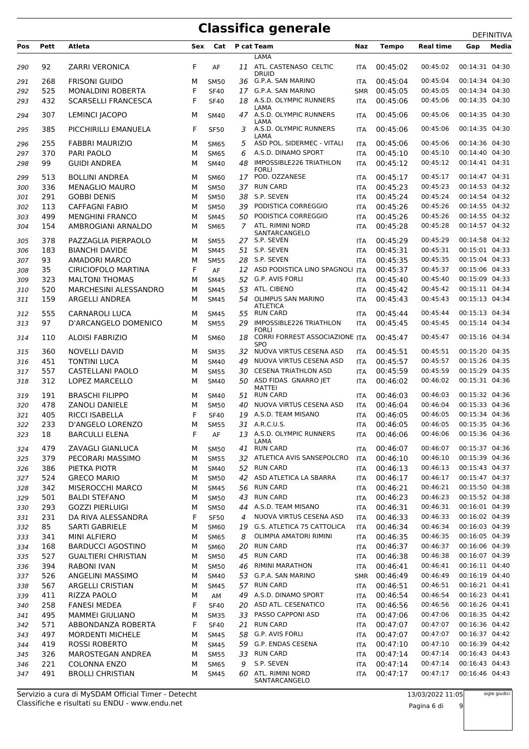| Pos | Pett | Atleta                     | Sex | Cat         |    | P cat Team                                                      | Naz        | <b>Tempo</b> | <b>Real time</b> | Gap            | Media |
|-----|------|----------------------------|-----|-------------|----|-----------------------------------------------------------------|------------|--------------|------------------|----------------|-------|
|     |      |                            |     |             |    | <b>LAMA</b>                                                     |            |              |                  |                |       |
| 290 | 92   | <b>ZARRI VERONICA</b>      | F   | AF          | 11 | ATL. CASTENASO CELTIC<br><b>DRUID</b>                           | <b>ITA</b> | 00:45:02     | 00:45:02         | 00:14:31 04:30 |       |
| 291 | 268  | <b>FRISONI GUIDO</b>       | М   | <b>SM50</b> |    | 36 G.P.A. SAN MARINO                                            | <b>ITA</b> | 00:45:04     | 00:45:04         | 00:14:34 04:30 |       |
| 292 | 525  | <b>MONALDINI ROBERTA</b>   | F   | <b>SF40</b> | 17 | G.P.A. SAN MARINO                                               | <b>SMR</b> | 00:45:05     | 00:45:05         | 00:14:34 04:30 |       |
| 293 | 432  | <b>SCARSELLI FRANCESCA</b> | F   | <b>SF40</b> |    | 18 A.S.D. OLYMPIC RUNNERS                                       | <b>ITA</b> | 00:45:06     | 00:45:06         | 00:14:35 04:30 |       |
| 294 | 307  | <b>LEMINCI JACOPO</b>      | м   | <b>SM40</b> |    | LAMA<br>47 A.S.D. OLYMPIC RUNNERS                               | ITA        | 00:45:06     | 00:45:06         | 00:14:35 04:30 |       |
| 295 | 385  | PICCHIRILLI EMANUELA       | F   | <b>SF50</b> |    | LAMA<br>3 A.S.D. OLYMPIC RUNNERS<br>LAMA                        | <b>ITA</b> | 00:45:06     | 00:45:06         | 00:14:35 04:30 |       |
| 296 | 255  | <b>FABBRI MAURIZIO</b>     | м   | <b>SM65</b> | 5  | ASD POL. SIDERMEC - VITALI                                      | <b>ITA</b> | 00:45:06     | 00:45:06         | 00:14:36 04:30 |       |
| 297 | 370  | PARI PAOLO                 | М   | <b>SM65</b> | 6  | A.S.D. DINAMO SPORT                                             | <b>ITA</b> | 00:45:10     | 00:45:10         | 00:14:40 04:30 |       |
| 298 | 99   | <b>GUIDI ANDREA</b>        | М   | <b>SM40</b> | 48 | <b>IMPOSSIBLE226 TRIATHLON</b><br><b>FORLI</b>                  | <b>ITA</b> | 00:45:12     | 00:45:12         | 00:14:41 04:31 |       |
| 299 | 513  | <b>BOLLINI ANDREA</b>      | M   | <b>SM60</b> |    | 17 POD. OZZANESE                                                | <b>ITA</b> | 00:45:17     | 00:45:17         | 00:14:47 04:31 |       |
| 300 | 336  | <b>MENAGLIO MAURO</b>      | M   | <b>SM50</b> |    | 37 RUN CARD                                                     | <b>ITA</b> | 00:45:23     | 00:45:23         | 00:14:53 04:32 |       |
| 301 | 291  | <b>GOBBI DENIS</b>         | М   | <b>SM50</b> | 38 | S.P. SEVEN                                                      | <b>ITA</b> | 00:45:24     | 00:45:24         | 00:14:54 04:32 |       |
| 302 | 113  | <b>CAFFAGNI FABIO</b>      | М   | <b>SM50</b> | 39 | PODISTICA CORREGGIO                                             | <b>ITA</b> | 00:45:26     | 00:45:26         | 00:14:55 04:32 |       |
| 303 | 499  | <b>MENGHINI FRANCO</b>     | М   | <b>SM45</b> | 50 | PODISTICA CORREGGIO                                             | <b>ITA</b> | 00:45:26     | 00:45:26         | 00:14:55 04:32 |       |
| 304 | 154  | AMBROGIANI ARNALDO         | M   | <b>SM65</b> | 7  | ATL. RIMINI NORD<br>SANTARCANGELO                               | <b>ITA</b> | 00:45:28     | 00:45:28         | 00:14:57 04:32 |       |
| 305 | 378  | PAZZAGLIA PIERPAOLO        | М   | <b>SM55</b> |    | 27 S.P. SEVEN                                                   | <b>ITA</b> | 00:45:29     | 00:45:29         | 00:14:58 04:32 |       |
| 306 | 183  | <b>BIANCHI DAVIDE</b>      | М   | <b>SM45</b> |    | 51 S.P. SEVEN                                                   | <b>ITA</b> | 00:45:31     | 00:45:31         | 00:15:01 04:33 |       |
| 307 | 93   | <b>AMADORI MARCO</b>       | M   | <b>SM55</b> |    | 28 S.P. SEVEN                                                   | <b>ITA</b> | 00:45:35     | 00:45:35         | 00:15:04 04:33 |       |
| 308 | 35   | <b>CIRICIOFOLO MARTINA</b> | F   | AF          |    | 12 ASD PODISTICA LINO SPAGNOLI ITA                              |            | 00:45:37     | 00:45:37         | 00:15:06 04:33 |       |
| 309 | 323  | <b>MALTONI THOMAS</b>      | М   | <b>SM45</b> |    | 52 G.P. AVIS FORLI                                              | <b>ITA</b> | 00:45:40     | 00:45:40         | 00:15:09 04:33 |       |
| 310 | 520  | MARCHESINI ALESSANDRO      | М   | <b>SM45</b> | 53 | ATL. CIBENO                                                     | <b>ITA</b> | 00:45:42     | 00:45:42         | 00:15:11 04:34 |       |
| 311 | 159  | ARGELLI ANDREA             | М   | <b>SM45</b> |    | 54 OLIMPUS SAN MARINO                                           | <b>ITA</b> | 00:45:43     | 00:45:43         | 00:15:13 04:34 |       |
| 312 | 555  | <b>CARNAROLI LUCA</b>      | м   | <b>SM45</b> | 55 | <b>ATLETICA</b><br><b>RUN CARD</b>                              | <b>ITA</b> | 00:45:44     | 00:45:44         | 00:15:13 04:34 |       |
| 313 | 97   | D'ARCANGELO DOMENICO       | м   | <b>SM55</b> | 29 | IMPOSSIBLE226 TRIATHLON                                         | <b>ITA</b> | 00:45:45     | 00:45:45         | 00:15:14 04:34 |       |
| 314 | 110  | <b>ALOISI FABRIZIO</b>     | M   | <b>SM60</b> |    | <b>FORLI</b><br>18 CORRI FORREST ASSOCIAZIONE ITA<br><b>SPO</b> |            | 00:45:47     | 00:45:47         | 00:15:16 04:34 |       |
| 315 | 360  | <b>NOVELLI DAVID</b>       | м   | <b>SM35</b> | 32 | NUOVA VIRTUS CESENA ASD                                         | <b>ITA</b> | 00:45:51     | 00:45:51         | 00:15:20 04:35 |       |
| 316 | 451  | <b>TONTINI LUCA</b>        | М   | <b>SM40</b> | 49 | NUOVA VIRTUS CESENA ASD                                         | <b>ITA</b> | 00:45:57     | 00:45:57         | 00:15:26 04:35 |       |
| 317 | 557  | <b>CASTELLANI PAOLO</b>    | М   | <b>SM55</b> | 30 | <b>CESENA TRIATHLON ASD</b>                                     | <b>ITA</b> | 00:45:59     | 00:45:59         | 00:15:29 04:35 |       |
| 318 | 312  | <b>LOPEZ MARCELLO</b>      | м   | <b>SM40</b> |    | 50 ASD FIDAS GNARRO JET<br>MATTEI                               | <b>ITA</b> | 00:46:02     | 00:46:02         | 00:15:31 04:36 |       |
| 319 | 191  | <b>BRASCHI FILIPPO</b>     | м   | <b>SM40</b> | 51 | <b>RUN CARD</b>                                                 | <b>ITA</b> | 00:46:03     | 00:46:03         | 00:15:32 04:36 |       |
| 320 | 478  | <b>ZANOLI DANIELE</b>      | М   | <b>SM50</b> | 40 | NUOVA VIRTUS CESENA ASD                                         | <b>ITA</b> | 00:46:04     | 00:46:04         | 00:15:33 04:36 |       |
| 321 | 405  | <b>RICCI ISABELLA</b>      | F   | <b>SF40</b> | 19 | A.S.D. TEAM MISANO                                              | <b>ITA</b> | 00:46:05     | 00:46:05         | 00:15:34 04:36 |       |
| 322 | 233  | <b>D'ANGELO LORENZO</b>    | м   | <b>SM55</b> |    | 31 A.R.C.U.S.                                                   | <b>ITA</b> | 00:46:05     | 00:46:05         | 00:15:35 04:36 |       |
| 323 | 18   | <b>BARCULLI ELENA</b>      | F   | AF          |    | 13 A.S.D. OLYMPIC RUNNERS<br>LAMA                               | ITA        | 00:46:06     | 00:46:06         | 00:15:36 04:36 |       |
| 324 | 479  | ZAVAGLI GIANLUCA           | М   | <b>SM50</b> | 41 | <b>RUN CARD</b>                                                 | ITA        | 00:46:07     | 00:46:07         | 00:15:37 04:36 |       |
| 325 | 379  | PECORARI MASSIMO           | М   | <b>SM55</b> |    | 32 ATLETICA AVIS SANSEPOLCRO                                    | <b>ITA</b> | 00:46:10     | 00:46:10         | 00:15:39 04:36 |       |
| 326 | 386  | PIETKA PIOTR               | М   | SM40        |    | 52 RUN CARD                                                     | ITA        | 00:46:13     | 00:46:13         | 00:15:43 04:37 |       |
| 327 | 524  | <b>GRECO MARIO</b>         | М   | <b>SM50</b> |    | 42 ASD ATLETICA LA SBARRA                                       | ITA        | 00:46:17     | 00:46:17         | 00:15:47 04:37 |       |
| 328 | 342  | MISEROCCHI MARCO           | М   | <b>SM45</b> |    | 56 RUN CARD                                                     | <b>ITA</b> | 00:46:21     | 00:46:21         | 00:15:50 04:38 |       |
| 329 | 501  | <b>BALDI STEFANO</b>       | М   | <b>SM50</b> | 43 | <b>RUN CARD</b>                                                 | ITA        | 00:46:23     | 00:46:23         | 00:15:52 04:38 |       |
| 330 | 293  | <b>GOZZI PIERLUIGI</b>     | М   | <b>SM50</b> | 44 | A.S.D. TEAM MISANO                                              | <b>ITA</b> | 00:46:31     | 00:46:31         | 00:16:01 04:39 |       |
| 331 | 231  | DA RIVA ALESSANDRA         | F   | <b>SF50</b> | 4  | NUOVA VIRTUS CESENA ASD                                         | <b>ITA</b> | 00:46:33     | 00:46:33         | 00:16:02 04:39 |       |
| 332 | 85   | <b>SARTI GABRIELE</b>      | М   | SM60        |    | 19 G.S. ATLETICA 75 CATTOLICA                                   | ITA        | 00:46:34     | 00:46:34         | 00:16:03 04:39 |       |
| 333 | 341  | <b>MINI ALFIERO</b>        | М   | <b>SM65</b> | 8  | OLIMPIA AMATORI RIMINI                                          | <b>ITA</b> | 00:46:35     | 00:46:35         | 00:16:05 04:39 |       |
| 334 | 168  | <b>BARDUCCI AGOSTINO</b>   | М   | SM60        | 20 | <b>RUN CARD</b>                                                 | ITA        | 00:46:37     | 00:46:37         | 00:16:06 04:39 |       |
| 335 | 527  | <b>GUALTIERI CHRISTIAN</b> | М   | <b>SM50</b> | 45 | <b>RUN CARD</b>                                                 | ITA        | 00:46:38     | 00:46:38         | 00:16:07 04:39 |       |
| 336 | 394  | <b>RABONI IVAN</b>         | М   | <b>SM50</b> | 46 | RIMINI MARATHON                                                 | <b>ITA</b> | 00:46:41     | 00:46:41         | 00:16:11 04:40 |       |
| 337 | 526  | ANGELINI MASSIMO           | М   | <b>SM40</b> |    | 53 G.P.A. SAN MARINO                                            | <b>SMR</b> | 00:46:49     | 00:46:49         | 00:16:19 04:40 |       |
| 338 | 567  | ARGELLI CRISTIAN           | М   | <b>SM45</b> |    | 57 RUN CARD                                                     | <b>ITA</b> | 00:46:51     | 00:46:51         | 00:16:21 04:41 |       |
| 339 | 411  | RIZZA PAOLO                | М   | AM          | 49 | A.S.D. DINAMO SPORT                                             | <b>ITA</b> | 00:46:54     | 00:46:54         | 00:16:23 04:41 |       |
| 340 | 258  | <b>FANESI MEDEA</b>        | F   | <b>SF40</b> |    | 20 ASD ATL. CESENATICO                                          | ITA        | 00:46:56     | 00:46:56         | 00:16:26 04:41 |       |
| 341 | 495  | <b>MAMMEI GIULIANO</b>     | М   | <b>SM35</b> | 33 | PASSO CAPPONI ASD                                               | ITA        | 00:47:06     | 00:47:06         | 00:16:35 04:42 |       |
| 342 | 571  | ABBONDANZA ROBERTA         | F   | <b>SF40</b> | 21 | <b>RUN CARD</b>                                                 | ITA        | 00:47:07     | 00:47:07         | 00:16:36 04:42 |       |
| 343 | 497  | <b>MORDENTI MICHELE</b>    | М   | <b>SM45</b> | 58 | G.P. AVIS FORLI                                                 | <b>ITA</b> | 00:47:07     | 00:47:07         | 00:16:37 04:42 |       |
| 344 | 419  | <b>ROSSI ROBERTO</b>       | М   | <b>SM45</b> | 59 | G.P. ENDAS CESENA                                               | ITA        | 00:47:10     | 00:47:10         | 00:16:39 04:42 |       |
| 345 | 326  | MAROSTEGAN ANDREA          | М   | <b>SM55</b> | 33 | <b>RUN CARD</b>                                                 | ITA        | 00:47:14     | 00:47:14         | 00:16:43 04:43 |       |
| 346 | 221  | <b>COLONNA ENZO</b>        | М   | <b>SM65</b> | 9  | S.P. SEVEN                                                      | <b>ITA</b> | 00:47:14     | 00:47:14         | 00:16:43 04:43 |       |
| 347 | 491  | <b>BROLLI CHRISTIAN</b>    | М   | <b>SM45</b> | 60 | ATL. RIMINI NORD<br>SANTARCANGELO                               | ITA        | 00:47:17     | 00:47:17         | 00:16:46 04:43 |       |

Classifiche e risultati su ENDU - www.endu.net Servizio a cura di MySDAM Official Timer - Detecht

Pagina 6 di 9

sigle giudici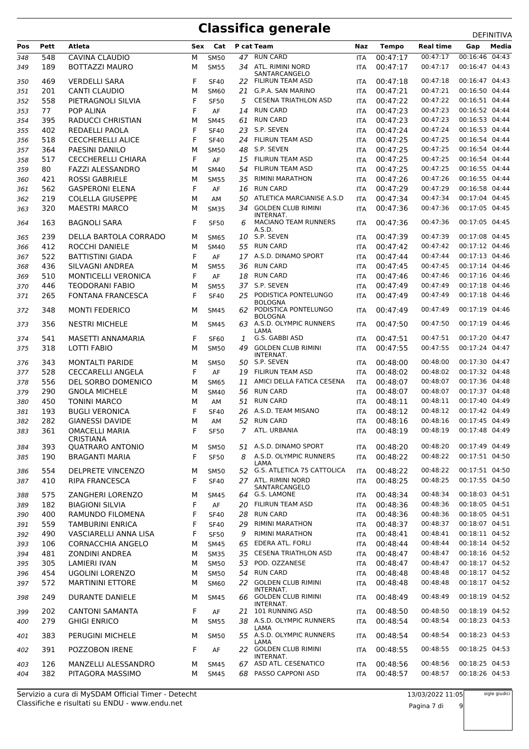|            |            |                                         |        |                     |    |                                                    |                   |                      |                      | <b>レㄴ!!!!!!!!</b>                |
|------------|------------|-----------------------------------------|--------|---------------------|----|----------------------------------------------------|-------------------|----------------------|----------------------|----------------------------------|
| Pos        | Pett       | Atleta                                  | Sex    | Cat                 |    | P cat Team                                         | Naz               | <b>Tempo</b>         | <b>Real time</b>     | Gap<br>Media                     |
| 348        | 548        | CAVINA CLAUDIO                          | М      | <b>SM50</b>         |    | 47 RUN CARD                                        | <b>ITA</b>        | 00:47:17             | 00:47:17             | 00:16:46 04:43                   |
| 349        | 189        | <b>BOTTAZZI MAURO</b>                   | М      | <b>SM55</b>         | 34 | ATL. RIMINI NORD<br>SANTARCANGELO                  | <b>ITA</b>        | 00:47:17             | 00:47:17             | 00:16:47 04:43                   |
| 350        | 469        | <b>VERDELLI SARA</b>                    | F      | <b>SF40</b>         |    | 22 FILIRUN TEAM ASD                                | <b>ITA</b>        | 00:47:18             | 00:47:18             | 00:16:47 04:43                   |
| 351        | 201        | <b>CANTI CLAUDIO</b>                    | M      | <b>SM60</b>         | 21 | G.P.A. SAN MARINO                                  | <b>ITA</b>        | 00:47:21             | 00:47:21             | 00:16:50 04:44                   |
| 352        | 558        | PIETRAGNOLI SILVIA                      | F      | <b>SF50</b>         | 5  | <b>CESENA TRIATHLON ASD</b>                        | <b>ITA</b>        | 00:47:22             | 00:47:22             | 00:16:51 04:44                   |
| 353        | 77         | POP ALINA                               | F      | AF                  | 14 | <b>RUN CARD</b>                                    | <b>ITA</b>        | 00:47:23             | 00:47:23             | 00:16:52 04:44                   |
| 354        | 395        | <b>RADUCCI CHRISTIAN</b>                | м      | <b>SM45</b>         | 61 | <b>RUN CARD</b>                                    | <b>ITA</b>        | 00:47:23             | 00:47:23             | 00:16:53 04:44                   |
| 355        | 402        | REDAELLI PAOLA                          | F      | <b>SF40</b>         | 23 | S.P. SEVEN                                         | <b>ITA</b>        | 00:47:24             | 00:47:24             | 00:16:53 04:44                   |
|            |            |                                         | F      | <b>SF40</b>         | 24 | <b>FILIRUN TEAM ASD</b>                            |                   | 00:47:25             | 00:47:25             | 00:16:54 04:44                   |
| 356        | 518        | <b>CECCHERELLI ALICE</b>                |        |                     |    | S.P. SEVEN                                         | <b>ITA</b>        |                      | 00:47:25             | 00:16:54 04:44                   |
| 357        | 364        | PAESINI DANILO                          | М      | <b>SM50</b>         | 48 |                                                    | <b>ITA</b>        | 00:47:25             |                      |                                  |
| 358        | 517        | <b>CECCHERELLI CHIARA</b>               | F      | AF                  | 15 | <b>FILIRUN TEAM ASD</b>                            | <b>ITA</b>        | 00:47:25             | 00:47:25             | 00:16:54 04:44                   |
| 359        | 80         | <b>FAZZI ALESSANDRO</b>                 | м      | <b>SM40</b>         | 54 | <b>FILIRUN TEAM ASD</b>                            | <b>ITA</b>        | 00:47:25             | 00:47:25             | 00:16:55 04:44                   |
| 360        | 421        | <b>ROSSI GABRIELE</b>                   | м      | <b>SM55</b>         | 35 | <b>RIMINI MARATHON</b>                             | <b>ITA</b>        | 00:47:26             | 00:47:26             | 00:16:55 04:44                   |
| 361        | 562        | <b>GASPERONI ELENA</b>                  | F      | AF                  | 16 | <b>RUN CARD</b>                                    | <b>ITA</b>        | 00:47:29             | 00:47:29             | 00:16:58 04:44                   |
| 362        | 219        | <b>COLELLA GIUSEPPE</b>                 | M      | AM                  | 50 | ATLETICA MARCIANISE A.S.D                          | <b>ITA</b>        | 00:47:34             | 00:47:34             | 00:17:04 04:45                   |
| 363        | 320        | <b>MAESTRI MARCO</b>                    | M      | <b>SM35</b>         | 34 | <b>GOLDEN CLUB RIMINI</b>                          | <b>ITA</b>        | 00:47:36             | 00:47:36             | 00:17:05 04:45                   |
| 364        | 163        | <b>BAGNOLI SARA</b>                     | F      | <b>SF50</b>         | 6  | INTERNAT.<br><b>MACIANO TEAM RUNNERS</b><br>A.S.D. | <b>ITA</b>        | 00:47:36             | 00:47:36             | 00:17:05 04:45                   |
| 365        | 239        | DELLA BARTOLA CORRADO                   | м      | <b>SM65</b>         | 10 | S.P. SEVEN                                         | <b>ITA</b>        | 00:47:39             | 00:47:39             | 00:17:08 04:45                   |
| 366        | 412        | ROCCHI DANIELE                          | M      | <b>SM40</b>         |    | 55 RUN CARD                                        | <b>ITA</b>        | 00:47:42             | 00:47:42             | 00:17:12 04:46                   |
| 367        | 522        | <b>BATTISTINI GIADA</b>                 | F      | AF                  |    | 17 A.S.D. DINAMO SPORT                             | <b>ITA</b>        | 00:47:44             | 00:47:44             | 00:17:13 04:46                   |
| 368        | 436        | SILVAGNI ANDREA                         | м      | <b>SM55</b>         | 36 | <b>RUN CARD</b>                                    | <b>ITA</b>        | 00:47:45             | 00:47:45             | 00:17:14 04:46                   |
| 369        | 510        | <b>MONTICELLI VERONICA</b>              | F      | AF                  |    | 18 RUN CARD                                        | <b>ITA</b>        | 00:47:46             | 00:47:46             | 00:17:16 04:46                   |
| 370        | 446        | <b>TEODORANI FABIO</b>                  | м      | <b>SM55</b>         |    | 37 S.P. SEVEN                                      | <b>ITA</b>        | 00:47:49             | 00:47:49             | 00:17:18 04:46                   |
| 371        | 265        | <b>FONTANA FRANCESCA</b>                | F      | <b>SF40</b>         | 25 | PODISTICA PONTELUNGO                               | <b>ITA</b>        | 00:47:49             | 00:47:49             | 00:17:18 04:46                   |
|            |            |                                         |        |                     |    | <b>BOLOGNA</b>                                     |                   |                      |                      |                                  |
| 372        | 348        | <b>MONTI FEDERICO</b>                   | м      | <b>SM45</b>         |    | 62 PODISTICA PONTELUNGO<br><b>BOLOGNA</b>          | <b>ITA</b>        | 00:47:49             | 00:47:49             | 00:17:19 04:46                   |
| 373        | 356        | <b>NESTRI MICHELE</b>                   | м      | <b>SM45</b>         |    | 63 A.S.D. OLYMPIC RUNNERS<br>LAMA                  | <b>ITA</b>        | 00:47:50             | 00:47:50             | 00:17:19 04:46                   |
| 374        | 541        | MASETTI ANNAMARIA                       | F      | <b>SF60</b>         | 1  | G.S. GABBI ASD                                     | <b>ITA</b>        | 00:47:51             | 00:47:51             | 00:17:20 04:47                   |
| 375        | 318        | LOTTI FABIO                             | M      | <b>SM50</b>         | 49 | <b>GOLDEN CLUB RIMINI</b><br>INTERNAT.             | <b>ITA</b>        | 00:47:55             | 00:47:55             | 00:17:24 04:47                   |
| 376        | 343        | <b>MONTALTI PARIDE</b>                  | м      | <b>SM50</b>         |    | 50 S.P. SEVEN                                      | <b>ITA</b>        | 00:48:00             | 00:48:00             | 00:17:30 04:47                   |
| 377        | 528        | <b>CECCARELLI ANGELA</b>                | F      | AF                  |    | 19 FILIRUN TEAM ASD                                | <b>ITA</b>        | 00:48:02             | 00:48:02             | 00:17:32 04:48                   |
| 378        | 556        | DEL SORBO DOMENICO                      | м      | <b>SM65</b>         | 11 | AMICI DELLA FATICA CESENA                          | <b>ITA</b>        | 00:48:07             | 00:48:07             | 00:17:36 04:48                   |
| 379        | 290        | <b>GNOLA MICHELE</b>                    | м      | <b>SM40</b>         | 56 | <b>RUN CARD</b>                                    | <b>ITA</b>        | 00:48:07             | 00:48:07             | 00:17:37 04:48                   |
| 380        | 450        | <b>TONINI MARCO</b>                     | M      | AM                  | 51 | <b>RUN CARD</b>                                    | <b>ITA</b>        | 00:48:11             | 00:48:11             | 00:17:40 04:49                   |
| 381        | 193        | <b>BUGLI VERONICA</b>                   | F      | <b>SF40</b>         | 26 | A.S.D. TEAM MISANO                                 | <b>ITA</b>        | 00:48:12             | 00:48:12             | 00:17:42 04:49                   |
| 382        | 282        | <b>GIANESSI DAVIDE</b>                  | M      | AM                  | 52 | <b>RUN CARD</b>                                    | <b>ITA</b>        | 00:48:16             | 00:48:16             | 00:17:45 04:49                   |
| 383        | 361        | <b>OMACELLI MARIA</b>                   | F      | <b>SF50</b>         | 7  | ATL. URBANIA                                       | <b>ITA</b>        | 00:48:19             | 00:48:19             | 00:17:48 04:49                   |
|            |            | <b>CRISTIANA</b>                        |        |                     |    |                                                    |                   |                      |                      |                                  |
| 384        | 393        | QUATRARO ANTONIO                        | м      | <b>SM50</b>         |    | 51 A.S.D. DINAMO SPORT                             | <b>ITA</b>        | 00:48:20             | 00:48:20             | 00:17:49 04:49                   |
| 385        | 190        | <b>BRAGANTI MARIA</b>                   | F      | <b>SF50</b>         | 8  | A.S.D. OLYMPIC RUNNERS                             | <b>ITA</b>        | 00:48:22             | 00:48:22             | 00:17:51 04:50                   |
| 386        | 554        | DELPRETE VINCENZO                       | М      | <b>SM50</b>         |    | LAMA<br>52 G.S. ATLETICA 75 CATTOLICA              | <b>ITA</b>        | 00:48:22             | 00:48:22             | 00:17:51 04:50                   |
|            | 410        | <b>RIPA FRANCESCA</b>                   | F      |                     |    | 27 ATL. RIMINI NORD                                |                   | 00:48:25             | 00:48:25             | 00:17:55 04:50                   |
| 387        |            |                                         |        | <b>SF40</b>         |    | SANTARCANGELO                                      | ITA               |                      |                      |                                  |
| 388        | 575        | ZANGHERI LORENZO                        | м      | SM45                | 64 | G.S. LAMONE                                        | <b>ITA</b>        | 00:48:34             | 00:48:34             | 00:18:03 04:51                   |
| 389        | 182        | <b>BIAGIONI SILVIA</b>                  | F      | AF                  | 20 | FILIRUN TEAM ASD                                   | <b>ITA</b>        | 00:48:36             | 00:48:36             | 00:18:05 04:51                   |
| 390        | 400        | RAMUNDO FILOMENA                        | F      | <b>SF40</b>         | 28 | <b>RUN CARD</b>                                    | <b>ITA</b>        | 00:48:36             | 00:48:36             | 00:18:05 04:51                   |
| 391        | 559        | <b>TAMBURINI ENRICA</b>                 | F      | <b>SF40</b>         | 29 | <b>RIMINI MARATHON</b>                             | <b>ITA</b>        | 00:48:37             | 00:48:37             | 00:18:07 04:51                   |
| 392        | 490        | VASCIARELLI ANNA LISA                   | F      | <b>SF50</b>         | 9  | RIMINI MARATHON                                    | <b>ITA</b>        | 00:48:41             | 00:48:41             | 00:18:11 04:52                   |
| 393        | 106        | <b>CORNACCHIA ANGELO</b>                | м      | <b>SM45</b>         | 65 | EDERA ATL. FORLI                                   | <b>ITA</b>        | 00:48:44             | 00:48:44             | 00:18:14 04:52                   |
| 394        | 481        | <b>ZONDINI ANDREA</b>                   | М      | <b>SM35</b>         |    | 35 CESENA TRIATHLON ASD                            | <b>ITA</b>        | 00:48:47             | 00:48:47             | 00:18:16 04:52                   |
| 395        | 305        | <b>LAMIERI IVAN</b>                     | м      | <b>SM50</b>         | 53 | POD. OZZANESE                                      | <b>ITA</b>        | 00:48:47             | 00:48:47             | 00:18:17 04:52                   |
| 396        | 454        | UGOLINI LORENZO                         | М      | <b>SM50</b>         | 54 | <b>RUN CARD</b>                                    | <b>ITA</b>        | 00:48:48             | 00:48:48             | 00:18:17 04:52                   |
| 397        | 572        | <b>MARTININI ETTORE</b>                 | м      | <b>SM60</b>         |    | 22 GOLDEN CLUB RIMINI                              | <b>ITA</b>        | 00:48:48             | 00:48:48             | 00:18:17 04:52                   |
| 398        | 249        | <b>DURANTE DANIELE</b>                  | м      | <b>SM45</b>         |    | INTERNAT.<br>66 GOLDEN CLUB RIMINI                 | <b>ITA</b>        | 00:48:49             | 00:48:49             | 00:18:19 04:52                   |
|            |            |                                         |        |                     |    | INTERNAT.<br>101 RUNNING ASD                       |                   |                      | 00:48:50             | 00:18:19 04:52                   |
| 399        | 202        | <b>CANTONI SAMANTA</b>                  | F      | AF                  | 21 |                                                    | <b>ITA</b>        | 00:48:50             |                      |                                  |
| 400        | 279        | <b>GHIGI ENRICO</b>                     | М      | <b>SM55</b>         | 38 | A.S.D. OLYMPIC RUNNERS<br>LAMA                     | <b>ITA</b>        | 00:48:54             | 00:48:54             | 00:18:23 04:53                   |
| 401        | 383        | PERUGINI MICHELE                        | м      | <b>SM50</b>         |    | 55 A.S.D. OLYMPIC RUNNERS<br>LAMA                  | <b>ITA</b>        | 00:48:54             | 00:48:54             | 00:18:23 04:53                   |
| 402        | 391        | POZZOBON IRENE                          | F      | AF                  |    | 22 GOLDEN CLUB RIMINI<br>INTERNAT.                 | <b>ITA</b>        | 00:48:55             | 00:48:55             | 00:18:25 04:53                   |
| 403<br>404 | 126<br>382 | MANZELLI ALESSANDRO<br>PITAGORA MASSIMO | М<br>м | SM45<br><b>SM45</b> | 68 | 67 ASD ATL. CESENATICO<br>PASSO CAPPONI ASD        | ITA<br><b>ITA</b> | 00:48:56<br>00:48:57 | 00:48:56<br>00:48:57 | 00:18:25 04:53<br>00:18:26 04:53 |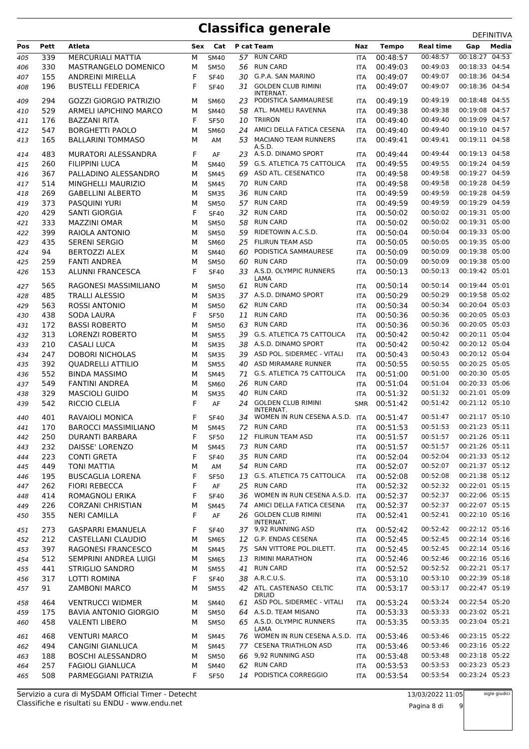| Pos | Pett       | Atleta                        | Sex    | Cat         |          | P cat Team                                      | Naz        | <b>Tempo</b> | <b>Real time</b>     | Gap                              | Media |
|-----|------------|-------------------------------|--------|-------------|----------|-------------------------------------------------|------------|--------------|----------------------|----------------------------------|-------|
| 405 | 339        | <b>MERCURIALI MATTIA</b>      | М      | <b>SM40</b> |          | 57 RUN CARD                                     | <b>ITA</b> | 00:48:57     | 00:48:57             | 00:18:27 04:53                   |       |
| 406 | 330        | <b>MASTRANGELO DOMENICO</b>   | M      | <b>SM50</b> | 56       | <b>RUN CARD</b>                                 | <b>ITA</b> | 00:49:03     | 00:49:03             | 00:18:33 04:54                   |       |
| 407 | 155        | ANDREINI MIRELLA              | F      | <b>SF40</b> | 30       | G.P.A. SAN MARINO                               | ITA        | 00:49:07     | 00:49:07             | 00:18:36 04:54                   |       |
| 408 | 196        | <b>BUSTELLI FEDERICA</b>      | F      | <b>SF40</b> |          | 31 GOLDEN CLUB RIMINI                           | <b>ITA</b> | 00:49:07     | 00:49:07             | 00:18:36 04:54                   |       |
|     |            | <b>GOZZI GIORGIO PATRIZIO</b> |        |             |          | INTERNAT.<br>PODISTICA SAMMAURESE               |            | 00:49:19     | 00:49:19             | 00:18:48 04:55                   |       |
| 409 | 294<br>529 |                               | м      | <b>SM60</b> | 23<br>58 | ATL. MAMELI RAVENNA                             | <b>ITA</b> | 00:49:38     | 00:49:38             | 00:19:08 04:57                   |       |
| 410 |            | ARMELI IAPICHINO MARCO        | м<br>F | <b>SM40</b> |          | TRIIRON                                         | <b>ITA</b> |              | 00:49:40             |                                  |       |
| 411 | 176        | BAZZANI RITA                  |        | <b>SF50</b> | 10       | AMICI DELLA FATICA CESENA                       | <b>ITA</b> | 00:49:40     | 00:49:40             | 00:19:09 04:57                   |       |
| 412 | 547        | <b>BORGHETTI PAOLO</b>        | M      | <b>SM60</b> | 24       | 53 MACIANO TEAM RUNNERS                         | ITA        | 00:49:40     | 00:49:41             | 00:19:10 04:57<br>00:19:11 04:58 |       |
| 413 | 165        | <b>BALLARINI TOMMASO</b>      | м      | AM          |          | A.S.D.                                          | <b>ITA</b> | 00:49:41     |                      |                                  |       |
| 414 | 483        | <b>MURATORI ALESSANDRA</b>    | F      | AF          | 23       | A.S.D. DINAMO SPORT                             | ITA        | 00:49:44     | 00:49:44             | 00:19:13 04:58                   |       |
| 415 | 260        | FILIPPINI LUCA                | м      | <b>SM40</b> | 59       | G.S. ATLETICA 75 CATTOLICA                      | <b>ITA</b> | 00:49:55     | 00:49:55             | 00:19:24 04:59                   |       |
| 416 | 367        | PALLADINO ALESSANDRO          | M      | <b>SM45</b> | 69       | ASD ATL. CESENATICO                             | <b>ITA</b> | 00:49:58     | 00:49:58             | 00:19:27 04:59                   |       |
| 417 | 514        | MINGHELLI MAURIZIO            | м      | <b>SM45</b> | 70       | <b>RUN CARD</b>                                 | ITA        | 00:49:58     | 00:49:58             | 00:19:28 04:59                   |       |
| 418 | 269        | <b>GABELLINI ALBERTO</b>      | M      | <b>SM35</b> |          | 36 RUN CARD                                     | <b>ITA</b> | 00:49:59     | 00:49:59             | 00:19:28 04:59                   |       |
| 419 | 373        | PASQUINI YURI                 | м      | <b>SM50</b> |          | 57 RUN CARD                                     | <b>ITA</b> | 00:49:59     | 00:49:59             | 00:19:29 04:59                   |       |
| 420 | 429        | <b>SANTI GIORGIA</b>          | F      | <b>SF40</b> | 32       | <b>RUN CARD</b>                                 | ITA        | 00:50:02     | 00:50:02             | 00:19:31 05:00                   |       |
| 421 | 333        | <b>MAZZINI OMAR</b>           | M      | <b>SM50</b> | 58       | <b>RUN CARD</b>                                 | <b>ITA</b> | 00:50:02     | 00:50:02             | 00:19:31 05:00                   |       |
| 422 | 399        | RAIOLA ANTONIO                | M      | <b>SM50</b> | 59       | RIDETOWIN A.C.S.D.                              | <b>ITA</b> | 00:50:04     | 00:50:04             | 00:19:33 05:00                   |       |
| 423 | 435        | <b>SERENI SERGIO</b>          | M      | <b>SM60</b> | 25       | <b>FILIRUN TEAM ASD</b>                         | ITA        | 00:50:05     | 00:50:05             | 00:19:35 05:00                   |       |
| 424 | 94         | <b>BERTOZZI ALEX</b>          | M      | SM40        | 60       | PODISTICA SAMMAURESE                            | <b>ITA</b> | 00:50:09     | 00:50:09             | 00:19:38 05:00                   |       |
| 425 | 259        | <b>FANTI ANDREA</b>           | м      | <b>SM50</b> | 60       | <b>RUN CARD</b>                                 | ITA        | 00:50:09     | 00:50:09             | 00:19:38 05:00                   |       |
| 426 | 153        | ALUNNI FRANCESCA              | F      | <b>SF40</b> | 33       | A.S.D. OLYMPIC RUNNERS<br>LAMA                  | ITA        | 00:50:13     | 00:50:13             | 00:19:42 05:01                   |       |
| 427 | 565        | RAGONESI MASSIMILIANO         | м      | <b>SM50</b> |          | 61 RUN CARD                                     | <b>ITA</b> | 00:50:14     | 00:50:14             | 00:19:44 05:01                   |       |
| 428 | 485        | <b>TRALLI ALESSIO</b>         | м      | <b>SM35</b> |          | 37 A.S.D. DINAMO SPORT                          | ITA        | 00:50:29     | 00:50:29             | 00:19:58 05:02                   |       |
| 429 | 563        | <b>ROSSI ANTONIO</b>          | M      | <b>SM50</b> |          | 62 RUN CARD                                     | <b>ITA</b> | 00:50:34     | 00:50:34             | 00:20:04 05:03                   |       |
| 430 | 438        | <b>SODA LAURA</b>             | F      | <b>SF50</b> | 11       | <b>RUN CARD</b>                                 | <b>ITA</b> | 00:50:36     | 00:50:36             | 00:20:05 05:03                   |       |
| 431 | 172        | <b>BASSI ROBERTO</b>          | M      | <b>SM50</b> | 63       | <b>RUN CARD</b>                                 | ITA        | 00:50:36     | 00:50:36             | 00:20:05 05:03                   |       |
| 432 | 313        | <b>LORENZI ROBERTO</b>        | M      | <b>SM55</b> | 39       | G.S. ATLETICA 75 CATTOLICA                      | <b>ITA</b> | 00:50:42     | 00:50:42             | 00:20:11 05:04                   |       |
| 433 | 210        | CASALI LUCA                   | м      | <b>SM35</b> |          | 38 A.S.D. DINAMO SPORT                          | <b>ITA</b> | 00:50:42     | 00:50:42             | 00:20:12 05:04                   |       |
| 434 | 247        | <b>DOBORI NICHOLAS</b>        | M      | <b>SM35</b> | 39       | ASD POL. SIDERMEC - VITALI                      | ITA        | 00:50:43     | 00:50:43             | 00:20:12 05:04                   |       |
| 435 | 392        | <b>QUADRELLI ATTILIO</b>      | M      | <b>SM55</b> | 40       | ASD MIRAMARE RUNNER                             | <b>ITA</b> | 00:50:55     | 00:50:55             | 00:20:25 05:05                   |       |
| 436 | 552        | <b>BINDA MASSIMO</b>          | м      | <b>SM45</b> | 71       | G.S. ATLETICA 75 CATTOLICA                      | <b>ITA</b> | 00:51:00     | 00:51:00             | 00:20:30 05:05                   |       |
| 437 | 549        | <b>FANTINI ANDREA</b>         | м      | <b>SM60</b> | 26       | <b>RUN CARD</b>                                 | ITA        | 00:51:04     | 00:51:04             | 00:20:33 05:06                   |       |
| 438 | 329        | <b>MASCIOLI GUIDO</b>         | M      | <b>SM35</b> | 40       | <b>RUN CARD</b>                                 | ITA        | 00:51:32     | 00:51:32             | 00:21:01 05:09                   |       |
| 439 | 542        | RICCIO CLELIA                 | F      | AF          |          | 24 GOLDEN CLUB RIMINI                           | <b>SMR</b> | 00:51:42     | 00:51:42             | 00:21:12 05:10                   |       |
| 440 | 401        | RAVAIOLI MONICA               | F      | <b>SF40</b> | 34       | INTERNAT.<br>WOMEN IN RUN CESENA A.S.D. ITA     |            | 00:51:47     | 00:51:47             | 00:21:17 05:10                   |       |
| 441 | 170        | <b>BAROCCI MASSIMILIANO</b>   | м      | <b>SM45</b> |          | 72 RUN CARD                                     | ITA        | 00:51:53     | 00:51:53             | 00:21:23 05:11                   |       |
| 442 | 250        | <b>DURANTI BARBARA</b>        | F      | <b>SF50</b> |          | 12 FILIRUN TEAM ASD                             |            | ITA 00:51:57 | 00:51:57             | 00:21:26 05:11                   |       |
| 443 | 232        | DAISSE' LORENZO               | м      | <b>SM45</b> |          | 73 RUN CARD                                     | ITA        | 00:51:57     | 00:51:57             | 00:21:26 05:11                   |       |
| 444 | 223        | <b>CONTI GRETA</b>            | F      | <b>SF40</b> |          | 35 RUN CARD                                     | ITA        | 00:52:04     | 00:52:04             | 00:21:33 05:12                   |       |
| 445 | 449        | TONI MATTIA                   | М      | AM          |          | 54 RUN CARD                                     | ITA        | 00:52:07     | 00:52:07             | 00:21:37 05:12                   |       |
| 446 | 195        | <b>BUSCAGLIA LORENA</b>       | F      | <b>SF50</b> |          | 13 G.S. ATLETICA 75 CATTOLICA                   | ITA        | 00:52:08     | 00:52:08             | 00:21:38 05:12                   |       |
| 447 | 262        | <b>FIORI REBECCA</b>          | F      | AF          | 25       | <b>RUN CARD</b>                                 | ITA        | 00:52:32     | 00:52:32             | 00:22:01 05:15                   |       |
| 448 | 414        | ROMAGNOLI ERIKA               | F      | <b>SF40</b> | 36       | WOMEN IN RUN CESENA A.S.D. ITA                  |            | 00:52:37     | 00:52:37             | 00:22:06 05:15                   |       |
| 449 | 226        | <b>CORZANI CHRISTIAN</b>      | М      | <b>SM45</b> |          | 74 AMICI DELLA FATICA CESENA                    | ITA        | 00:52:37     | 00:52:37             | 00:22:07 05:15                   |       |
| 450 | 355        | <b>NERI CAMILLA</b>           | F      | AF          |          | 26 GOLDEN CLUB RIMINI                           | ITA        | 00:52:41     | 00:52:41             | 00:22:10 05:16                   |       |
|     |            |                               |        |             |          | INTERNAT.                                       |            |              |                      |                                  |       |
| 451 | 273        | <b>GASPARRI EMANUELA</b>      | F      | <b>SF40</b> |          | 37 9,92 RUNNING ASD                             | ITA        | 00:52:42     | 00:52:42             | 00:22:12 05:16<br>00:22:14 05:16 |       |
| 452 | 212        | CASTELLANI CLAUDIO            | М      | <b>SM65</b> |          | 12 G.P. ENDAS CESENA<br>SAN VITTORE POL.DILETT. | ITA        | 00:52:45     | 00:52:45             | 00:22:14 05:16                   |       |
| 453 | 397        | RAGONESI FRANCESCO            | М      | <b>SM45</b> | 75       |                                                 | ITA        | 00:52:45     | 00:52:45             |                                  |       |
| 454 | 512        | SEMPRINI ANDREA LUIGI         | М      | <b>SM65</b> |          | 13 RIMINI MARATHON<br>41 RUN CARD               | ITA        | 00:52:46     | 00:52:46<br>00:52:52 | 00:22:16 05:16<br>00:22:21 05:17 |       |
| 455 | 441        | <b>STRIGLIO SANDRO</b>        | М      | <b>SM55</b> |          |                                                 | ITA        | 00:52:52     | 00:53:10             | 00:22:39 05:18                   |       |
| 456 | 317        | LOTTI ROMINA                  | F      | <b>SF40</b> |          | 38 A.R.C.U.S.                                   | ITA        | 00:53:10     |                      |                                  |       |
| 457 | 91         | <b>ZAMBONI MARCO</b>          | М      | <b>SM55</b> |          | 42 ATL. CASTENASO CELTIC<br><b>DRUID</b>        | ITA        | 00:53:17     | 00:53:17             | 00:22:47 05:19                   |       |
| 458 | 464        | <b>VENTRUCCI WIDMER</b>       | М      | <b>SM40</b> | 61       | ASD POL. SIDERMEC - VITALI                      | ITA        | 00:53:24     | 00:53:24             | 00:22:54 05:20                   |       |
| 459 | 175        | <b>BAVIA ANTONIO GIORGIO</b>  | М      | <b>SM50</b> |          | 64 A.S.D. TEAM MISANO                           | ITA        | 00:53:33     | 00:53:33             | 00:23:02 05:21                   |       |
| 460 | 458        | <b>VALENTI LIBERO</b>         | м      | <b>SM50</b> |          | 65 A.S.D. OLYMPIC RUNNERS<br>LAMA               | ITA        | 00:53:35     | 00:53:35             | 00:23:04 05:21                   |       |
| 461 | 468        | <b>VENTURI MARCO</b>          | м      | <b>SM45</b> |          | 76 WOMEN IN RUN CESENA A.S.D.                   | ITA        | 00:53:46     | 00:53:46             | 00:23:15 05:22                   |       |
| 462 | 494        | <b>CANGINI GIANLUCA</b>       | М      | <b>SM45</b> |          | 77 CESENA TRIATHLON ASD                         | ITA        | 00:53:46     | 00:53:46             | 00:23:16 05:22                   |       |
| 463 | 188        | <b>BOSCHI ALESSANDRO</b>      | М      | <b>SM50</b> |          | 66 9,92 RUNNING ASD                             | ITA        | 00:53:48     | 00:53:48             | 00:23:18 05:22                   |       |
| 464 | 257        | <b>FAGIOLI GIANLUCA</b>       | М      | <b>SM40</b> |          | 62 RUN CARD                                     | ITA        | 00:53:53     | 00:53:53             | 00:23:23 05:23                   |       |
| 465 | 508        | PARMEGGIANI PATRIZIA          | F      | <b>SF50</b> |          | 14 PODISTICA CORREGGIO                          | ITA        | 00:53:54     | 00:53:54             | 00:23:24 05:23                   |       |